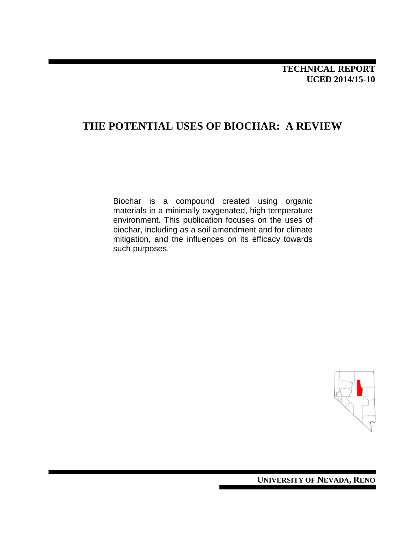## **THE POTENTIAL USES OF BIOCHAR: A REVIEW**

Biochar is a compound created using organic materials in a minimally oxygenated, high temperature environment. This publication focuses on the uses of biochar, including as a soil amendment and for climate mitigation, and the influences on its efficacy towards such purposes.



**UNIVERSITY OF NEVADA, RENO**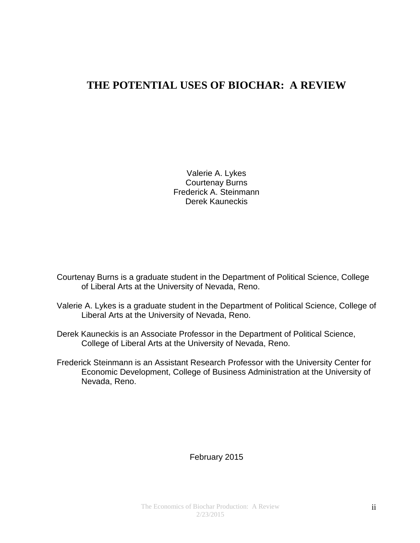## **THE POTENTIAL USES OF BIOCHAR: A REVIEW**

Valerie A. Lykes Courtenay Burns Frederick A. Steinmann Derek Kauneckis

Courtenay Burns is a graduate student in the Department of Political Science, College of Liberal Arts at the University of Nevada, Reno.

- Valerie A. Lykes is a graduate student in the Department of Political Science, College of Liberal Arts at the University of Nevada, Reno.
- Derek Kauneckis is an Associate Professor in the Department of Political Science, College of Liberal Arts at the University of Nevada, Reno.
- Frederick Steinmann is an Assistant Research Professor with the University Center for Economic Development, College of Business Administration at the University of Nevada, Reno.

### February 2015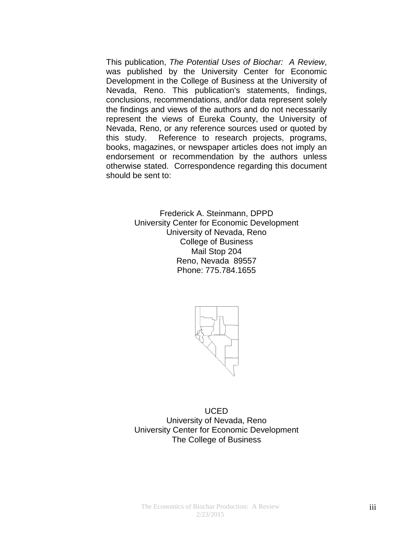This publication, *The Potential Uses of Biochar: A Review*, was published by the University Center for Economic Development in the College of Business at the University of Nevada, Reno. This publication's statements, findings, conclusions, recommendations, and/or data represent solely the findings and views of the authors and do not necessarily represent the views of Eureka County, the University of Nevada, Reno, or any reference sources used or quoted by this study. Reference to research projects, programs, books, magazines, or newspaper articles does not imply an endorsement or recommendation by the authors unless otherwise stated. Correspondence regarding this document should be sent to:

> Frederick A. Steinmann, DPPD University Center for Economic Development University of Nevada, Reno College of Business Mail Stop 204 Reno, Nevada 89557 Phone: 775.784.1655



UCED University of Nevada, Reno University Center for Economic Development The College of Business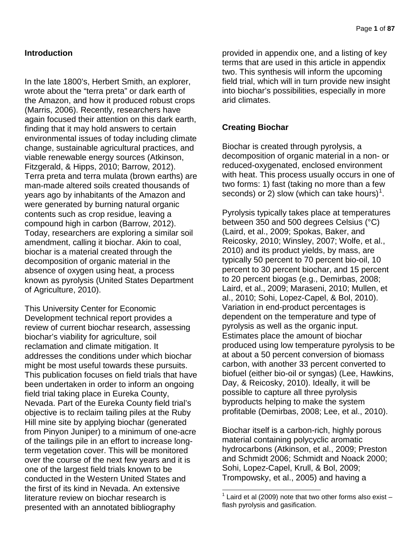### **Introduction**

In the late 1800's, Herbert Smith, an explorer, wrote about the "terra preta" or dark earth of the Amazon, and how it produced robust crops (Marris, 2006). Recently, researchers have again focused their attention on this dark earth, finding that it may hold answers to certain environmental issues of today including climate change, sustainable agricultural practices, and viable renewable energy sources (Atkinson, Fitzgerald, & Hipps, 2010; Barrow, 2012). Terra preta and terra mulata (brown earths) are man-made altered soils created thousands of years ago by inhabitants of the Amazon and were generated by burning natural organic contents such as crop residue, leaving a compound high in carbon (Barrow, 2012). Today, researchers are exploring a similar soil amendment, calling it biochar. Akin to coal, biochar is a material created through the decomposition of organic material in the absence of oxygen using heat, a process known as pyrolysis (United States Department of Agriculture, 2010).

<span id="page-3-0"></span>This University Center for Economic Development technical report provides a review of current biochar research, assessing biochar's viability for agriculture, soil reclamation and climate mitigation. It addresses the conditions under which biochar might be most useful towards these pursuits. This publication focuses on field trials that have been undertaken in order to inform an ongoing field trial taking place in Eureka County, Nevada. Part of the Eureka County field trial's objective is to reclaim tailing piles at the Ruby Hill mine site by applying biochar (generated from Pinyon Juniper) to a minimum of one-acre of the tailings pile in an effort to increase longterm vegetation cover. This will be monitored over the course of the next few years and it is one of the largest field trials known to be conducted in the Western United States and the first of its kind in Nevada. An extensive literature review on biochar research is presented with an annotated bibliography

provided in appendix one, and a listing of key terms that are used in this article in appendix two. This synthesis will inform the upcoming field trial, which will in turn provide new insight into biochar's possibilities, especially in more arid climates.

### **Creating Biochar**

Biochar is created through pyrolysis, a decomposition of organic material in a non- or reduced-oxygenated, enclosed environment with heat. This process usually occurs in one of two forms: 1) fast (taking no more than a few seconds) or 2) slow (which can take hours)<sup>[1](#page-3-0)</sup>.

Pyrolysis typically takes place at temperatures between 350 and 500 degrees Celsius (°C) (Laird, et al., 2009; Spokas, Baker, and Reicosky, 2010; Winsley, 2007; Wolfe, et al., 2010) and its product yields, by mass, are typically 50 percent to 70 percent bio-oil, 10 percent to 30 percent biochar, and 15 percent to 20 percent biogas (e.g., Demirbas, 2008; Laird, et al., 2009; Maraseni, 2010; Mullen, et al., 2010; Sohi, Lopez-Capel, & Bol, 2010). Variation in end-product percentages is dependent on the temperature and type of pyrolysis as well as the organic input. Estimates place the amount of biochar produced using low temperature pyrolysis to be at about a 50 percent conversion of biomass carbon, with another 33 percent converted to biofuel (either bio-oil or syngas) (Lee, Hawkins, Day, & Reicosky, 2010). Ideally, it will be possible to capture all three pyrolysis byproducts helping to make the system profitable (Demirbas, 2008; Lee, et al., 2010).

Biochar itself is a carbon-rich, highly porous material containing polycyclic aromatic hydrocarbons (Atkinson, et al., 2009; Preston and Schmidt 2006; Schmidt and Noack 2000; Sohi, Lopez-Capel, Krull, & Bol, 2009; Trompowsky, et al., 2005) and having a

Laird et al (2009) note that two other forms also exist  $$ flash pyrolysis and gasification.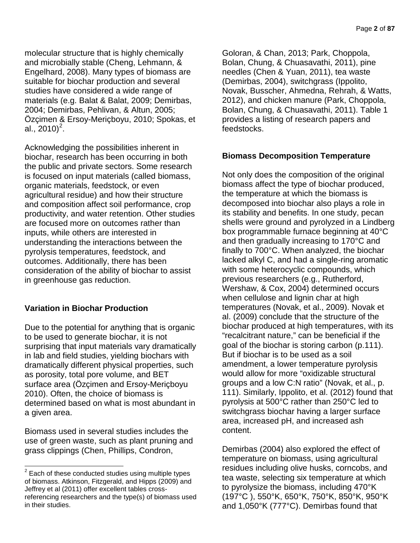molecular structure that is highly chemically and microbially stable (Cheng, Lehmann, & Engelhard, 2008). Many types of biomass are suitable for biochar production and several studies have considered a wide range of materials (e.g. Balat & Balat, 2009; Demirbas, 2004; Demirbas, Pehlivan, & Altun, 2005; Özçimen & Ersoy-Meriçboyu, 2010; Spokas, et al., [2](#page-4-0)010) $^2$ .

Acknowledging the possibilities inherent in biochar, research has been occurring in both the public and private sectors. Some research is focused on input materials (called biomass, organic materials, feedstock, or even agricultural residue) and how their structure and composition affect soil performance, crop productivity, and water retention. Other studies are focused more on outcomes rather than inputs, while others are interested in understanding the interactions between the pyrolysis temperatures, feedstock, and outcomes. Additionally, there has been consideration of the ability of biochar to assist in greenhouse gas reduction.

## **Variation in Biochar Production**

Due to the potential for anything that is organic to be used to generate biochar, it is not surprising that input materials vary dramatically in lab and field studies, yielding biochars with dramatically different physical properties, such as porosity, total pore volume, and BET surface area (Özçimen and Ersoy-Meriçboyu 2010). Often, the choice of biomass is determined based on what is most abundant in a given area.

Biomass used in several studies includes the use of green waste, such as plant pruning and grass clippings (Chen, Phillips, Condron,

Goloran, & Chan, 2013; Park, Choppola, Bolan, Chung, & Chuasavathi, 2011), pine needles (Chen & Yuan, 2011), tea waste (Demirbas, 2004), switchgrass (Ippolito, Novak, Busscher, Ahmedna, Rehrah, & Watts, 2012), and chicken manure (Park, Choppola, Bolan, Chung, & Chuasavathi, 2011). Table 1 provides a listing of research papers and feedstocks.

## **Biomass Decomposition Temperature**

Not only does the composition of the original biomass affect the type of biochar produced, the temperature at which the biomass is decomposed into biochar also plays a role in its stability and benefits. In one study, pecan shells were ground and pyrolyzed in a Lindberg box programmable furnace beginning at 40°C and then gradually increasing to 170°C and finally to 700°C. When analyzed, the biochar lacked alkyl C, and had a single-ring aromatic with some heterocyclic compounds, which previous researchers (e.g., Rutherford, Wershaw, & Cox, 2004) determined occurs when cellulose and lignin char at high temperatures (Novak, et al., 2009). Novak et al. (2009) conclude that the structure of the biochar produced at high temperatures, with its "recalcitrant nature," can be beneficial if the goal of the biochar is storing carbon (p.111). But if biochar is to be used as a soil amendment, a lower temperature pyrolysis would allow for more "oxidizable structural groups and a low C:N ratio" (Novak, et al., p. 111). Similarly, Ippolito, et al. (2012) found that pyrolysis at 500°C rather than 250°C led to switchgrass biochar having a larger surface area, increased pH, and increased ash content.

Demirbas (2004) also explored the effect of temperature on biomass, using agricultural residues including olive husks, corncobs, and tea waste, selecting six temperature at which to pyrolysize the biomass, including 470°K (197°C ), 550°K, 650°K, 750°K, 850°K, 950°K and 1,050°K (777°C). Demirbas found that

<span id="page-4-0"></span> $2$  Each of these conducted studies using multiple types of biomass. Atkinson, Fitzgerald, and Hipps (2009) and Jeffrey et al (2011) offer excellent tables crossreferencing researchers and the type(s) of biomass used in their studies.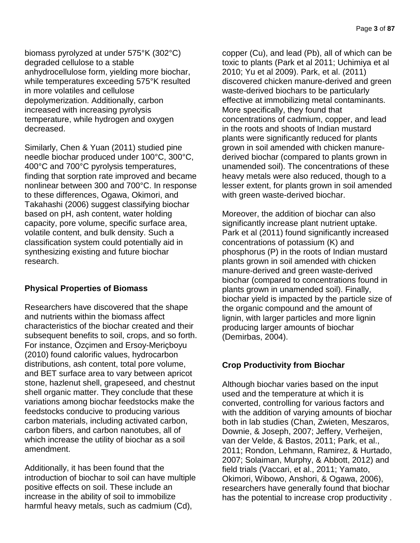biomass pyrolyzed at under 575°K (302°C) degraded cellulose to a stable anhydrocellulose form, yielding more biochar, while temperatures exceeding 575°K resulted in more volatiles and cellulose depolymerization. Additionally, carbon increased with increasing pyrolysis temperature, while hydrogen and oxygen decreased.

Similarly, Chen & Yuan (2011) studied pine needle biochar produced under 100°C, 300°C, 400°C and 700°C pyrolysis temperatures, finding that sorption rate improved and became nonlinear between 300 and 700°C. In response to these differences, Ogawa, Okimori, and Takahashi (2006) suggest classifying biochar based on pH, ash content, water holding capacity, pore volume, specific surface area, volatile content, and bulk density. Such a classification system could potentially aid in synthesizing existing and future biochar research.

## **Physical Properties of Biomass**

Researchers have discovered that the shape and nutrients within the biomass affect characteristics of the biochar created and their subsequent benefits to soil, crops, and so forth. For instance, Özçimen and Ersoy-Meriçboyu (2010) found calorific values, hydrocarbon distributions, ash content, total pore volume, and BET surface area to vary between apricot stone, hazlenut shell, grapeseed, and chestnut shell organic matter. They conclude that these variations among biochar feedstocks make the feedstocks conducive to producing various carbon materials, including activated carbon, carbon fibers, and carbon nanotubes, all of which increase the utility of biochar as a soil amendment.

Additionally, it has been found that the introduction of biochar to soil can have multiple positive effects on soil. These include an increase in the ability of soil to immobilize harmful heavy metals, such as cadmium (Cd),

copper (Cu), and lead (Pb), all of which can be toxic to plants (Park et al 2011; Uchimiya et al 2010; Yu et al 2009). Park, et al. (2011) discovered chicken manure-derived and green waste-derived biochars to be particularly effective at immobilizing metal contaminants. More specifically, they found that concentrations of cadmium, copper, and lead in the roots and shoots of Indian mustard plants were significantly reduced for plants grown in soil amended with chicken manurederived biochar (compared to plants grown in unamended soil). The concentrations of these heavy metals were also reduced, though to a lesser extent, for plants grown in soil amended with green waste-derived biochar.

Moreover, the addition of biochar can also significantly increase plant nutrient uptake. Park et al (2011) found significantly increased concentrations of potassium (K) and phosphorus (P) in the roots of Indian mustard plants grown in soil amended with chicken manure-derived and green waste-derived biochar (compared to concentrations found in plants grown in unamended soil). Finally, biochar yield is impacted by the particle size of the organic compound and the amount of lignin, with larger particles and more lignin producing larger amounts of biochar (Demirbas, 2004).

## **Crop Productivity from Biochar**

Although biochar varies based on the input used and the temperature at which it is converted, controlling for various factors and with the addition of varying amounts of biochar both in lab studies (Chan, Zwieten, Meszaros, Downie, & Joseph, 2007; Jeffery, Verheijen, van der Velde, & Bastos, 2011; Park, et al., 2011; Rondon, Lehmann, Ramirez, & Hurtado, 2007; Solaiman, Murphy, & Abbott, 2012) and field trials (Vaccari, et al., 2011; Yamato, Okimori, Wibowo, Anshori, & Ogawa, 2006), researchers have generally found that biochar has the potential to increase crop productivity .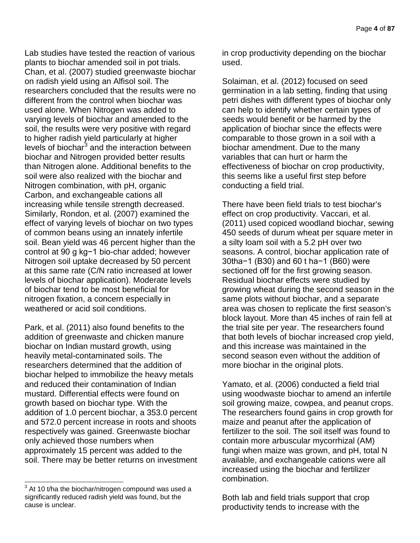Lab studies have tested the reaction of various plants to biochar amended soil in pot trials. Chan, et al. (2007) studied greenwaste biochar on radish yield using an Alfisol soil. The researchers concluded that the results were no different from the control when biochar was used alone. When Nitrogen was added to varying levels of biochar and amended to the soil, the results were very positive with regard to higher radish yield particularly at higher levels of biochar $3$  and the interaction between biochar and Nitrogen provided better results than Nitrogen alone. Additional benefits to the soil were also realized with the biochar and Nitrogen combination, with pH, organic Carbon, and exchangeable cations all increasing while tensile strength decreased. Similarly, Rondon, et al. (2007) examined the effect of varying levels of biochar on two types of common beans using an innately infertile soil. Bean yield was 46 percent higher than the control at 90 g kg−1 bio-char added; however Nitrogen soil uptake decreased by 50 percent at this same rate (C/N ratio increased at lower levels of biochar application). Moderate levels of biochar tend to be most beneficial for nitrogen fixation, a concern especially in weathered or acid soil conditions.

Park, et al. (2011) also found benefits to the addition of greenwaste and chicken manure biochar on Indian mustard growth, using heavily metal-contaminated soils. The researchers determined that the addition of biochar helped to immobilize the heavy metals and reduced their contamination of Indian mustard. Differential effects were found on growth based on biochar type. With the addition of 1.0 percent biochar, a 353.0 percent and 572.0 percent increase in roots and shoots respectively was gained. Greenwaste biochar only achieved those numbers when approximately 15 percent was added to the soil. There may be better returns on investment in crop productivity depending on the biochar used.

Solaiman, et al. (2012) focused on seed germination in a lab setting, finding that using petri dishes with different types of biochar only can help to identify whether certain types of seeds would benefit or be harmed by the application of biochar since the effects were comparable to those grown in a soil with a biochar amendment. Due to the many variables that can hurt or harm the effectiveness of biochar on crop productivity, this seems like a useful first step before conducting a field trial.

There have been field trials to test biochar's effect on crop productivity. Vaccari, et al. (2011) used copiced woodland biochar, sewing 450 seeds of durum wheat per square meter in a silty loam soil with a 5.2 pH over two seasons. A control, biochar application rate of 30tha−1 (B30) and 60 t ha−1 (B60) were sectioned off for the first growing season. Residual biochar effects were studied by growing wheat during the second season in the same plots without biochar, and a separate area was chosen to replicate the first season's block layout. More than 45 inches of rain fell at the trial site per year. The researchers found that both levels of biochar increased crop yield, and this increase was maintained in the second season even without the addition of more biochar in the original plots.

Yamato, et al. (2006) conducted a field trial using woodwaste biochar to amend an infertile soil growing maize, cowpea, and peanut crops. The researchers found gains in crop growth for maize and peanut after the application of fertilizer to the soil. The soil itself was found to contain more arbuscular mycorrhizal (AM) fungi when maize was grown, and pH, total N available, and exchangeable cations were all increased using the biochar and fertilizer combination.

Both lab and field trials support that crop productivity tends to increase with the

<span id="page-6-0"></span> $3$  At 10 t/ha the biochar/nitrogen compound was used a significantly reduced radish yield was found, but the cause is unclear.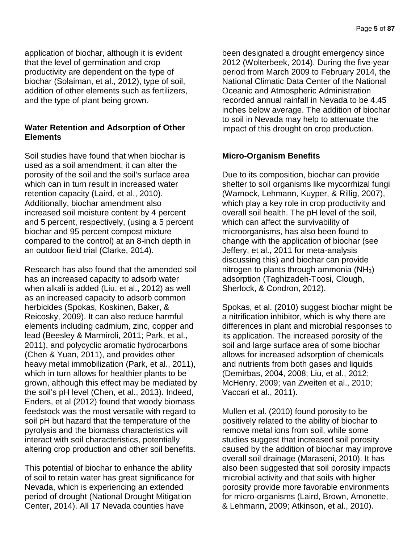application of biochar, although it is evident that the level of germination and crop productivity are dependent on the type of biochar (Solaiman, et al., 2012), type of soil, addition of other elements such as fertilizers, and the type of plant being grown.

## **Water Retention and Adsorption of Other Elements**

Soil studies have found that when biochar is used as a soil amendment, it can alter the porosity of the soil and the soil's surface area which can in turn result in increased water retention capacity (Laird, et al., 2010). Additionally, biochar amendment also increased soil moisture content by 4 percent and 5 percent, respectively, (using a 5 percent biochar and 95 percent compost mixture compared to the control) at an 8-inch depth in an outdoor field trial (Clarke, 2014).

Research has also found that the amended soil has an increased capacity to adsorb water when alkali is added (Liu, et al., 2012) as well as an increased capacity to adsorb common herbicides (Spokas, Koskinen, Baker, & Reicosky, 2009). It can also reduce harmful elements including cadmium, zinc, copper and lead (Beesley & Marmiroli, 2011; Park, et al., 2011), and polycyclic aromatic hydrocarbons (Chen & Yuan, 2011), and provides other heavy metal immobilization (Park, et al., 2011), which in turn allows for healthier plants to be grown, although this effect may be mediated by the soil's pH level (Chen, et al., 2013). Indeed, Enders, et al (2012) found that woody biomass feedstock was the most versatile with regard to soil pH but hazard that the temperature of the pyrolysis and the biomass characteristics will interact with soil characteristics, potentially altering crop production and other soil benefits.

This potential of biochar to enhance the ability of soil to retain water has great significance for Nevada, which is experiencing an extended period of drought (National Drought Mitigation Center, 2014). All 17 Nevada counties have

been designated a drought emergency since 2012 (Wolterbeek, 2014). During the five-year period from March 2009 to February 2014, the National Climatic Data Center of the National Oceanic and Atmospheric Administration recorded annual rainfall in Nevada to be 4.45 inches below average. The addition of biochar to soil in Nevada may help to attenuate the impact of this drought on crop production.

## **Micro-Organism Benefits**

Due to its composition, biochar can provide shelter to soil organisms like mycorrhizal fungi (Warnock, Lehmann, Kuyper, & Rillig, 2007), which play a key role in crop productivity and overall soil health. The pH level of the soil, which can affect the survivability of microorganisms, has also been found to change with the application of biochar (see Jeffery, et al., 2011 for meta-analysis discussing this) and biochar can provide nitrogen to plants through ammonia  $(NH_3)$ adsorption (Taghizadeh-Toosi, Clough, Sherlock, & Condron, 2012).

Spokas, et al. (2010) suggest biochar might be a nitrification inhibitor, which is why there are differences in plant and microbial responses to its application. The increased porosity of the soil and large surface area of some biochar allows for increased adsorption of chemicals and nutrients from both gases and liquids (Demirbas, 2004, 2008; Liu, et al., 2012; McHenry, 2009; van Zweiten et al., 2010; Vaccari et al., 2011).

Mullen et al. (2010) found porosity to be positively related to the ability of biochar to remove metal ions from soil, while some studies suggest that increased soil porosity caused by the addition of biochar may improve overall soil drainage (Maraseni, 2010). It has also been suggested that soil porosity impacts microbial activity and that soils with higher porosity provide more favorable environments for micro-organisms (Laird, Brown, Amonette, & Lehmann, 2009; Atkinson, et al., 2010).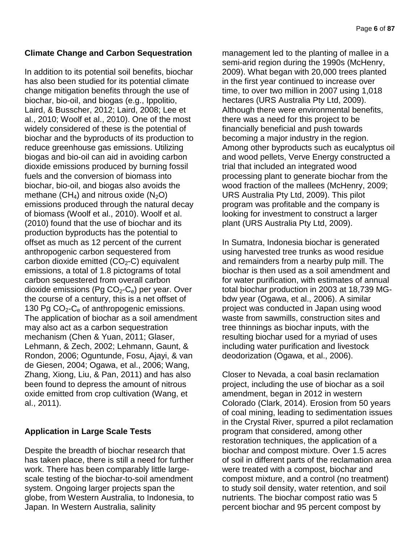## **Climate Change and Carbon Sequestration**

In addition to its potential soil benefits, biochar has also been studied for its potential climate change mitigation benefits through the use of biochar, bio-oil, and biogas (e.g., Ippolitio, Laird, & Busscher, 2012; Laird, 2008; Lee et al., 2010; Woolf et al., 2010). One of the most widely considered of these is the potential of biochar and the byproducts of its production to reduce greenhouse gas emissions. Utilizing biogas and bio-oil can aid in avoiding carbon dioxide emissions produced by burning fossil fuels and the conversion of biomass into biochar, bio-oil, and biogas also avoids the methane  $(CH_4)$  and nitrous oxide  $(N_2O)$ emissions produced through the natural decay of biomass (Woolf et al., 2010). Woolf et al. (2010) found that the use of biochar and its production byproducts has the potential to offset as much as 12 percent of the current anthropogenic carbon sequestered from carbon dioxide emitted  $(CO<sub>2</sub>-C)$  equivalent emissions, a total of 1.8 pictograms of total carbon sequestered from overall carbon dioxide emissions (Pg  $CO<sub>2</sub>-C<sub>e</sub>$ ) per year. Over the course of a century, this is a net offset of 130 Pg  $CO<sub>2</sub>-C<sub>e</sub>$  of anthropogenic emissions. The application of biochar as a soil amendment may also act as a carbon sequestration mechanism (Chen & Yuan, 2011; Glaser, Lehmann, & Zech, 2002; Lehmann, Gaunt, & Rondon, 2006; Oguntunde, Fosu, Ajayi, & van de Giesen, 2004; Ogawa, et al., 2006; Wang, Zhang, Xiong, Liu, & Pan, 2011) and has also been found to depress the amount of nitrous oxide emitted from crop cultivation (Wang, et al., 2011).

## **Application in Large Scale Tests**

Despite the breadth of biochar research that has taken place, there is still a need for further work. There has been comparably little largescale testing of the biochar-to-soil amendment system. Ongoing larger projects span the globe, from Western Australia, to Indonesia, to Japan. In Western Australia, salinity

management led to the planting of mallee in a semi-arid region during the 1990s (McHenry, 2009). What began with 20,000 trees planted in the first year continued to increase over time, to over two million in 2007 using 1,018 hectares (URS Australia Pty Ltd, 2009). Although there were environmental benefits, there was a need for this project to be financially beneficial and push towards becoming a major industry in the region. Among other byproducts such as eucalyptus oil and wood pellets, Verve Energy constructed a trial that included an integrated wood processing plant to generate biochar from the wood fraction of the mallees (McHenry, 2009; URS Australia Pty Ltd, 2009). This pilot program was profitable and the company is looking for investment to construct a larger plant (URS Australia Pty Ltd, 2009).

In Sumatra, Indonesia biochar is generated using harvested tree trunks as wood residue and remainders from a nearby pulp mill. The biochar is then used as a soil amendment and for water purification, with estimates of annual total biochar production in 2003 at 18,739 MGbdw year (Ogawa, et al., 2006). A similar project was conducted in Japan using wood waste from sawmills, construction sites and tree thinnings as biochar inputs, with the resulting biochar used for a myriad of uses including water purification and livestock deodorization (Ogawa, et al., 2006).

Closer to Nevada, a coal basin reclamation project, including the use of biochar as a soil amendment, began in 2012 in western Colorado (Clark, 2014). Erosion from 50 years of coal mining, leading to sedimentation issues in the Crystal River, spurred a pilot reclamation program that considered, among other restoration techniques, the application of a biochar and compost mixture. Over 1.5 acres of soil in different parts of the reclamation area were treated with a compost, biochar and compost mixture, and a control (no treatment) to study soil density, water retention, and soil nutrients. The biochar compost ratio was 5 percent biochar and 95 percent compost by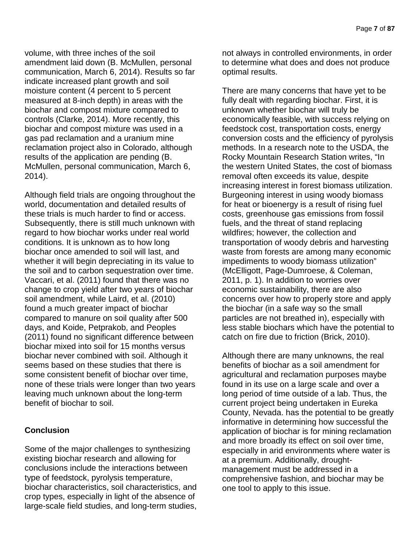volume, with three inches of the soil amendment laid down (B. McMullen, personal communication, March 6, 2014). Results so far indicate increased plant growth and soil moisture content (4 percent to 5 percent measured at 8-inch depth) in areas with the biochar and compost mixture compared to controls (Clarke, 2014). More recently, this biochar and compost mixture was used in a gas pad reclamation and a uranium mine reclamation project also in Colorado, although results of the application are pending (B. McMullen, personal communication, March 6, 2014).

Although field trials are ongoing throughout the world, documentation and detailed results of these trials is much harder to find or access. Subsequently, there is still much unknown with regard to how biochar works under real world conditions. It is unknown as to how long biochar once amended to soil will last, and whether it will begin depreciating in its value to the soil and to carbon sequestration over time. Vaccari, et al. (2011) found that there was no change to crop yield after two years of biochar soil amendment, while Laird, et al. (2010) found a much greater impact of biochar compared to manure on soil quality after 500 days, and Koide, Petprakob, and Peoples (2011) found no significant difference between biochar mixed into soil for 15 months versus biochar never combined with soil. Although it seems based on these studies that there is some consistent benefit of biochar over time, none of these trials were longer than two years leaving much unknown about the long-term benefit of biochar to soil.

## **Conclusion**

Some of the major challenges to synthesizing existing biochar research and allowing for conclusions include the interactions between type of feedstock, pyrolysis temperature, biochar characteristics, soil characteristics, and crop types, especially in light of the absence of large-scale field studies, and long-term studies,

not always in controlled environments, in order to determine what does and does not produce optimal results.

There are many concerns that have yet to be fully dealt with regarding biochar. First, it is unknown whether biochar will truly be economically feasible, with success relying on feedstock cost, transportation costs, energy conversion costs and the efficiency of pyrolysis methods. In a research note to the USDA, the Rocky Mountain Research Station writes, "In the western United States, the cost of biomass removal often exceeds its value, despite increasing interest in forest biomass utilization. Burgeoning interest in using woody biomass for heat or bioenergy is a result of rising fuel costs, greenhouse gas emissions from fossil fuels, and the threat of stand replacing wildfires; however, the collection and transportation of woody debris and harvesting waste from forests are among many economic impediments to woody biomass utilization" (McElligott, Page-Dumroese, & Coleman, 2011, p. 1). In addition to worries over economic sustainability, there are also concerns over how to properly store and apply the biochar (in a safe way so the small particles are not breathed in), especially with less stable biochars which have the potential to catch on fire due to friction (Brick, 2010).

Although there are many unknowns, the real benefits of biochar as a soil amendment for agricultural and reclamation purposes maybe found in its use on a large scale and over a long period of time outside of a lab. Thus, the current project being undertaken in Eureka County, Nevada. has the potential to be greatly informative in determining how successful the application of biochar is for mining reclamation and more broadly its effect on soil over time, especially in arid environments where water is at a premium. Additionally, droughtmanagement must be addressed in a comprehensive fashion, and biochar may be one tool to apply to this issue.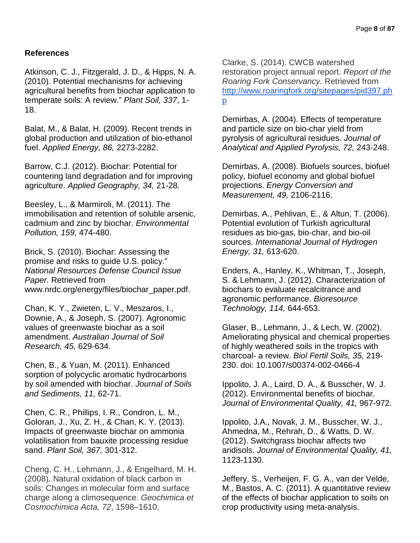### **References**

Atkinson, C. J., Fitzgerald, J. D., & Hipps, N. A. (2010). Potential mechanisms for achieving agricultural benefits from biochar application to temperate soils: A review." *Plant Soil, 337*, 1- 18.

Balat, M., & Balat, H. (2009). Recent trends in global production and utilization of bio-ethanol fuel. *Applied Energy, 86,* 2273-2282.

Barrow, C.J. (2012). Biochar: Potential for countering land degradation and for improving agriculture. *Applied Geography, 34,* 21-28.

Beesley, L., & Marmiroli, M. (2011). The immobilisation and retention of soluble arsenic, cadmium and zinc by biochar. *Environmental Pollution, 159,* 474-480.

Brick, S. (2010). Biochar: Assessing the promise and risks to guide U.S. policy." *National Resources Defense Council Issue Paper.* Retrieved from www.nrdc.org/energy/files/biochar\_paper.pdf.

Chan, K. Y., Zwieten, L. V., Meszaros, I., Downie, A., & Joseph, S. (2007). Agronomic values of greenwaste biochar as a soil amendment. *Australian Journal of Soil Research, 45,* 629-634.

Chen, B., & Yuan, M. (2011). Enhanced sorption of polycyclic aromatic hydrocarbons by soil amended with biochar. *Journal of Soils and Sediments, 11,* 62-71.

Chen, C. R., Phillips, I. R., Condron, L. M., Goloran, J., Xu, Z. H., & Chan, K. Y. (2013). Impacts of greenwaste biochar on ammonia volatilisation from bauxite processing residue sand. *Plant Soil, 367,* 301-312.

Cheng, C. H., Lehmann, J., & Engelhard, M. H. (2008). Natural oxidation of black carbon in soils: Changes in molecular form and surface charge along a climosequence. *Geochimica et Cosmochimica Acta, 72*, 1598–1610.

Clarke, S. (2014). CWCB watershed restoration project annual report. *Report of the Roaring Fork Conservancy.* Retrieved from [http://www.roaringfork.org/sitepages/pid397.ph](http://www.roaringfork.org/sitepages/pid397.php) [p](http://www.roaringfork.org/sitepages/pid397.php)

Demirbas, A. (2004). Effects of temperature and particle size on bio-char yield from pyrolysis of agricultural residues. *Journal of Analytical and Applied Pyrolysis, 72,* 243-248.

Demirbas, A. (2008). Biofuels sources, biofuel policy, biofuel economy and global biofuel projections. *Energy Conversion and Measurement, 49,* 2106-2116.

Demirbas, A., Pehlivan, E., & Altun, T. (2006). Potential evolution of Turkish agricultural residues as bio-gas, bio-char, and bio-oil sources. *International Journal of Hydrogen Energy, 31,* 613-620.

Enders, A., Hanley, K., Whitman, T., Joseph, S. & Lehmann, J. (2012). Characterization of biochars to evaluate recalcitrance and agronomic performance. *Bioresource Technology, 114,* 644-653.

Glaser, B., Lehmann, J., & Lech, W. (2002). Ameliorating physical and chemical properties of highly weathered soils in the tropics with charcoal- a review. *Biol Fertil Soils, 35,* 219- 230. doi: 10.1007/s00374-002-0466-4

Ippolito, J. A., Laird, D. A., & Busscher, W. J. (2012). Environmental benefits of biochar. *Journal of Environmental Quality, 41,* 967-972.

Ippolito, J.A., Novak, J. M., Busscher, W. J., Ahmedna, M., Rehrah, D., & Watts, D. W. (2012). Switchgrass biochar affects two aridisols. *Journal of Environmental Quality, 41,*  1123-1130.

Jeffery, S., Verheijen, F. G. A., van der Velde, M., Bastos, A. C. (2011). A quantitative review of the effects of biochar application to soils on crop productivity using meta-analysis.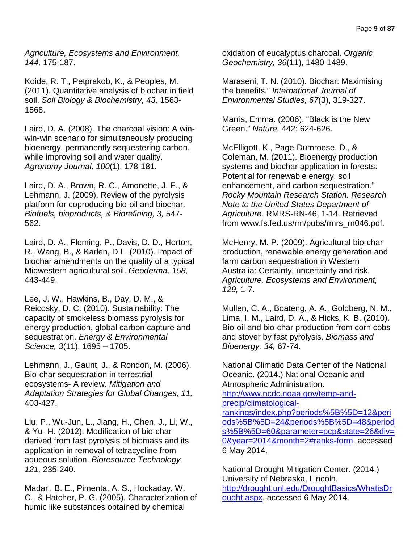*Agriculture, Ecosystems and Environment, 144,* 175-187.

Koide, R. T., Petprakob, K., & Peoples, M. (2011). Quantitative analysis of biochar in field soil. *Soil Biology & Biochemistry, 43,* 1563- 1568.

Laird, D. A. (2008). The charcoal vision: A winwin-win scenario for simultaneously producing bioenergy, permanently sequestering carbon, while improving soil and water quality. *Agronomy Journal, 100*(1), 178-181.

Laird, D. A., Brown, R. C., Amonette, J. E., & Lehmann, J. (2009). Review of the pyrolysis platform for coproducing bio-oil and biochar. *Biofuels, bioproducts, & Biorefining, 3,* 547- 562.

Laird, D. A., Fleming, P., Davis, D. D., Horton, R., Wang, B., & Karlen, D.L. (2010). Impact of biochar amendments on the quality of a typical Midwestern agricultural soil. *Geoderma, 158,*  443-449.

Lee, J. W., Hawkins, B., Day, D. M., & Reicosky, D. C. (2010). Sustainability: The capacity of smokeless biomass pyrolysis for energy production, global carbon capture and sequestration. *Energy & Environmental Science, 3*(11), 1695 – 1705.

Lehmann, J., Gaunt, J., & Rondon, M. (2006). Bio-char sequestration in terrestrial ecosystems- A review. *Mitigation and Adaptation Strategies for Global Changes, 11,*  403-427.

Liu, P., Wu-Jun, L., Jiang, H., Chen, J., Li, W., & Yu- H. (2012). Modification of bio-char derived from fast pyrolysis of biomass and its application in removal of tetracycline from aqueous solution. *Bioresource Technology, 121,* 235-240.

Madari, B. E., Pimenta, A. S., Hockaday, W. C., & Hatcher, P. G. (2005). Characterization of humic like substances obtained by chemical

oxidation of eucalyptus charcoal. *Organic Geochemistry, 36*(11), 1480-1489.

Maraseni, T. N. (2010). Biochar: Maximising the benefits." *International Journal of Environmental Studies, 67*(3), 319-327.

Marris, Emma. (2006). "Black is the New Green." *Nature.* 442: 624-626.

McElligott, K., Page-Dumroese, D., & Coleman, M. (2011). Bioenergy production systems and biochar application in forests: Potential for renewable energy, soil enhancement, and carbon sequestration." *Rocky Mountain Research Station. Research Note to the United States Department of Agriculture.* RMRS-RN-46, 1-14. Retrieved from www.fs.fed.us/rm/pubs/rmrs\_rn046.pdf.

McHenry, M. P. (2009). Agricultural bio-char production, renewable energy generation and farm carbon sequestration in Western Australia: Certainty, uncertainty and risk. *Agriculture, Ecosystems and Environment, 129,* 1-7.

Mullen, C. A., Boateng, A. A., Goldberg, N. M., Lima, I. M., Laird, D. A., & Hicks, K. B. (2010). Bio-oil and bio-char production from corn cobs and stover by fast pyrolysis. *Biomass and Bioenergy, 34,* 67-74.

National Climatic Data Center of the National Oceanic. (2014.) National Oceanic and Atmospheric Administration. [http://www.ncdc.noaa.gov/temp-and](http://www.ncdc.noaa.gov/temp-and-precip/climatological-rankings/index.php?periods%5B%5D=12&periods%5B%5D=24&periods%5B%5D=48&periods%5B%5D=60¶meter=pcp&state=26&div=0&year=2014&month=2#ranks-form)[precip/climatological-](http://www.ncdc.noaa.gov/temp-and-precip/climatological-rankings/index.php?periods%5B%5D=12&periods%5B%5D=24&periods%5B%5D=48&periods%5B%5D=60¶meter=pcp&state=26&div=0&year=2014&month=2#ranks-form)

[rankings/index.php?periods%5B%5D=12&peri](http://www.ncdc.noaa.gov/temp-and-precip/climatological-rankings/index.php?periods%5B%5D=12&periods%5B%5D=24&periods%5B%5D=48&periods%5B%5D=60¶meter=pcp&state=26&div=0&year=2014&month=2#ranks-form) [ods%5B%5D=24&periods%5B%5D=48&period](http://www.ncdc.noaa.gov/temp-and-precip/climatological-rankings/index.php?periods%5B%5D=12&periods%5B%5D=24&periods%5B%5D=48&periods%5B%5D=60¶meter=pcp&state=26&div=0&year=2014&month=2#ranks-form) [s%5B%5D=60&parameter=pcp&state=26&div=](http://www.ncdc.noaa.gov/temp-and-precip/climatological-rankings/index.php?periods%5B%5D=12&periods%5B%5D=24&periods%5B%5D=48&periods%5B%5D=60¶meter=pcp&state=26&div=0&year=2014&month=2#ranks-form) [0&year=2014&month=2#ranks-form.](http://www.ncdc.noaa.gov/temp-and-precip/climatological-rankings/index.php?periods%5B%5D=12&periods%5B%5D=24&periods%5B%5D=48&periods%5B%5D=60¶meter=pcp&state=26&div=0&year=2014&month=2#ranks-form) accessed 6 May 2014.

National Drought Mitigation Center. (2014.) University of Nebraska, Lincoln. [http://drought.unl.edu/DroughtBasics/WhatisDr](http://drought.unl.edu/DroughtBasics/WhatisDrought.aspx) [ought.aspx.](http://drought.unl.edu/DroughtBasics/WhatisDrought.aspx) accessed 6 May 2014.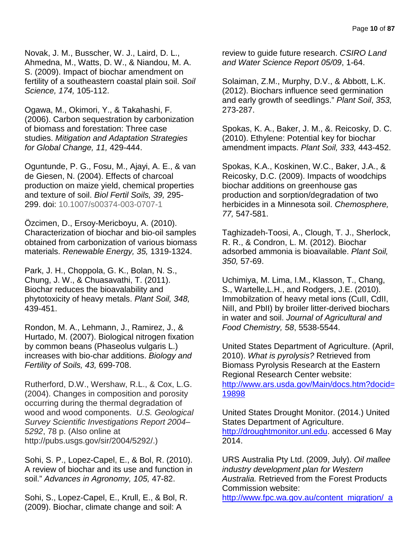Novak, J. M., Busscher, W. J., Laird, D. L., Ahmedna, M., Watts, D. W., & Niandou, M. A. S. (2009). Impact of biochar amendment on fertility of a southeastern coastal plain soil. *Soil Science, 174,* 105-112.

Ogawa, M., Okimori, Y., & Takahashi, F. (2006). Carbon sequestration by carbonization of biomass and forestation: Three case studies. *Mitigation and Adaptation Strategies for Global Change, 11,* 429-444.

Oguntunde, P. G., Fosu, M., Ajayi, A. E., & van de Giesen, N. (2004). Effects of charcoal production on maize yield, chemical properties and texture of soil. *Biol Fertil Soils, 39,* 295- 299. doi: 10.1007/s00374-003-0707-1

Özcimen, D., Ersoy-Mericboyu, A. (2010). Characterization of biochar and bio-oil samples obtained from carbonization of various biomass materials. *Renewable Energy, 35,* 1319-1324.

Park, J. H., Choppola, G. K., Bolan, N. S., Chung, J. W., & Chuasavathi, T. (2011). Biochar reduces the bioavalability and phytotoxicity of heavy metals. *Plant Soil, 348,*  439-451.

Rondon, M. A., Lehmann, J., Ramirez, J., & Hurtado, M. (2007). Biological nitrogen fixation by common beans (Phaseolus vulgaris L.) increases with bio-char additions. *Biology and Fertility of Soils, 43,* 699-708.

Rutherford, D.W., Wershaw, R.L., & Cox, L.G. (2004). Changes in composition and porosity occurring during the thermal degradation of wood and wood components. *U.S. Geological Survey Scientific Investigations Report 2004*– *5292*, 78 p. (Also online at http://pubs.usgs.gov/sir/2004/5292/.)

Sohi, S. P., Lopez-Capel, E., & Bol, R. (2010). A review of biochar and its use and function in soil." *Advances in Agronomy, 105,* 47-82.

Sohi, S., Lopez-Capel, E., Krull, E., & Bol, R. (2009). Biochar, climate change and soil: A

review to guide future research. *CSIRO Land and Water Science Report 05/09*, 1-64.

Solaiman, Z.M., Murphy, D.V., & Abbott, L.K. (2012). Biochars influence seed germination and early growth of seedlings." *Plant Soil*, *353,*  273-287.

Spokas, K. A., Baker, J. M., &. Reicosky, D. C. (2010). Ethylene: Potential key for biochar amendment impacts. *Plant Soil, 333,* 443-452.

Spokas, K.A., Koskinen, W.C., Baker, J.A., & Reicosky, D.C. (2009). Impacts of woodchips biochar additions on greenhouse gas production and sorption/degradation of two herbicides in a Minnesota soil. *Chemosphere, 77,* 547-581.

Taghizadeh-Toosi, A., Clough, T. J., Sherlock, R. R., & Condron, L. M. (2012). Biochar adsorbed ammonia is bioavailable. *Plant Soil, 350,* 57-69.

Uchimiya, M. Lima, I.M., Klasson, T., Chang, S., Wartelle,L.H., and Rodgers, J.E. (2010). Immobilzation of heavy metal ions (CuII, CdII, NiII, and PbII) by broiler litter-derived biochars in water and soil. *Journal of Agricultural and Food Chemistry, 58*, 5538-5544.

United States Department of Agriculture. (April, 2010). *What is pyrolysis?* Retrieved from Biomass Pyrolysis Research at the Eastern Regional Research Center website:

[http://www.ars.usda.gov/Main/docs.htm?docid=](http://www.ars.usda.gov/Main/docs.htm?docid=19898) [19898](http://www.ars.usda.gov/Main/docs.htm?docid=19898)

United States Drought Monitor. (2014.) United States Department of Agriculture. [http://droughtmonitor.unl.edu.](http://droughtmonitor.unl.edu/) accessed 6 May 2014.

URS Australia Pty Ltd. (2009, July). *Oil mallee industry development plan for Western Australia.* Retrieved from the Forest Products Commission website:

[http://www.fpc.wa.gov.au/content\\_migration/\\_a](http://www.fpc.wa.gov.au/content_migration/_assets/documents/plantations/industry_plans/oil_mallee_idp.pdf)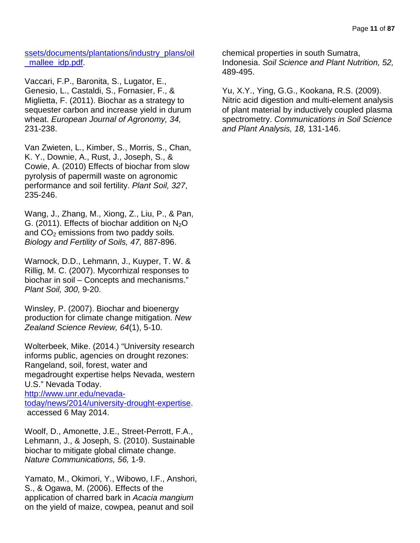[ssets/documents/plantations/industry\\_plans/oil](http://www.fpc.wa.gov.au/content_migration/_assets/documents/plantations/industry_plans/oil_mallee_idp.pdf) mallee idp.pdf.

Vaccari, F.P., Baronita, S., Lugator, E., Genesio, L., Castaldi, S., Fornasier, F., & Miglietta, F. (2011). Biochar as a strategy to sequester carbon and increase yield in durum wheat. *European Journal of Agronomy, 34,*  231-238.

Van Zwieten, L., Kimber, S., Morris, S., Chan, K. Y., Downie, A., Rust, J., Joseph, S., & Cowie, A. (2010) Effects of biochar from slow pyrolysis of papermill waste on agronomic performance and soil fertility. *Plant Soil, 327*, 235-246.

Wang, J., Zhang, M., Xiong, Z., Liu, P., & Pan, G. (2011). Effects of biochar addition on  $N_2O$ and  $CO<sub>2</sub>$  emissions from two paddy soils. *Biology and Fertility of Soils, 47,* 887-896.

Warnock, D.D., Lehmann, J., Kuyper, T. W. & Rillig, M. C. (2007). Mycorrhizal responses to biochar in soil – Concepts and mechanisms." *Plant Soil, 300,* 9-20.

Winsley, P. (2007). Biochar and bioenergy production for climate change mitigation. *New Zealand Science Review, 64*(1), 5-10.

Wolterbeek, Mike. (2014.) "University research informs public, agencies on drought rezones: Rangeland, soil, forest, water and megadrought expertise helps Nevada, western U.S." Nevada Today. [http://www.unr.edu/nevada](http://www.unr.edu/nevada-today/news/2014/university-drought-expertise)[today/news/2014/university-drought-expertise.](http://www.unr.edu/nevada-today/news/2014/university-drought-expertise) accessed 6 May 2014.

Woolf, D., Amonette, J.E., Street-Perrott, F.A., Lehmann, J., & Joseph, S. (2010). Sustainable biochar to mitigate global climate change. *Nature Communications, 56,* 1-9.

Yamato, M., Okimori, Y., Wibowo, I.F., Anshori, S., & Ogawa, M. (2006). Effects of the application of charred bark in *Acacia mangium* on the yield of maize, cowpea, peanut and soil

chemical properties in south Sumatra, Indonesia. *Soil Science and Plant Nutrition, 52,*  489-495.

Yu, X.Y., Ying, G.G., Kookana, R.S. (2009). Nitric acid digestion and multi-element analysis of plant material by inductively coupled plasma spectrometry. *Communications in Soil Science and Plant Analysis, 18,* 131-146.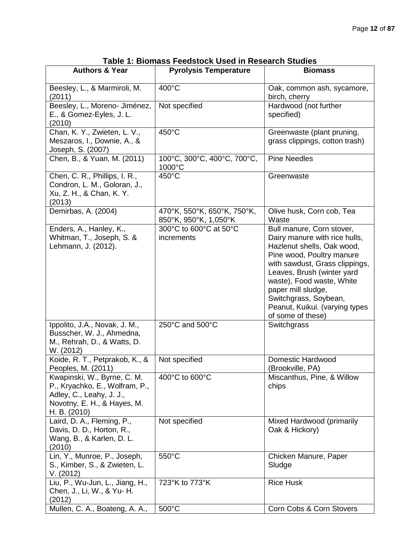| <b>Authors &amp; Year</b>                                                                                                                | <b>Pyrolysis Temperature</b>                         | <b>Biomass</b>                                                                                                                                                                                                                                                                                                           |
|------------------------------------------------------------------------------------------------------------------------------------------|------------------------------------------------------|--------------------------------------------------------------------------------------------------------------------------------------------------------------------------------------------------------------------------------------------------------------------------------------------------------------------------|
| Beesley, L., & Marmiroli, M.<br>(2011)                                                                                                   | 400°C                                                | Oak, common ash, sycamore,<br>birch, cherry                                                                                                                                                                                                                                                                              |
| Beesley, L., Moreno- Jiménez,<br>E., & Gomez-Eyles, J. L.<br>(2010)                                                                      | Not specified                                        | Hardwood (not further<br>specified)                                                                                                                                                                                                                                                                                      |
| Chan, K. Y., Zwieten, L. V.,<br>Meszaros, I., Downie, A., &<br>Joseph, S. (2007)                                                         | 450°C                                                | Greenwaste (plant pruning,<br>grass clippings, cotton trash)                                                                                                                                                                                                                                                             |
| Chen, B., & Yuan, M. (2011)                                                                                                              | 100°C, 300°C, 400°C, 700°C,<br>1000°C                | <b>Pine Needles</b>                                                                                                                                                                                                                                                                                                      |
| Chen, C. R., Phillips, I. R.,<br>Condron, L. M., Goloran, J.,<br>Xu, Z. H., & Chan, K. Y.<br>(2013)                                      | 450°C                                                | Greenwaste                                                                                                                                                                                                                                                                                                               |
| Demirbas, A. (2004)                                                                                                                      | 470°K, 550°K, 650°K, 750°K,<br>850°K, 950°K, 1,050°K | Olive husk, Corn cob, Tea<br>Waste                                                                                                                                                                                                                                                                                       |
| Enders, A., Hanley, K.,<br>Whitman, T., Joseph, S. &<br>Lehmann, J. (2012).                                                              | 300°C to 600°C at 50°C<br>increments                 | Bull manure, Corn stover,<br>Dairy manure with rice hulls,<br>Hazlenut shells, Oak wood,<br>Pine wood, Poultry manure<br>with sawdust, Grass clippings,<br>Leaves, Brush (winter yard<br>waste), Food waste, White<br>paper mill sludge,<br>Switchgrass, Soybean,<br>Peanut, Kuikui. (varying types<br>of some of these) |
| Ippolito, J.A., Novak, J. M.,<br>Busscher, W. J., Ahmedna,<br>M., Rehrah, D., & Watts, D.<br>W. (2012)                                   | 250°C and 500°C                                      | Switchgrass                                                                                                                                                                                                                                                                                                              |
| Koide, R. T., Petprakob, K., &<br>Peoples, M. (2011)                                                                                     | Not specified                                        | Domestic Hardwood<br>(Brookville, PA)                                                                                                                                                                                                                                                                                    |
| Kwapinski, W., Byrne, C. M.<br>P., Kryachko, E., Wolfram, P.,<br>Adley, C., Leahy, J. J.,<br>Novotny, E. H., & Hayes, M.<br>H. B. (2010) | 400°C to 600°C                                       | Miscanthus, Pine, & Willow<br>chips                                                                                                                                                                                                                                                                                      |
| Laird, D. A., Fleming, P.,<br>Davis, D. D., Horton, R.,<br>Wang, B., & Karlen, D. L.<br>(2010)                                           | Not specified                                        | Mixed Hardwood (primarily<br>Oak & Hickory)                                                                                                                                                                                                                                                                              |
| Lin, Y., Munroe, P., Joseph,<br>S., Kimber, S., & Zwieten, L.<br>V. (2012)                                                               | 550°C                                                | Chicken Manure, Paper<br>Sludge                                                                                                                                                                                                                                                                                          |
| Liu, P., Wu-Jun, L., Jiang, H.,<br>Chen, J., Li, W., & Yu- H.<br>(2012)                                                                  | 723°K to 773°K                                       | <b>Rice Husk</b>                                                                                                                                                                                                                                                                                                         |
| Mullen, C. A., Boateng, A. A.,                                                                                                           | 500°C                                                | Corn Cobs & Corn Stovers                                                                                                                                                                                                                                                                                                 |

**Table 1: Biomass Feedstock Used in Research Studies**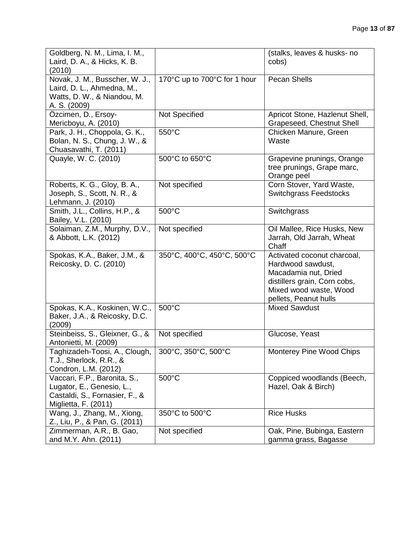| Goldberg, N. M., Lima, I. M.,<br>Laird, D. A., & Hicks, K. B.<br>(2010)                                             |                              | (stalks, leaves & husks- no<br>cobs)                                                                                                                        |
|---------------------------------------------------------------------------------------------------------------------|------------------------------|-------------------------------------------------------------------------------------------------------------------------------------------------------------|
| Novak, J. M., Busscher, W. J.,<br>Laird, D. L., Ahmedna, M.,<br>Watts, D. W., & Niandou, M.<br>A. S. (2009)         | 170°C up to 700°C for 1 hour | <b>Pecan Shells</b>                                                                                                                                         |
| Özcimen, D., Ersoy-<br>Mericboyu, A. (2010)                                                                         | Not Specified                | Apricot Stone, Hazlenut Shell,<br>Grapeseed, Chestnut Shell                                                                                                 |
| Park, J. H., Choppola, G. K.,<br>Bolan, N. S., Chung, J. W., &<br>Chuasavathi, T. (2011)                            | 550°C                        | Chicken Manure, Green<br>Waste                                                                                                                              |
| Quayle, W. C. (2010)                                                                                                | 500°C to 650°C               | Grapevine prunings, Orange<br>tree prunings, Grape marc,<br>Orange peel                                                                                     |
| Roberts, K. G., Gloy, B. A.,<br>Joseph, S., Scott, N. R., &<br>Lehmann, J. (2010)                                   | Not specified                | Corn Stover, Yard Waste,<br><b>Switchgrass Feedstocks</b>                                                                                                   |
| Smith, J.L., Collins, H.P., &<br>Bailey, V.L. (2010)                                                                | 500°C                        | Switchgrass                                                                                                                                                 |
| Solaiman, Z.M., Murphy, D.V.,<br>& Abbott, L.K. (2012)                                                              | Not specified                | Oil Mallee, Rice Husks, New<br>Jarrah, Old Jarrah, Wheat<br>Chaff                                                                                           |
| Spokas, K.A., Baker, J.M., &<br>Reicosky, D. C. (2010)                                                              | 350°C, 400°C, 450°C, 500°C   | Activated coconut charcoal,<br>Hardwood sawdust,<br>Macadamia nut, Dried<br>distillers grain, Corn cobs,<br>Mixed wood waste, Wood<br>pellets, Peanut hulls |
| Spokas, K.A., Koskinen, W.C.,<br>Baker, J.A., & Reicosky, D.C.<br>(2009)                                            | 500°C                        | <b>Mixed Sawdust</b>                                                                                                                                        |
| Steinbeiss, S., Gleixner, G., &<br>Antonietti, M. (2009)                                                            | Not specified                | Glucose, Yeast                                                                                                                                              |
| Taghizadeh-Toosi, A., Clough,<br>T.J., Sherlock, R.R., &<br>Condron, L.M. (2012)                                    | 300°C, 350°C, 500°C          | Monterey Pine Wood Chips                                                                                                                                    |
| Vaccari, F.P., Baronita, S.,<br>Lugator, E., Genesio, L.,<br>Castaldi, S., Fornasier, F., &<br>Miglietta, F. (2011) | 500°C                        | Coppiced woodlands (Beech,<br>Hazel, Oak & Birch)                                                                                                           |
| Wang, J., Zhang, M., Xiong,<br>Z., Liu, P., & Pan, G. (2011)                                                        | 350°C to 500°C               | <b>Rice Husks</b>                                                                                                                                           |
| Zimmerman, A.R., B. Gao,<br>and M.Y. Ahn. (2011)                                                                    | Not specified                | Oak, Pine, Bubinga, Eastern<br>gamma grass, Bagasse                                                                                                         |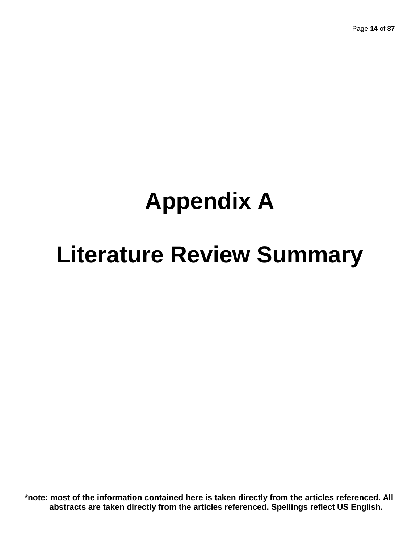# **Appendix A**

# **Literature Review Summary**

**\*note: most of the information contained here is taken directly from the articles referenced. All abstracts are taken directly from the articles referenced. Spellings reflect US English.**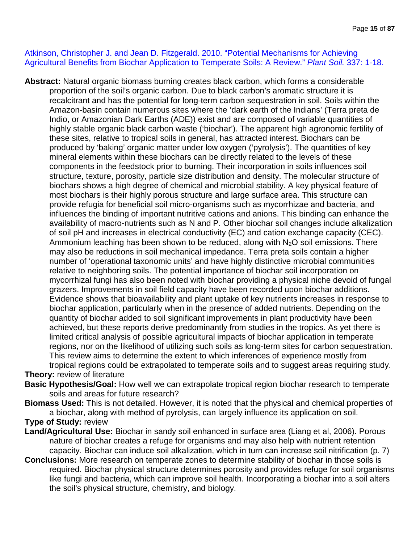### Atkinson, Christopher J. and Jean D. Fitzgerald. 2010. "Potential Mechanisms for Achieving Agricultural Benefits from Biochar Application to Temperate Soils: A Review." *Plant Soil.* 337: 1-18.

**Abstract:** Natural organic biomass burning creates black carbon, which forms a considerable proportion of the soil's organic carbon. Due to black carbon's aromatic structure it is recalcitrant and has the potential for long-term carbon sequestration in soil. Soils within the Amazon-basin contain numerous sites where the 'dark earth of the Indians' (Terra preta de Indio, or Amazonian Dark Earths (ADE)) exist and are composed of variable quantities of highly stable organic black carbon waste ('biochar'). The apparent high agronomic fertility of these sites, relative to tropical soils in general, has attracted interest. Biochars can be produced by 'baking' organic matter under low oxygen ('pyrolysis'). The quantities of key mineral elements within these biochars can be directly related to the levels of these components in the feedstock prior to burning. Their incorporation in soils influences soil structure, texture, porosity, particle size distribution and density. The molecular structure of biochars shows a high degree of chemical and microbial stability. A key physical feature of most biochars is their highly porous structure and large surface area. This structure can provide refugia for beneficial soil micro-organisms such as mycorrhizae and bacteria, and influences the binding of important nutritive cations and anions. This binding can enhance the availability of macro-nutrients such as N and P. Other biochar soil changes include alkalization of soil pH and increases in electrical conductivity (EC) and cation exchange capacity (CEC). Ammonium leaching has been shown to be reduced, along with  $N_2O$  soil emissions. There may also be reductions in soil mechanical impedance. Terra preta soils contain a higher number of 'operational taxonomic units' and have highly distinctive microbial communities relative to neighboring soils. The potential importance of biochar soil incorporation on mycorrhizal fungi has also been noted with biochar providing a physical niche devoid of fungal grazers. Improvements in soil field capacity have been recorded upon biochar additions. Evidence shows that bioavailability and plant uptake of key nutrients increases in response to biochar application, particularly when in the presence of added nutrients. Depending on the quantity of biochar added to soil significant improvements in plant productivity have been achieved, but these reports derive predominantly from studies in the tropics. As yet there is limited critical analysis of possible agricultural impacts of biochar application in temperate regions, nor on the likelihood of utilizing such soils as long-term sites for carbon sequestration. This review aims to determine the extent to which inferences of experience mostly from tropical regions could be extrapolated to temperate soils and to suggest areas requiring study.

### **Theory:** review of literature

- **Basic Hypothesis/Goal:** How well we can extrapolate tropical region biochar research to temperate soils and areas for future research?
- **Biomass Used:** This is not detailed. However, it is noted that the physical and chemical properties of a biochar, along with method of pyrolysis, can largely influence its application on soil.

### **Type of Study:** review

- **Land/Agricultural Use:** Biochar in sandy soil enhanced in surface area (Liang et al, 2006). Porous nature of biochar creates a refuge for organisms and may also help with nutrient retention capacity. Biochar can induce soil alkalization, which in turn can increase soil nitrification (p. 7)
- **Conclusions:** More research on temperate zones to determine stability of biochar in those soils is required. Biochar physical structure determines porosity and provides refuge for soil organisms like fungi and bacteria, which can improve soil health. Incorporating a biochar into a soil alters the soil's physical structure, chemistry, and biology.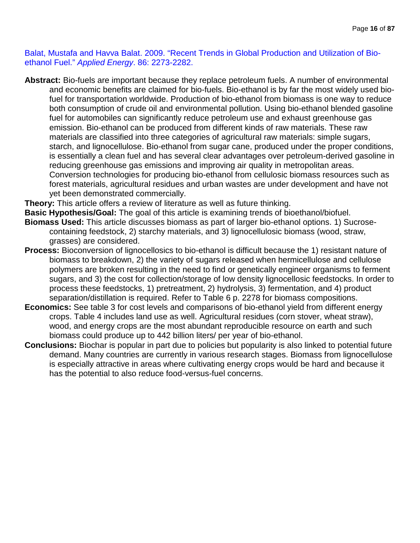Balat, Mustafa and Havva Balat. 2009. "Recent Trends in Global Production and Utilization of Bioethanol Fuel." *Applied Energy*. 86: 2273-2282.

**Abstract:** Bio-fuels are important because they replace petroleum fuels. A number of environmental and economic benefits are claimed for bio-fuels. Bio-ethanol is by far the most widely used biofuel for transportation worldwide. Production of bio-ethanol from biomass is one way to reduce both consumption of crude oil and environmental pollution. Using bio-ethanol blended gasoline fuel for automobiles can significantly reduce petroleum use and exhaust greenhouse gas emission. Bio-ethanol can be produced from different kinds of raw materials. These raw materials are classified into three categories of agricultural raw materials: simple sugars, starch, and lignocellulose. Bio-ethanol from sugar cane, produced under the proper conditions, is essentially a clean fuel and has several clear advantages over petroleum-derived gasoline in reducing greenhouse gas emissions and improving air quality in metropolitan areas. Conversion technologies for producing bio-ethanol from cellulosic biomass resources such as forest materials, agricultural residues and urban wastes are under development and have not yet been demonstrated commercially.

**Theory:** This article offers a review of literature as well as future thinking.

**Basic Hypothesis/Goal:** The goal of this article is examining trends of bioethanol/biofuel.

- **Biomass Used:** This article discusses biomass as part of larger bio-ethanol options. 1) Sucrosecontaining feedstock, 2) starchy materials, and 3) lignocellulosic biomass (wood, straw, grasses) are considered.
- **Process:** Bioconversion of lignocellosics to bio-ethanol is difficult because the 1) resistant nature of biomass to breakdown, 2) the variety of sugars released when hermicellulose and cellulose polymers are broken resulting in the need to find or genetically engineer organisms to ferment sugars, and 3) the cost for collection/storage of low density lignocellosic feedstocks. In order to process these feedstocks, 1) pretreatment, 2) hydrolysis, 3) fermentation, and 4) product separation/distillation is required. Refer to Table 6 p. 2278 for biomass compositions.
- **Economics:** See table 3 for cost levels and comparisons of bio-ethanol yield from different energy crops. Table 4 includes land use as well. Agricultural residues (corn stover, wheat straw), wood, and energy crops are the most abundant reproducible resource on earth and such biomass could produce up to 442 billion liters/ per year of bio-ethanol.
- **Conclusions:** Biochar is popular in part due to policies but popularity is also linked to potential future demand. Many countries are currently in various research stages. Biomass from lignocellulose is especially attractive in areas where cultivating energy crops would be hard and because it has the potential to also reduce food-versus-fuel concerns.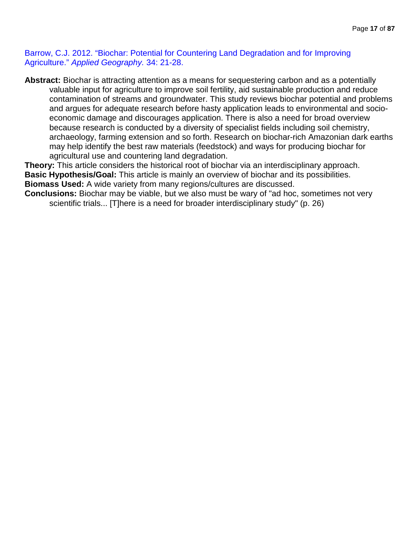Barrow, C.J. 2012. "Biochar: Potential for Countering Land Degradation and for Improving Agriculture." *Applied Geography.* 34: 21-28.

**Abstract:** Biochar is attracting attention as a means for sequestering carbon and as a potentially valuable input for agriculture to improve soil fertility, aid sustainable production and reduce contamination of streams and groundwater. This study reviews biochar potential and problems and argues for adequate research before hasty application leads to environmental and socioeconomic damage and discourages application. There is also a need for broad overview because research is conducted by a diversity of specialist fields including soil chemistry, archaeology, farming extension and so forth. Research on biochar-rich Amazonian dark earths may help identify the best raw materials (feedstock) and ways for producing biochar for agricultural use and countering land degradation.

**Theory:** This article considers the historical root of biochar via an interdisciplinary approach. **Basic Hypothesis/Goal:** This article is mainly an overview of biochar and its possibilities. **Biomass Used:** A wide variety from many regions/cultures are discussed.

**Conclusions:** Biochar may be viable, but we also must be wary of "ad hoc, sometimes not very scientific trials... [T]here is a need for broader interdisciplinary study" (p. 26)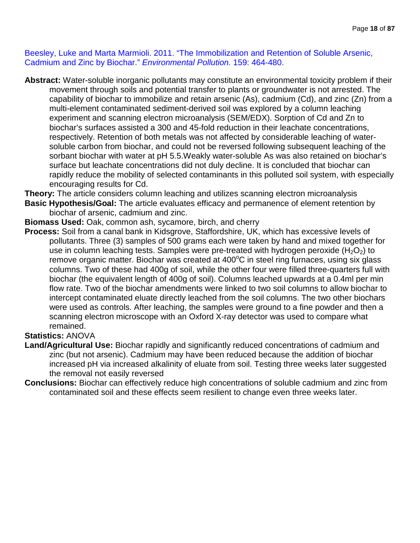Beesley, Luke and Marta Marmioli. 2011. "The Immobilization and Retention of Soluble Arsenic, Cadmium and Zinc by Biochar." *Environmental Pollution.* 159: 464-480.

**Abstract:** Water-soluble inorganic pollutants may constitute an environmental toxicity problem if their movement through soils and potential transfer to plants or groundwater is not arrested. The capability of biochar to immobilize and retain arsenic (As), cadmium (Cd), and zinc (Zn) from a multi-element contaminated sediment-derived soil was explored by a column leaching experiment and scanning electron microanalysis (SEM/EDX). Sorption of Cd and Zn to biochar's surfaces assisted a 300 and 45-fold reduction in their leachate concentrations, respectively. Retention of both metals was not affected by considerable leaching of watersoluble carbon from biochar, and could not be reversed following subsequent leaching of the sorbant biochar with water at pH 5.5.Weakly water-soluble As was also retained on biochar's surface but leachate concentrations did not duly decline. It is concluded that biochar can rapidly reduce the mobility of selected contaminants in this polluted soil system, with especially encouraging results for Cd.

**Theory:** The article considers column leaching and utilizes scanning electron microanalysis

**Basic Hypothesis/Goal:** The article evaluates efficacy and permanence of element retention by biochar of arsenic, cadmium and zinc.

**Biomass Used:** Oak, common ash, sycamore, birch, and cherry

**Process:** Soil from a canal bank in Kidsgrove, Staffordshire, UK, which has excessive levels of pollutants. Three (3) samples of 500 grams each were taken by hand and mixed together for use in column leaching tests. Samples were pre-treated with hydrogen peroxide  $(H_2O_2)$  to remove organic matter. Biochar was created at 400°C in steel ring furnaces, using six glass columns. Two of these had 400g of soil, while the other four were filled three-quarters full with biochar (the equivalent length of 400g of soil). Columns leached upwards at a 0.4ml per min flow rate. Two of the biochar amendments were linked to two soil columns to allow biochar to intercept contaminated eluate directly leached from the soil columns. The two other biochars were used as controls. After leaching, the samples were ground to a fine powder and then a scanning electron microscope with an Oxford X-ray detector was used to compare what remained.

## **Statistics:** ANOVA

- **Land/Agricultural Use:** Biochar rapidly and significantly reduced concentrations of cadmium and zinc (but not arsenic). Cadmium may have been reduced because the addition of biochar increased pH via increased alkalinity of eluate from soil. Testing three weeks later suggested the removal not easily reversed
- **Conclusions:** Biochar can effectively reduce high concentrations of soluble cadmium and zinc from contaminated soil and these effects seem resilient to change even three weeks later.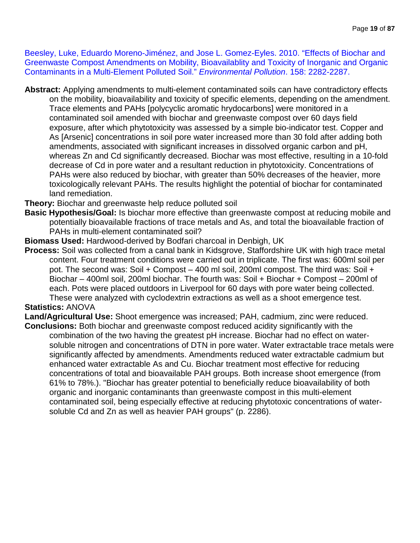Beesley, Luke, Eduardo Moreno-Jiménez, and Jose L. Gomez-Eyles. 2010. "Effects of Biochar and Greenwaste Compost Amendments on Mobility, Bioavailablity and Toxicity of Inorganic and Organic Contaminants in a Multi-Element Polluted Soil." *Environmental Pollution*. 158: 2282-2287.

**Abstract:** Applying amendments to multi-element contaminated soils can have contradictory effects on the mobility, bioavailability and toxicity of specific elements, depending on the amendment. Trace elements and PAHs [polycyclic aromatic hrydocarbons] were monitored in a contaminated soil amended with biochar and greenwaste compost over 60 days field exposure, after which phytotoxicity was assessed by a simple bio-indicator test. Copper and As [Arsenic] concentrations in soil pore water increased more than 30 fold after adding both amendments, associated with significant increases in dissolved organic carbon and pH, whereas Zn and Cd significantly decreased. Biochar was most effective, resulting in a 10-fold decrease of Cd in pore water and a resultant reduction in phytotoxicity. Concentrations of PAHs were also reduced by biochar, with greater than 50% decreases of the heavier, more toxicologically relevant PAHs. The results highlight the potential of biochar for contaminated land remediation.

**Theory:** Biochar and greenwaste help reduce polluted soil

- **Basic Hypothesis/Goal:** Is biochar more effective than greenwaste compost at reducing mobile and potentially bioavailable fractions of trace metals and As, and total the bioavailable fraction of PAHs in multi-element contaminated soil?
- **Biomass Used:** Hardwood-derived by Bodfari charcoal in Denbigh, UK
- **Process:** Soil was collected from a canal bank in Kidsgrove, Staffordshire UK with high trace metal content. Four treatment conditions were carried out in triplicate. The first was: 600ml soil per pot. The second was: Soil + Compost – 400 ml soil, 200ml compost. The third was: Soil + Biochar – 400ml soil, 200ml biochar. The fourth was: Soil + Biochar + Compost – 200ml of each. Pots were placed outdoors in Liverpool for 60 days with pore water being collected. These were analyzed with cyclodextrin extractions as well as a shoot emergence test.

### **Statistics:** ANOVA

**Land/Agricultural Use:** Shoot emergence was increased; PAH, cadmium, zinc were reduced. **Conclusions:** Both biochar and greenwaste compost reduced acidity significantly with the

combination of the two having the greatest pH increase. Biochar had no effect on watersoluble nitrogen and concentrations of DTN in pore water. Water extractable trace metals were significantly affected by amendments. Amendments reduced water extractable cadmium but enhanced water extractable As and Cu. Biochar treatment most effective for reducing concentrations of total and bioavailable PAH groups. Both increase shoot emergence (from 61% to 78%.). "Biochar has greater potential to beneficially reduce bioavailability of both organic and inorganic contaminants than greenwaste compost in this multi-element contaminated soil, being especially effective at reducing phytotoxic concentrations of watersoluble Cd and Zn as well as heavier PAH groups" (p. 2286).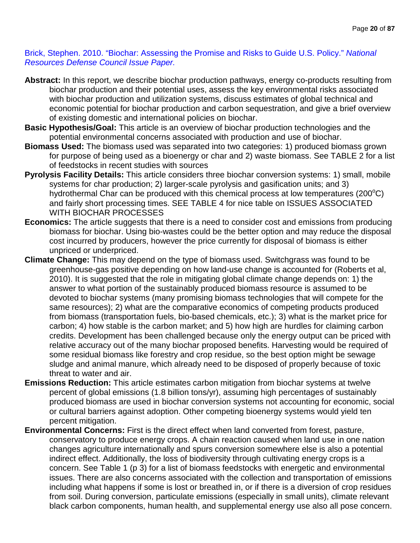### Brick, Stephen. 2010. "Biochar: Assessing the Promise and Risks to Guide U.S. Policy." *National Resources Defense Council Issue Paper.*

- **Abstract:** In this report, we describe biochar production pathways, energy co-products resulting from biochar production and their potential uses, assess the key environmental risks associated with biochar production and utilization systems, discuss estimates of global technical and economic potential for biochar production and carbon sequestration, and give a brief overview of existing domestic and international policies on biochar.
- **Basic Hypothesis/Goal:** This article is an overview of biochar production technologies and the potential environmental concerns associated with production and use of biochar.
- **Biomass Used:** The biomass used was separated into two categories: 1) produced biomass grown for purpose of being used as a bioenergy or char and 2) waste biomass. See TABLE 2 for a list of feedstocks in recent studies with sources
- **Pyrolysis Facility Details:** This article considers three biochar conversion systems: 1) small, mobile systems for char production; 2) larger-scale pyrolysis and gasification units; and 3) hydrothermal Char can be produced with this chemical process at low temperatures (200 $^{\circ}$ C) and fairly short processing times. SEE TABLE 4 for nice table on ISSUES ASSOCIATED WITH BIOCHAR PROCESSES
- **Economics:** The article suggests that there is a need to consider cost and emissions from producing biomass for biochar. Using bio-wastes could be the better option and may reduce the disposal cost incurred by producers, however the price currently for disposal of biomass is either unpriced or underpriced.
- **Climate Change:** This may depend on the type of biomass used. Switchgrass was found to be greenhouse-gas positive depending on how land-use change is accounted for (Roberts et al, 2010). It is suggested that the role in mitigating global climate change depends on: 1) the answer to what portion of the sustainably produced biomass resource is assumed to be devoted to biochar systems (many promising biomass technologies that will compete for the same resources); 2) what are the comparative economics of competing products produced from biomass (transportation fuels, bio-based chemicals, etc.); 3) what is the market price for carbon; 4) how stable is the carbon market; and 5) how high are hurdles for claiming carbon credits. Development has been challenged because only the energy output can be priced with relative accuracy out of the many biochar proposed benefits. Harvesting would be required of some residual biomass like forestry and crop residue, so the best option might be sewage sludge and animal manure, which already need to be disposed of properly because of toxic threat to water and air.
- **Emissions Reduction:** This article estimates carbon mitigation from biochar systems at twelve percent of global emissions (1.8 billion tons/yr), assuming high percentages of sustainably produced biomass are used in biochar conversion systems not accounting for economic, social or cultural barriers against adoption. Other competing bioenergy systems would yield ten percent mitigation.
- **Environmental Concerns:** First is the direct effect when land converted from forest, pasture, conservatory to produce energy crops. A chain reaction caused when land use in one nation changes agriculture internationally and spurs conversion somewhere else is also a potential indirect effect. Additionally, the loss of biodiversity through cultivating energy crops is a concern. See Table 1 (p 3) for a list of biomass feedstocks with energetic and environmental issues. There are also concerns associated with the collection and transportation of emissions including what happens if some is lost or breathed in, or if there is a diversion of crop residues from soil. During conversion, particulate emissions (especially in small units), climate relevant black carbon components, human health, and supplemental energy use also all pose concern.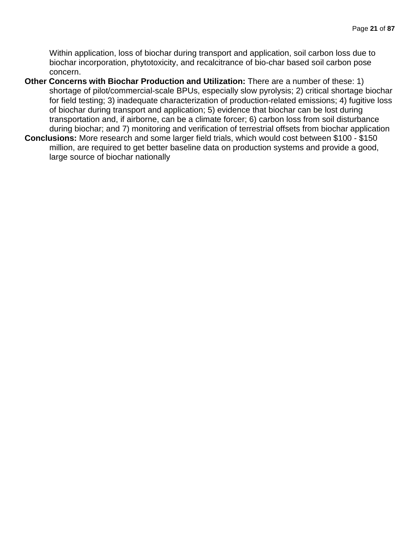Within application, loss of biochar during transport and application, soil carbon loss due to biochar incorporation, phytotoxicity, and recalcitrance of bio-char based soil carbon pose concern.

- **Other Concerns with Biochar Production and Utilization:** There are a number of these: 1) shortage of pilot/commercial-scale BPUs, especially slow pyrolysis; 2) critical shortage biochar for field testing; 3) inadequate characterization of production-related emissions; 4) fugitive loss of biochar during transport and application; 5) evidence that biochar can be lost during transportation and, if airborne, can be a climate forcer; 6) carbon loss from soil disturbance during biochar; and 7) monitoring and verification of terrestrial offsets from biochar application
- **Conclusions:** More research and some larger field trials, which would cost between \$100 \$150 million, are required to get better baseline data on production systems and provide a good, large source of biochar nationally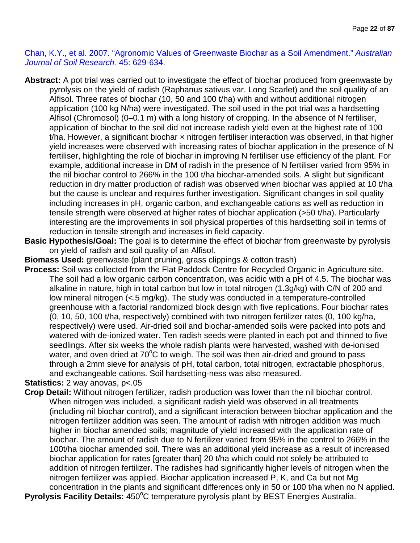Chan, K.Y., et al. 2007. "Agronomic Values of Greenwaste Biochar as a Soil Amendment." *Australian Journal of Soil Research.* 45: 629-634.

- **Abstract:** A pot trial was carried out to investigate the effect of biochar produced from greenwaste by pyrolysis on the yield of radish (Raphanus sativus var. Long Scarlet) and the soil quality of an Alfisol. Three rates of biochar (10, 50 and 100 t/ha) with and without additional nitrogen application (100 kg N/ha) were investigated. The soil used in the pot trial was a hardsetting Alfisol (Chromosol) (0–0.1 m) with a long history of cropping. In the absence of N fertiliser, application of biochar to the soil did not increase radish yield even at the highest rate of 100 t/ha. However, a significant biochar  $\times$  nitrogen fertiliser interaction was observed, in that higher yield increases were observed with increasing rates of biochar application in the presence of N fertiliser, highlighting the role of biochar in improving N fertiliser use efficiency of the plant. For example, additional increase in DM of radish in the presence of N fertiliser varied from 95% in the nil biochar control to 266% in the 100 t/ha biochar-amended soils. A slight but significant reduction in dry matter production of radish was observed when biochar was applied at 10 t/ha but the cause is unclear and requires further investigation. Significant changes in soil quality including increases in pH, organic carbon, and exchangeable cations as well as reduction in tensile strength were observed at higher rates of biochar application (>50 t/ha). Particularly interesting are the improvements in soil physical properties of this hardsetting soil in terms of reduction in tensile strength and increases in field capacity.
- **Basic Hypothesis/Goal:** The goal is to determine the effect of biochar from greenwaste by pyrolysis on yield of radish and soil quality of an Alfisol.
- **Biomass Used:** greenwaste (plant pruning, grass clippings & cotton trash)
- **Process:** Soil was collected from the Flat Paddock Centre for Recycled Organic in Agriculture site. The soil had a low organic carbon concentration, was acidic with a pH of 4.5. The biochar was alkaline in nature, high in total carbon but low in total nitrogen (1.3g/kg) with C/N of 200 and low mineral nitrogen (<.5 mg/kg). The study was conducted in a temperature-controlled greenhouse with a factorial randomized block design with five replications. Four biochar rates (0, 10, 50, 100 t/ha, respectively) combined with two nitrogen fertilizer rates (0, 100 kg/ha, respectively) were used. Air-dried soil and biochar-amended soils were packed into pots and watered with de-ionized water. Ten radish seeds were planted in each pot and thinned to five seedlings. After six weeks the whole radish plants were harvested, washed with de-ionised water, and oven dried at  $70^{\circ}$ C to weigh. The soil was then air-dried and ground to pass through a 2mm sieve for analysis of pH, total carbon, total nitrogen, extractable phosphorus, and exchangeable cations. Soil hardsetting-ness was also measured.

### **Statistics:** 2 way anovas, p<.05

- **Crop Detail:** Without nitrogen fertilizer, radish production was lower than the nil biochar control. When nitrogen was included, a significant radish yield was observed in all treatments (including nil biochar control), and a significant interaction between biochar application and the nitrogen fertilizer addition was seen. The amount of radish with nitrogen addition was much higher in biochar amended soils; magnitude of yield increased with the application rate of biochar. The amount of radish due to N fertilizer varied from 95% in the control to 266% in the 100t/ha biochar amended soil. There was an additional yield increase as a result of increased biochar application for rates [greater than] 20 t/ha which could not solely be attributed to addition of nitrogen fertilizer. The radishes had significantly higher levels of nitrogen when the nitrogen fertilizer was applied. Biochar application increased P, K, and Ca but not Mg concentration in the plants and significant differences only in 50 or 100 t/ha when no N applied.
- Pyrolysis Facility Details: 450°C temperature pyrolysis plant by BEST Energies Australia.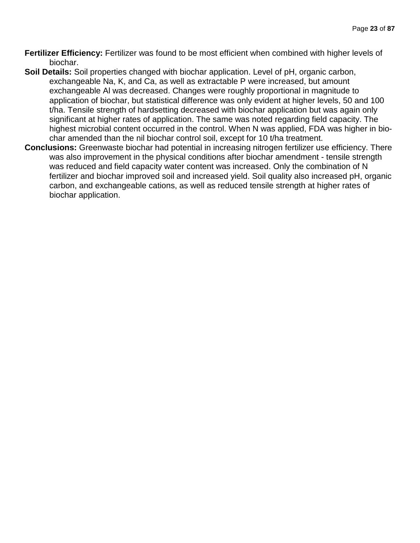- **Fertilizer Efficiency:** Fertilizer was found to be most efficient when combined with higher levels of biochar.
- **Soil Details:** Soil properties changed with biochar application. Level of pH, organic carbon, exchangeable Na, K, and Ca, as well as extractable P were increased, but amount exchangeable Al was decreased. Changes were roughly proportional in magnitude to application of biochar, but statistical difference was only evident at higher levels, 50 and 100 t/ha. Tensile strength of hardsetting decreased with biochar application but was again only significant at higher rates of application. The same was noted regarding field capacity. The highest microbial content occurred in the control. When N was applied, FDA was higher in biochar amended than the nil biochar control soil, except for 10 t/ha treatment.
- **Conclusions:** Greenwaste biochar had potential in increasing nitrogen fertilizer use efficiency. There was also improvement in the physical conditions after biochar amendment - tensile strength was reduced and field capacity water content was increased. Only the combination of N fertilizer and biochar improved soil and increased yield. Soil quality also increased pH, organic carbon, and exchangeable cations, as well as reduced tensile strength at higher rates of biochar application.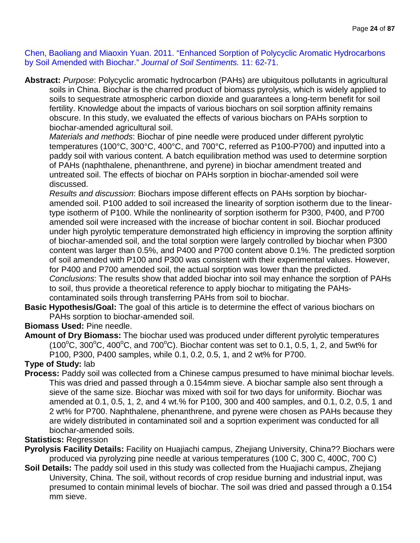Chen, Baoliang and Miaoxin Yuan. 2011. "Enhanced Sorption of Polycyclic Aromatic Hydrocarbons by Soil Amended with Biochar." *Journal of Soil Sentiments.* 11: 62-71.

**Abstract:** *Purpose*: Polycyclic aromatic hydrocarbon (PAHs) are ubiquitous pollutants in agricultural soils in China. Biochar is the charred product of biomass pyrolysis, which is widely applied to soils to sequestrate atmospheric carbon dioxide and guarantees a long-term benefit for soil fertility. Knowledge about the impacts of various biochars on soil sorption affinity remains obscure. In this study, we evaluated the effects of various biochars on PAHs sorption to biochar-amended agricultural soil.

*Materials and methods*: Biochar of pine needle were produced under different pyrolytic temperatures (100°C, 300°C, 400°C, and 700°C, referred as P100-P700) and inputted into a paddy soil with various content. A batch equilibration method was used to determine sorption of PAHs (naphthalene, phenanthrene, and pyrene) in biochar amendment treated and untreated soil. The effects of biochar on PAHs sorption in biochar-amended soil were discussed.

*Results and discussion*: Biochars impose different effects on PAHs sorption by biocharamended soil. P100 added to soil increased the linearity of sorption isotherm due to the lineartype isotherm of P100. While the nonlinearity of sorption isotherm for P300, P400, and P700 amended soil were increased with the increase of biochar content in soil. Biochar produced under high pyrolytic temperature demonstrated high efficiency in improving the sorption affinity of biochar-amended soil, and the total sorption were largely controlled by biochar when P300 content was larger than 0.5%, and P400 and P700 content above 0.1%. The predicted sorption of soil amended with P100 and P300 was consistent with their experimental values. However, for P400 and P700 amended soil, the actual sorption was lower than the predicted. *Conclusions*: The results show that added biochar into soil may enhance the sorption of PAHs to soil, thus provide a theoretical reference to apply biochar to mitigating the PAHscontaminated soils through transferring PAHs from soil to biochar.

**Basic Hypothesis/Goal:** The goal of this article is to determine the effect of various biochars on PAHs sorption to biochar-amended soil.

## **Biomass Used:** Pine needle.

**Amount of Dry Biomass:** The biochar used was produced under different pyrolytic temperatures  $(100^{\circ}C, 300^{\circ}C, 400^{\circ}C,$  and 700 $^{\circ}C)$ . Biochar content was set to 0.1, 0.5, 1, 2, and 5wt% for P100, P300, P400 samples, while 0.1, 0.2, 0.5, 1, and 2 wt% for P700.

**Type of Study:** lab

**Process:** Paddy soil was collected from a Chinese campus presumed to have minimal biochar levels. This was dried and passed through a 0.154mm sieve. A biochar sample also sent through a sieve of the same size. Biochar was mixed with soil for two days for uniformity. Biochar was amended at 0.1, 0.5, 1, 2, and 4 wt.% for P100, 300 and 400 samples, and 0.1, 0.2, 0.5, 1 and 2 wt% for P700. Naphthalene, phenanthrene, and pyrene were chosen as PAHs because they are widely distributed in contaminated soil and a soprtion experiment was conducted for all biochar-amended soils.

## **Statistics:** Regression

- **Pyrolysis Facility Details:** Facility on Huajiachi campus, Zhejiang University, China?? Biochars were produced via pyrolyzing pine needle at various temperatures (100 C, 300 C, 400C, 700 C)
- **Soil Details:** The paddy soil used in this study was collected from the Huajiachi campus, Zhejiang University, China. The soil, without records of crop residue burning and industrial input, was presumed to contain minimal levels of biochar. The soil was dried and passed through a 0.154 mm sieve.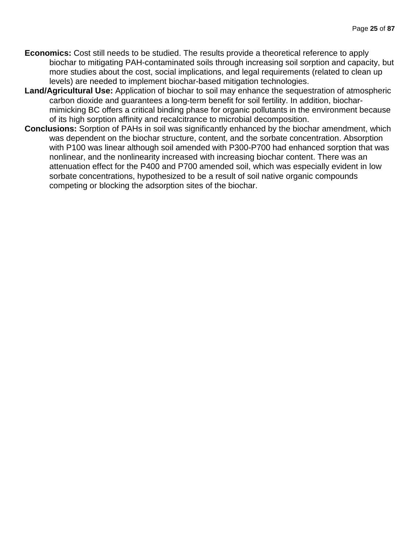- **Economics:** Cost still needs to be studied. The results provide a theoretical reference to apply biochar to mitigating PAH-contaminated soils through increasing soil sorption and capacity, but more studies about the cost, social implications, and legal requirements (related to clean up levels) are needed to implement biochar-based mitigation technologies.
- **Land/Agricultural Use:** Application of biochar to soil may enhance the sequestration of atmospheric carbon dioxide and guarantees a long-term benefit for soil fertility. In addition, biocharmimicking BC offers a critical binding phase for organic pollutants in the environment because of its high sorption affinity and recalcitrance to microbial decomposition.
- **Conclusions:** Sorption of PAHs in soil was significantly enhanced by the biochar amendment, which was dependent on the biochar structure, content, and the sorbate concentration. Absorption with P100 was linear although soil amended with P300-P700 had enhanced sorption that was nonlinear, and the nonlinearity increased with increasing biochar content. There was an attenuation effect for the P400 and P700 amended soil, which was especially evident in low sorbate concentrations, hypothesized to be a result of soil native organic compounds competing or blocking the adsorption sites of the biochar.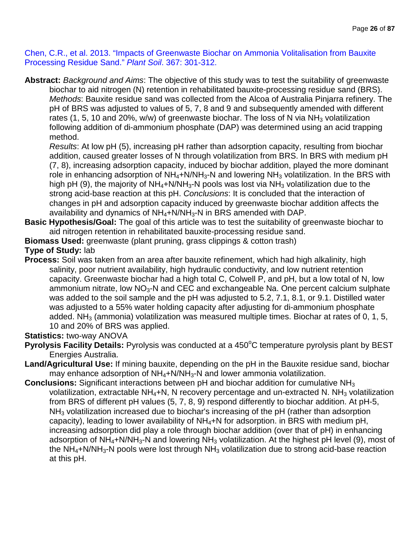Chen, C.R., et al. 2013. "Impacts of Greenwaste Biochar on Ammonia Volitalisation from Bauxite Processing Residue Sand." *Plant Soil*. 367: 301-312.

**Abstract:** *Background and Aims*: The objective of this study was to test the suitability of greenwaste biochar to aid nitrogen (N) retention in rehabilitated bauxite-processing residue sand (BRS). *Methods*: Bauxite residue sand was collected from the Alcoa of Australia Pinjarra refinery. The pH of BRS was adjusted to values of 5, 7, 8 and 9 and subsequently amended with different rates (1, 5, 10 and 20%, w/w) of greenwaste biochar. The loss of N via  $NH<sub>3</sub>$  volatilization following addition of di-ammonium phosphate (DAP) was determined using an acid trapping method.

*Results*: At low pH (5), increasing pH rather than adsorption capacity, resulting from biochar addition, caused greater losses of N through volatilization from BRS. In BRS with medium pH (7, 8), increasing adsorption capacity, induced by biochar addition, played the more dominant role in enhancing adsorption of  $NH_4+N/NH_3-N$  and lowering  $NH_3$  volatilization. In the BRS with high pH (9), the majority of  $NH_4+N/NH_3-N$  pools was lost via  $NH_3$  volatilization due to the strong acid-base reaction at this pH. *Conclusions*: It is concluded that the interaction of changes in pH and adsorption capacity induced by greenwaste biochar addition affects the availability and dynamics of  $NH_4+N/NH_3-N$  in BRS amended with DAP.

- **Basic Hypothesis/Goal:** The goal of this article was to test the suitability of greenwaste biochar to aid nitrogen retention in rehabilitated bauxite-processing residue sand.
- **Biomass Used:** greenwaste (plant pruning, grass clippings & cotton trash)

## **Type of Study:** lab

**Process:** Soil was taken from an area after bauxite refinement, which had high alkalinity, high salinity, poor nutrient availability, high hydraulic conductivity, and low nutrient retention capacity. Greenwaste biochar had a high total C, Colwell P, and pH, but a low total of N, low ammonium nitrate, low  $NO<sub>3</sub>$ -N and CEC and exchangeable Na. One percent calcium sulphate was added to the soil sample and the pH was adjusted to 5.2, 7.1, 8.1, or 9.1. Distilled water was adjusted to a 55% water holding capacity after adjusting for di-ammonium phosphate added. NH<sub>3</sub> (ammonia) volatilization was measured multiple times. Biochar at rates of 0, 1, 5, 10 and 20% of BRS was applied.

## **Statistics:** two-way ANOVA

- Pyrolysis Facility Details: Pyrolysis was conducted at a 450°C temperature pyrolysis plant by BEST Energies Australia.
- **Land/Agricultural Use:** If mining bauxite, depending on the pH in the Bauxite residue sand, biochar may enhance adsorption of  $NH_4+N/NH_3-N$  and lower ammonia volatilization.
- **Conclusions:** Significant interactions between pH and biochar addition for cumulative NH<sub>3</sub> volatilization, extractable NH<sub>4</sub>+N, N recovery percentage and un-extracted N. NH<sub>3</sub> volatilization from BRS of different pH values (5, 7, 8, 9) respond differently to biochar addition. At pH-5, NH<sub>3</sub> volatilization increased due to biochar's increasing of the pH (rather than adsorption capacity), leading to lower availability of NH4+N for adsorption. in BRS with medium pH, increasing adsorption did play a role through biochar addition (over that of pH) in enhancing adsorption of  $NH_4+N/NH_3-N$  and lowering  $NH_3$  volatilization. At the highest pH level (9), most of the NH<sub>4</sub>+N/NH<sub>3</sub>-N pools were lost through NH<sub>3</sub> volatilization due to strong acid-base reaction at this pH.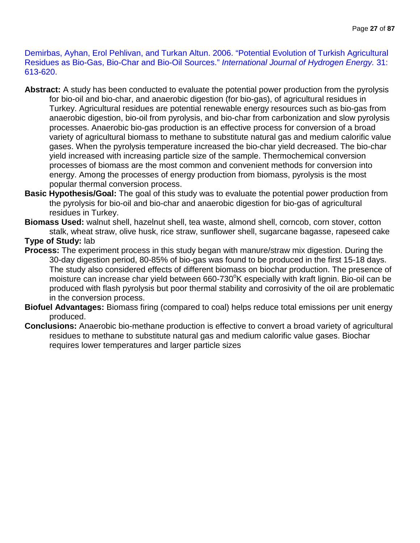Demirbas, Ayhan, Erol Pehlivan, and Turkan Altun. 2006. "Potential Evolution of Turkish Agricultural Residues as Bio-Gas, Bio-Char and Bio-Oil Sources." *International Journal of Hydrogen Energy.* 31: 613-620.

- **Abstract:** A study has been conducted to evaluate the potential power production from the pyrolysis for bio-oil and bio-char, and anaerobic digestion (for bio-gas), of agricultural residues in Turkey. Agricultural residues are potential renewable energy resources such as bio-gas from anaerobic digestion, bio-oil from pyrolysis, and bio-char from carbonization and slow pyrolysis processes. Anaerobic bio-gas production is an effective process for conversion of a broad variety of agricultural biomass to methane to substitute natural gas and medium calorific value gases. When the pyrolysis temperature increased the bio-char yield decreased. The bio-char yield increased with increasing particle size of the sample. Thermochemical conversion processes of biomass are the most common and convenient methods for conversion into energy. Among the processes of energy production from biomass, pyrolysis is the most popular thermal conversion process.
- **Basic Hypothesis/Goal:** The goal of this study was to evaluate the potential power production from the pyrolysis for bio-oil and bio-char and anaerobic digestion for bio-gas of agricultural residues in Turkey.
- **Biomass Used:** walnut shell, hazelnut shell, tea waste, almond shell, corncob, corn stover, cotton stalk, wheat straw, olive husk, rice straw, sunflower shell, sugarcane bagasse, rapeseed cake **Type of Study:** lab
- **Process:** The experiment process in this study began with manure/straw mix digestion. During the 30-day digestion period, 80-85% of bio-gas was found to be produced in the first 15-18 days. The study also considered effects of different biomass on biochar production. The presence of moisture can increase char yield between 660-730°K especially with kraft lignin. Bio-oil can be produced with flash pyrolysis but poor thermal stability and corrosivity of the oil are problematic in the conversion process.
- **Biofuel Advantages:** Biomass firing (compared to coal) helps reduce total emissions per unit energy produced.
- **Conclusions:** Anaerobic bio-methane production is effective to convert a broad variety of agricultural residues to methane to substitute natural gas and medium calorific value gases. Biochar requires lower temperatures and larger particle sizes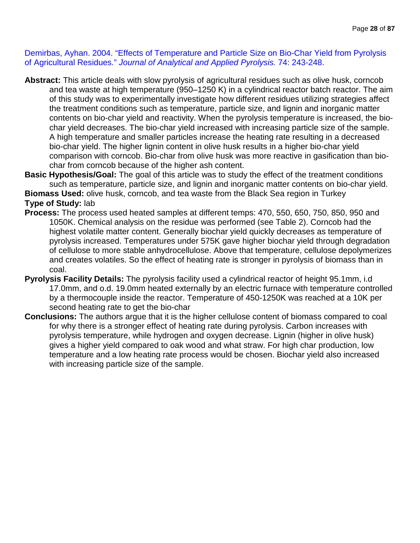Demirbas, Ayhan. 2004. "Effects of Temperature and Particle Size on Bio-Char Yield from Pyrolysis of Agricultural Residues." *Journal of Analytical and Applied Pyrolysis.* 74: 243-248.

- **Abstract:** This article deals with slow pyrolysis of agricultural residues such as olive husk, corncob and tea waste at high temperature (950–1250 K) in a cylindrical reactor batch reactor. The aim of this study was to experimentally investigate how different residues utilizing strategies affect the treatment conditions such as temperature, particle size, and lignin and inorganic matter contents on bio-char yield and reactivity. When the pyrolysis temperature is increased, the biochar yield decreases. The bio-char yield increased with increasing particle size of the sample. A high temperature and smaller particles increase the heating rate resulting in a decreased bio-char yield. The higher lignin content in olive husk results in a higher bio-char yield comparison with corncob. Bio-char from olive husk was more reactive in gasification than biochar from corncob because of the higher ash content.
- **Basic Hypothesis/Goal:** The goal of this article was to study the effect of the treatment conditions such as temperature, particle size, and lignin and inorganic matter contents on bio-char yield. **Biomass Used:** olive husk, corncob, and tea waste from the Black Sea region in Turkey

**Type of Study:** lab

- **Process:** The process used heated samples at different temps: 470, 550, 650, 750, 850, 950 and 1050K. Chemical analysis on the residue was performed (see Table 2). Corncob had the highest volatile matter content. Generally biochar yield quickly decreases as temperature of pyrolysis increased. Temperatures under 575K gave higher biochar yield through degradation of cellulose to more stable anhydrocellulose. Above that temperature, cellulose depolymerizes and creates volatiles. So the effect of heating rate is stronger in pyrolysis of biomass than in coal.
- **Pyrolysis Facility Details:** The pyrolysis facility used a cylindrical reactor of height 95.1mm, i.d 17.0mm, and o.d. 19.0mm heated externally by an electric furnace with temperature controlled by a thermocouple inside the reactor. Temperature of 450-1250K was reached at a 10K per second heating rate to get the bio-char
- **Conclusions:** The authors argue that it is the higher cellulose content of biomass compared to coal for why there is a stronger effect of heating rate during pyrolysis. Carbon increases with pyrolysis temperature, while hydrogen and oxygen decrease. Lignin (higher in olive husk) gives a higher yield compared to oak wood and what straw. For high char production, low temperature and a low heating rate process would be chosen. Biochar yield also increased with increasing particle size of the sample.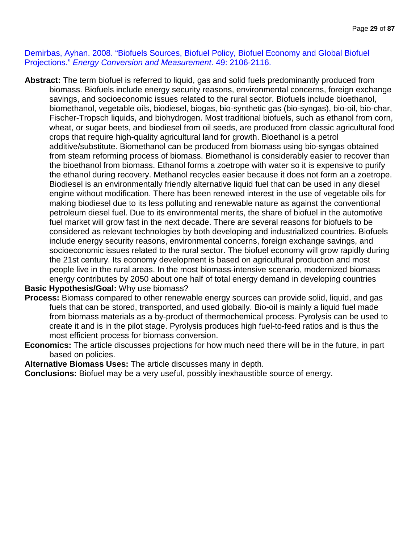Demirbas, Ayhan. 2008. "Biofuels Sources, Biofuel Policy, Biofuel Economy and Global Biofuel Projections." *Energy Conversion and Measurement*. 49: 2106-2116.

**Abstract:** The term biofuel is referred to liquid, gas and solid fuels predominantly produced from biomass. Biofuels include energy security reasons, environmental concerns, foreign exchange savings, and socioeconomic issues related to the rural sector. Biofuels include bioethanol, biomethanol, vegetable oils, biodiesel, biogas, bio-synthetic gas (bio-syngas), bio-oil, bio-char, Fischer-Tropsch liquids, and biohydrogen. Most traditional biofuels, such as ethanol from corn, wheat, or sugar beets, and biodiesel from oil seeds, are produced from classic agricultural food crops that require high-quality agricultural land for growth. Bioethanol is a petrol additive/substitute. Biomethanol can be produced from biomass using bio-syngas obtained from steam reforming process of biomass. Biomethanol is considerably easier to recover than the bioethanol from biomass. Ethanol forms a zoetrope with water so it is expensive to purify the ethanol during recovery. Methanol recycles easier because it does not form an a zoetrope. Biodiesel is an environmentally friendly alternative liquid fuel that can be used in any diesel engine without modification. There has been renewed interest in the use of vegetable oils for making biodiesel due to its less polluting and renewable nature as against the conventional petroleum diesel fuel. Due to its environmental merits, the share of biofuel in the automotive fuel market will grow fast in the next decade. There are several reasons for biofuels to be considered as relevant technologies by both developing and industrialized countries. Biofuels include energy security reasons, environmental concerns, foreign exchange savings, and socioeconomic issues related to the rural sector. The biofuel economy will grow rapidly during the 21st century. Its economy development is based on agricultural production and most people live in the rural areas. In the most biomass-intensive scenario, modernized biomass energy contributes by 2050 about one half of total energy demand in developing countries

## **Basic Hypothesis/Goal:** Why use biomass?

- **Process:** Biomass compared to other renewable energy sources can provide solid, liquid, and gas fuels that can be stored, transported, and used globally. Bio-oil is mainly a liquid fuel made from biomass materials as a by-product of thermochemical process. Pyrolysis can be used to create it and is in the pilot stage. Pyrolysis produces high fuel-to-feed ratios and is thus the most efficient process for biomass conversion.
- **Economics:** The article discusses projections for how much need there will be in the future, in part based on policies.

**Alternative Biomass Uses:** The article discusses many in depth.

**Conclusions:** Biofuel may be a very useful, possibly inexhaustible source of energy.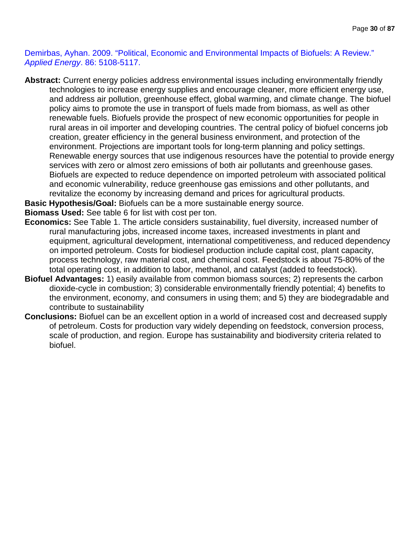Demirbas, Ayhan. 2009. "Political, Economic and Environmental Impacts of Biofuels: A Review." *Applied Energy*. 86: 5108-5117.

**Abstract:** Current energy policies address environmental issues including environmentally friendly technologies to increase energy supplies and encourage cleaner, more efficient energy use, and address air pollution, greenhouse effect, global warming, and climate change. The biofuel policy aims to promote the use in transport of fuels made from biomass, as well as other renewable fuels. Biofuels provide the prospect of new economic opportunities for people in rural areas in oil importer and developing countries. The central policy of biofuel concerns job creation, greater efficiency in the general business environment, and protection of the environment. Projections are important tools for long-term planning and policy settings. Renewable energy sources that use indigenous resources have the potential to provide energy services with zero or almost zero emissions of both air pollutants and greenhouse gases. Biofuels are expected to reduce dependence on imported petroleum with associated political and economic vulnerability, reduce greenhouse gas emissions and other pollutants, and revitalize the economy by increasing demand and prices for agricultural products.

**Basic Hypothesis/Goal:** Biofuels can be a more sustainable energy source.

**Biomass Used:** See table 6 for list with cost per ton.

- **Economics:** See Table 1. The article considers sustainability, fuel diversity, increased number of rural manufacturing jobs, increased income taxes, increased investments in plant and equipment, agricultural development, international competitiveness, and reduced dependency on imported petroleum. Costs for biodiesel production include capital cost, plant capacity, process technology, raw material cost, and chemical cost. Feedstock is about 75-80% of the total operating cost, in addition to labor, methanol, and catalyst (added to feedstock).
- **Biofuel Advantages:** 1) easily available from common biomass sources; 2) represents the carbon dioxide-cycle in combustion; 3) considerable environmentally friendly potential; 4) benefits to the environment, economy, and consumers in using them; and 5) they are biodegradable and contribute to sustainability
- **Conclusions:** Biofuel can be an excellent option in a world of increased cost and decreased supply of petroleum. Costs for production vary widely depending on feedstock, conversion process, scale of production, and region. Europe has sustainability and biodiversity criteria related to biofuel.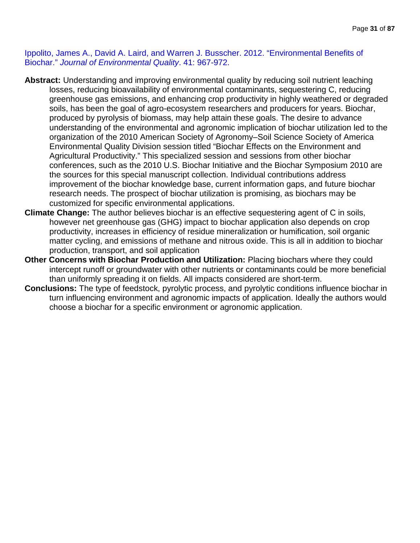Ippolito, James A., David A. Laird, and Warren J. Busscher. 2012. "Environmental Benefits of Biochar." *Journal of Environmental Quality*. 41: 967-972.

- **Abstract:** Understanding and improving environmental quality by reducing soil nutrient leaching losses, reducing bioavailability of environmental contaminants, sequestering C, reducing greenhouse gas emissions, and enhancing crop productivity in highly weathered or degraded soils, has been the goal of agro-ecosystem researchers and producers for years. Biochar, produced by pyrolysis of biomass, may help attain these goals. The desire to advance understanding of the environmental and agronomic implication of biochar utilization led to the organization of the 2010 American Society of Agronomy–Soil Science Society of America Environmental Quality Division session titled "Biochar Effects on the Environment and Agricultural Productivity." This specialized session and sessions from other biochar conferences, such as the 2010 U.S. Biochar Initiative and the Biochar Symposium 2010 are the sources for this special manuscript collection. Individual contributions address improvement of the biochar knowledge base, current information gaps, and future biochar research needs. The prospect of biochar utilization is promising, as biochars may be customized for specific environmental applications.
- **Climate Change:** The author believes biochar is an effective sequestering agent of C in soils, however net greenhouse gas (GHG) impact to biochar application also depends on crop productivity, increases in efficiency of residue mineralization or humification, soil organic matter cycling, and emissions of methane and nitrous oxide. This is all in addition to biochar production, transport, and soil application
- **Other Concerns with Biochar Production and Utilization:** Placing biochars where they could intercept runoff or groundwater with other nutrients or contaminants could be more beneficial than uniformly spreading it on fields. All impacts considered are short-term.
- **Conclusions:** The type of feedstock, pyrolytic process, and pyrolytic conditions influence biochar in turn influencing environment and agronomic impacts of application. Ideally the authors would choose a biochar for a specific environment or agronomic application.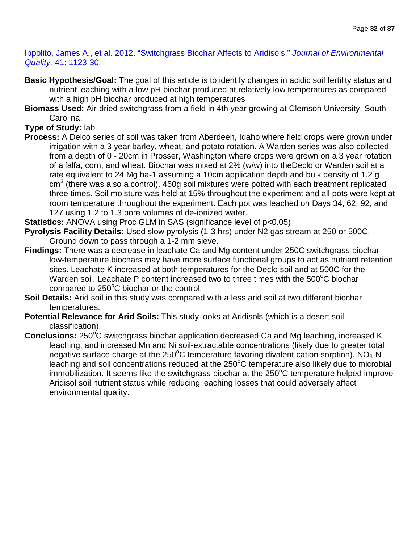Ippolito, James A., et al. 2012. "Switchgrass Biochar Affects to Aridisols." *Journal of Environmental Quality.* 41: 1123-30.

- **Basic Hypothesis/Goal:** The goal of this article is to identify changes in acidic soil fertility status and nutrient leaching with a low pH biochar produced at relatively low temperatures as compared with a high pH biochar produced at high temperatures
- **Biomass Used:** Air-dried switchgrass from a field in 4th year growing at Clemson University, South Carolina.

## **Type of Study:** lab

- **Process:** A Delco series of soil was taken from Aberdeen, Idaho where field crops were grown under irrigation with a 3 year barley, wheat, and potato rotation. A Warden series was also collected from a depth of 0 - 20cm in Prosser, Washington where crops were grown on a 3 year rotation of alfalfa, corn, and wheat. Biochar was mixed at 2% (w/w) into theDeclo or Warden soil at a rate equivalent to 24 Mg ha-1 assuming a 10cm application depth and bulk density of 1.2 g  $\text{cm}^3$  (there was also a control). 450g soil mixtures were potted with each treatment replicated three times. Soil moisture was held at 15% throughout the experiment and all pots were kept at room temperature throughout the experiment. Each pot was leached on Days 34, 62, 92, and 127 using 1.2 to 1.3 pore volumes of de-ionized water.
- **Statistics:** ANOVA using Proc GLM in SAS (significance level of p<0.05)
- **Pyrolysis Facility Details:** Used slow pyrolysis (1-3 hrs) under N2 gas stream at 250 or 500C. Ground down to pass through a 1-2 mm sieve.
- **Findings:** There was a decrease in leachate Ca and Mg content under 250C switchgrass biochar low-temperature biochars may have more surface functional groups to act as nutrient retention sites. Leachate K increased at both temperatures for the Declo soil and at 500C for the Warden soil. Leachate P content increased two to three times with the 500 $\mathrm{^{\circ}C}$  biochar compared to 250°C biochar or the control.
- **Soil Details:** Arid soil in this study was compared with a less arid soil at two different biochar temperatures.
- **Potential Relevance for Arid Soils:** This study looks at Aridisols (which is a desert soil classification).
- **Conclusions:** 250°C switchgrass biochar application decreased Ca and Mg leaching, increased K leaching, and increased Mn and Ni soil-extractable concentrations (likely due to greater total negative surface charge at the 250°C temperature favoring divalent cation sorption). NO<sub>3</sub>-N leaching and soil concentrations reduced at the 250°C temperature also likely due to microbial immobilization. It seems like the switchgrass biochar at the  $250^{\circ}$ C temperature helped improve Aridisol soil nutrient status while reducing leaching losses that could adversely affect environmental quality.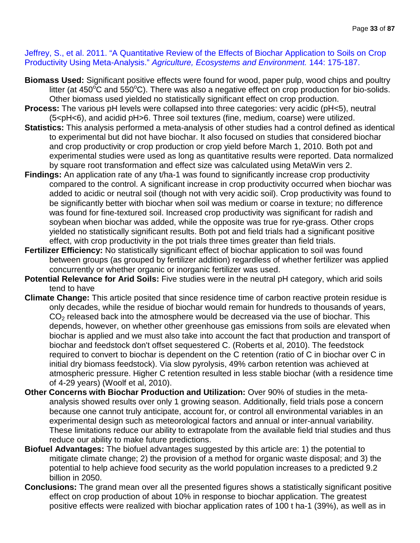Jeffrey, S., et al. 2011. "A Quantitative Review of the Effects of Biochar Application to Soils on Crop Productivity Using Meta-Analysis." *Agriculture, Ecosystems and Environment.* 144: 175-187.

- **Biomass Used:** Significant positive effects were found for wood, paper pulp, wood chips and poultry litter (at 450 $\rm^oC$  and 550 $\rm^oC$ ). There was also a negative effect on crop production for bio-solids. Other biomass used yielded no statistically significant effect on crop production.
- **Process:** The various pH levels were collapsed into three categories: very acidic (pH<5), neutral (5<pH<6), and acidid pH>6. Three soil textures (fine, medium, coarse) were utilized.
- **Statistics:** This analysis performed a meta-analysis of other studies had a control defined as identical to experimental but did not have biochar. It also focused on studies that considered biochar and crop productivity or crop production or crop yield before March 1, 2010. Both pot and experimental studies were used as long as quantitative results were reported. Data normalized by square root transformation and effect size was calculated using MetaWin vers 2.
- **Findings:** An application rate of any t/ha-1 was found to significantly increase crop productivity compared to the control. A significant increase in crop productivity occurred when biochar was added to acidic or neutral soil (though not with very acidic soil). Crop productivity was found to be significantly better with biochar when soil was medium or coarse in texture; no difference was found for fine-textured soil. Increased crop productivity was significant for radish and soybean when biochar was added, while the opposite was true for rye-grass. Other crops yielded no statistically significant results. Both pot and field trials had a significant positive effect, with crop productivity in the pot trials three times greater than field trials.
- **Fertilizer Efficiency:** No statistically significant effect of biochar application to soil was found between groups (as grouped by fertilizer addition) regardless of whether fertilizer was applied concurrently or whether organic or inorganic fertilizer was used.
- **Potential Relevance for Arid Soils:** Five studies were in the neutral pH category, which arid soils tend to have
- **Climate Change:** This article posited that since residence time of carbon reactive protein residue is only decades, while the residue of biochar would remain for hundreds to thousands of years,  $CO<sub>2</sub>$  released back into the atmosphere would be decreased via the use of biochar. This depends, however, on whether other greenhouse gas emissions from soils are elevated when biochar is applied and we must also take into account the fact that production and transport of biochar and feedstock don't offset sequestered C. (Roberts et al, 2010). The feedstock required to convert to biochar is dependent on the C retention (ratio of C in biochar over C in initial dry biomass feedstock). Via slow pyrolysis, 49% carbon retention was achieved at atmospheric pressure. Higher C retention resulted in less stable biochar (with a residence time of 4-29 years) (Woolf et al, 2010).
- **Other Concerns with Biochar Production and Utilization:** Over 90% of studies in the metaanalysis showed results over only 1 growing season. Additionally, field trials pose a concern because one cannot truly anticipate, account for, or control all environmental variables in an experimental design such as meteorological factors and annual or inter-annual variability. These limitations reduce our ability to extrapolate from the available field trial studies and thus reduce our ability to make future predictions.
- **Biofuel Advantages:** The biofuel advantages suggested by this article are: 1) the potential to mitigate climate change; 2) the provision of a method for organic waste disposal; and 3) the potential to help achieve food security as the world population increases to a predicted 9.2 billion in 2050.
- **Conclusions:** The grand mean over all the presented figures shows a statistically significant positive effect on crop production of about 10% in response to biochar application. The greatest positive effects were realized with biochar application rates of 100 t ha-1 (39%), as well as in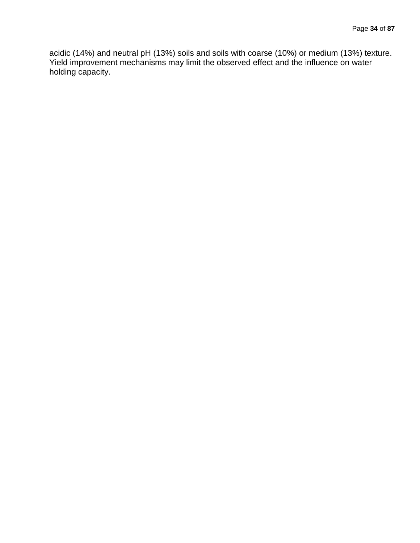acidic (14%) and neutral pH (13%) soils and soils with coarse (10%) or medium (13%) texture. Yield improvement mechanisms may limit the observed effect and the influence on water holding capacity.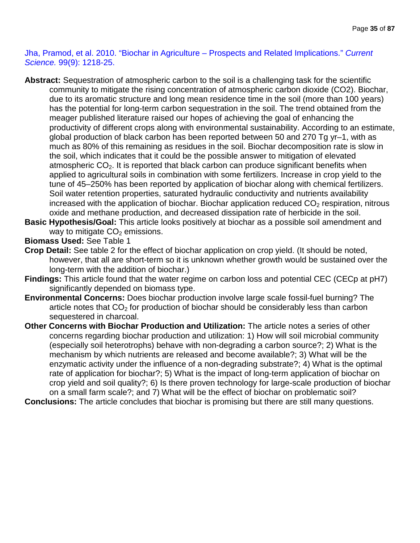Jha, Pramod, et al. 2010. "Biochar in Agriculture – Prospects and Related Implications." *Current Science.* 99(9): 1218-25.

- **Abstract:** Sequestration of atmospheric carbon to the soil is a challenging task for the scientific community to mitigate the rising concentration of atmospheric carbon dioxide (CO2). Biochar, due to its aromatic structure and long mean residence time in the soil (more than 100 years) has the potential for long-term carbon sequestration in the soil. The trend obtained from the meager published literature raised our hopes of achieving the goal of enhancing the productivity of different crops along with environmental sustainability. According to an estimate, global production of black carbon has been reported between 50 and 270 Tg yr–1, with as much as 80% of this remaining as residues in the soil. Biochar decomposition rate is slow in the soil, which indicates that it could be the possible answer to mitigation of elevated atmospheric  $CO<sub>2</sub>$ . It is reported that black carbon can produce significant benefits when applied to agricultural soils in combination with some fertilizers. Increase in crop yield to the tune of 45–250% has been reported by application of biochar along with chemical fertilizers. Soil water retention properties, saturated hydraulic conductivity and nutrients availability increased with the application of biochar. Biochar application reduced  $CO<sub>2</sub>$  respiration, nitrous oxide and methane production, and decreased dissipation rate of herbicide in the soil.
- **Basic Hypothesis/Goal:** This article looks positively at biochar as a possible soil amendment and way to mitigate  $CO<sub>2</sub>$  emissions.

**Biomass Used:** See Table 1

- **Crop Detail:** See table 2 for the effect of biochar application on crop yield. (It should be noted, however, that all are short-term so it is unknown whether growth would be sustained over the long-term with the addition of biochar.)
- **Findings:** This article found that the water regime on carbon loss and potential CEC (CECp at pH7) significantly depended on biomass type.
- **Environmental Concerns:** Does biochar production involve large scale fossil-fuel burning? The article notes that  $CO<sub>2</sub>$  for production of biochar should be considerably less than carbon sequestered in charcoal.
- **Other Concerns with Biochar Production and Utilization:** The article notes a series of other concerns regarding biochar production and utilization: 1) How will soil microbial community (especially soil heterotrophs) behave with non-degrading a carbon source?; 2) What is the mechanism by which nutrients are released and become available?; 3) What will be the enzymatic activity under the influence of a non-degrading substrate?; 4) What is the optimal rate of application for biochar?; 5) What is the impact of long-term application of biochar on crop yield and soil quality?; 6) Is there proven technology for large-scale production of biochar on a small farm scale?; and 7) What will be the effect of biochar on problematic soil?

**Conclusions:** The article concludes that biochar is promising but there are still many questions.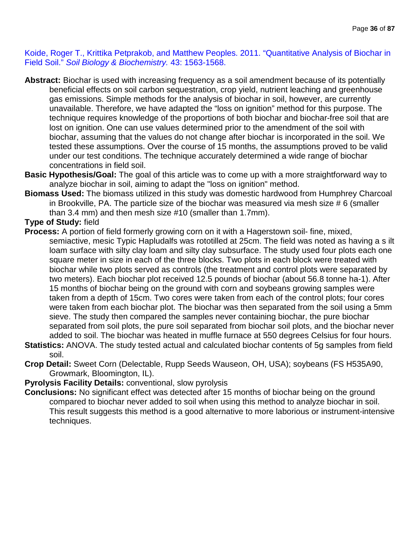Koide, Roger T., Krittika Petprakob, and Matthew Peoples. 2011. "Quantitative Analysis of Biochar in Field Soil." *Soil Biology & Biochemistry.* 43: 1563-1568.

- **Abstract:** Biochar is used with increasing frequency as a soil amendment because of its potentially beneficial effects on soil carbon sequestration, crop yield, nutrient leaching and greenhouse gas emissions. Simple methods for the analysis of biochar in soil, however, are currently unavailable. Therefore, we have adapted the "loss on ignition" method for this purpose. The technique requires knowledge of the proportions of both biochar and biochar-free soil that are lost on ignition. One can use values determined prior to the amendment of the soil with biochar, assuming that the values do not change after biochar is incorporated in the soil. We tested these assumptions. Over the course of 15 months, the assumptions proved to be valid under our test conditions. The technique accurately determined a wide range of biochar concentrations in field soil.
- **Basic Hypothesis/Goal:** The goal of this article was to come up with a more straightforward way to analyze biochar in soil, aiming to adapt the "loss on ignition" method.
- **Biomass Used:** The biomass utilized in this study was domestic hardwood from Humphrey Charcoal in Brookville, PA. The particle size of the biochar was measured via mesh size # 6 (smaller than 3.4 mm) and then mesh size #10 (smaller than 1.7mm).
- **Type of Study:** field
- **Process:** A portion of field formerly growing corn on it with a Hagerstown soil- fine, mixed, semiactive, mesic Typic Hapludalfs was rototilled at 25cm. The field was noted as having a s ilt loam surface with silty clay loam and silty clay subsurface. The study used four plots each one square meter in size in each of the three blocks. Two plots in each block were treated with biochar while two plots served as controls (the treatment and control plots were separated by two meters). Each biochar plot received 12.5 pounds of biochar (about 56.8 tonne ha-1). After 15 months of biochar being on the ground with corn and soybeans growing samples were taken from a depth of 15cm. Two cores were taken from each of the control plots; four cores were taken from each biochar plot. The biochar was then separated from the soil using a 5mm sieve. The study then compared the samples never containing biochar, the pure biochar separated from soil plots, the pure soil separated from biochar soil plots, and the biochar never added to soil. The biochar was heated in muffle furnace at 550 degrees Celsius for four hours.
- **Statistics:** ANOVA. The study tested actual and calculated biochar contents of 5g samples from field soil.
- **Crop Detail:** Sweet Corn (Delectable, Rupp Seeds Wauseon, OH, USA); soybeans (FS H535A90, Growmark, Bloomington, IL).

# **Pyrolysis Facility Details:** conventional, slow pyrolysis

**Conclusions:** No significant effect was detected after 15 months of biochar being on the ground compared to biochar never added to soil when using this method to analyze biochar in soil. This result suggests this method is a good alternative to more laborious or instrument-intensive techniques.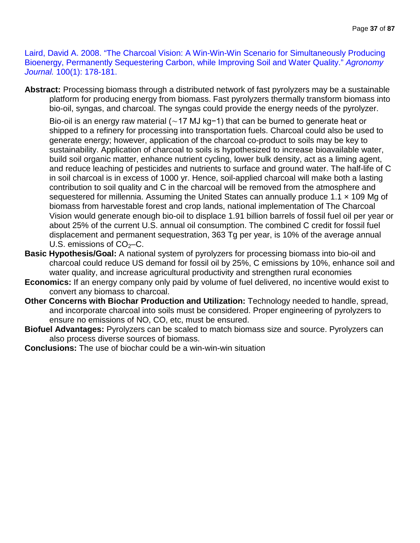Laird, David A. 2008. "The Charcoal Vision: A Win-Win-Win Scenario for Simultaneously Producing Bioenergy, Permanently Sequestering Carbon, while Improving Soil and Water Quality." *Agronomy Journal.* 100(1): 178-181.

**Abstract:** Processing biomass through a distributed network of fast pyrolyzers may be a sustainable platform for producing energy from biomass. Fast pyrolyzers thermally transform biomass into bio-oil, syngas, and charcoal. The syngas could provide the energy needs of the pyrolyzer.

Bio-oil is an energy raw material (∼17 MJ kg−1) that can be burned to generate heat or shipped to a refinery for processing into transportation fuels. Charcoal could also be used to generate energy; however, application of the charcoal co-product to soils may be key to sustainability. Application of charcoal to soils is hypothesized to increase bioavailable water, build soil organic matter, enhance nutrient cycling, lower bulk density, act as a liming agent, and reduce leaching of pesticides and nutrients to surface and ground water. The half-life of C in soil charcoal is in excess of 1000 yr. Hence, soil-applied charcoal will make both a lasting contribution to soil quality and C in the charcoal will be removed from the atmosphere and sequestered for millennia. Assuming the United States can annually produce 1.1 x 109 Mg of biomass from harvestable forest and crop lands, national implementation of The Charcoal Vision would generate enough bio-oil to displace 1.91 billion barrels of fossil fuel oil per year or about 25% of the current U.S. annual oil consumption. The combined C credit for fossil fuel displacement and permanent sequestration, 363 Tg per year, is 10% of the average annual U.S. emissions of  $CO<sub>2</sub>-C$ .

- **Basic Hypothesis/Goal:** A national system of pyrolyzers for processing biomass into bio-oil and charcoal could reduce US demand for fossil oil by 25%, C emissions by 10%, enhance soil and water quality, and increase agricultural productivity and strengthen rural economies
- **Economics:** If an energy company only paid by volume of fuel delivered, no incentive would exist to convert any biomass to charcoal.
- **Other Concerns with Biochar Production and Utilization:** Technology needed to handle, spread, and incorporate charcoal into soils must be considered. Proper engineering of pyrolyzers to ensure no emissions of NO, CO, etc, must be ensured.
- **Biofuel Advantages:** Pyrolyzers can be scaled to match biomass size and source. Pyrolyzers can also process diverse sources of biomass.
- **Conclusions:** The use of biochar could be a win-win-win situation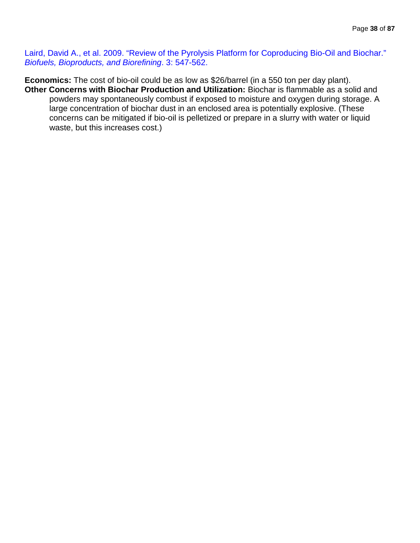Laird, David A., et al. 2009. "Review of the Pyrolysis Platform for Coproducing Bio-Oil and Biochar." *Biofuels, Bioproducts, and Biorefining*. 3: 547-562.

**Economics:** The cost of bio-oil could be as low as \$26/barrel (in a 550 ton per day plant). **Other Concerns with Biochar Production and Utilization:** Biochar is flammable as a solid and powders may spontaneously combust if exposed to moisture and oxygen during storage. A large concentration of biochar dust in an enclosed area is potentially explosive. (These concerns can be mitigated if bio-oil is pelletized or prepare in a slurry with water or liquid waste, but this increases cost.)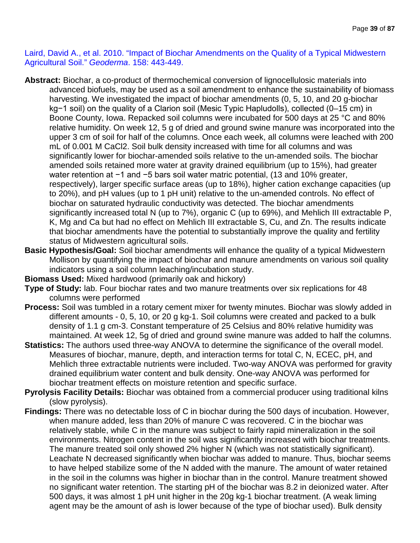Laird, David A., et al. 2010. "Impact of Biochar Amendments on the Quality of a Typical Midwestern Agricultural Soil." *Geoderma*. 158: 443-449.

- **Abstract:** Biochar, a co-product of thermochemical conversion of lignocellulosic materials into advanced biofuels, may be used as a soil amendment to enhance the sustainability of biomass harvesting. We investigated the impact of biochar amendments (0, 5, 10, and 20 g-biochar kg−1 soil) on the quality of a Clarion soil (Mesic Typic Hapludolls), collected (0–15 cm) in Boone County, Iowa. Repacked soil columns were incubated for 500 days at 25 °C and 80% relative humidity. On week 12, 5 g of dried and ground swine manure was incorporated into the upper 3 cm of soil for half of the columns. Once each week, all columns were leached with 200 mL of 0.001 M CaCl2. Soil bulk density increased with time for all columns and was significantly lower for biochar-amended soils relative to the un-amended soils. The biochar amended soils retained more water at gravity drained equilibrium (up to 15%), had greater water retention at −1 and −5 bars soil water matric potential, (13 and 10% greater, respectively), larger specific surface areas (up to 18%), higher cation exchange capacities (up to 20%), and pH values (up to 1 pH unit) relative to the un-amended controls. No effect of biochar on saturated hydraulic conductivity was detected. The biochar amendments significantly increased total N (up to 7%), organic C (up to 69%), and Mehlich III extractable P, K, Mg and Ca but had no effect on Mehlich III extractable S, Cu, and Zn. The results indicate that biochar amendments have the potential to substantially improve the quality and fertility status of Midwestern agricultural soils.
- **Basic Hypothesis/Goal:** Soil biochar amendments will enhance the quality of a typical Midwestern Mollison by quantifying the impact of biochar and manure amendments on various soil quality indicators using a soil column leaching/incubation study.
- **Biomass Used:** Mixed hardwood (primarily oak and hickory)
- **Type of Study:** lab. Four biochar rates and two manure treatments over six replications for 48 columns were performed
- **Process:** Soil was tumbled in a rotary cement mixer for twenty minutes. Biochar was slowly added in different amounts - 0, 5, 10, or 20 g kg-1. Soil columns were created and packed to a bulk density of 1.1 g cm-3. Constant temperature of 25 Celsius and 80% relative humidity was maintained. At week 12, 5g of dried and ground swine manure was added to half the columns.
- **Statistics:** The authors used three-way ANOVA to determine the significance of the overall model. Measures of biochar, manure, depth, and interaction terms for total C, N, ECEC, pH, and Mehlich three extractable nutrients were included. Two-way ANOVA was performed for gravity drained equilibrium water content and bulk density. One-way ANOVA was performed for biochar treatment effects on moisture retention and specific surface.
- **Pyrolysis Facility Details:** Biochar was obtained from a commercial producer using traditional kilns (slow pyrolysis).
- **Findings:** There was no detectable loss of C in biochar during the 500 days of incubation. However, when manure added, less than 20% of manure C was recovered. C in the biochar was relatively stable, while C in the manure was subject to fairly rapid mineralization in the soil environments. Nitrogen content in the soil was significantly increased with biochar treatments. The manure treated soil only showed 2% higher N (which was not statistically significant). Leachate N decreased significantly when biochar was added to manure. Thus, biochar seems to have helped stabilize some of the N added with the manure. The amount of water retained in the soil in the columns was higher in biochar than in the control. Manure treatment showed no significant water retention. The starting pH of the biochar was 8.2 in deionized water. After 500 days, it was almost 1 pH unit higher in the 20g kg-1 biochar treatment. (A weak liming agent may be the amount of ash is lower because of the type of biochar used). Bulk density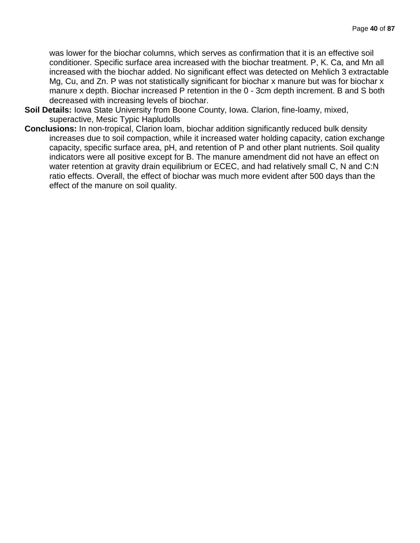was lower for the biochar columns, which serves as confirmation that it is an effective soil conditioner. Specific surface area increased with the biochar treatment. P, K. Ca, and Mn all increased with the biochar added. No significant effect was detected on Mehlich 3 extractable Mg, Cu, and Zn. P was not statistically significant for biochar x manure but was for biochar x manure x depth. Biochar increased P retention in the 0 - 3cm depth increment. B and S both decreased with increasing levels of biochar.

- **Soil Details:** Iowa State University from Boone County, Iowa. Clarion, fine-loamy, mixed, superactive, Mesic Typic Hapludolls
- **Conclusions:** In non-tropical, Clarion loam, biochar addition significantly reduced bulk density increases due to soil compaction, while it increased water holding capacity, cation exchange capacity, specific surface area, pH, and retention of P and other plant nutrients. Soil quality indicators were all positive except for B. The manure amendment did not have an effect on water retention at gravity drain equilibrium or ECEC, and had relatively small C, N and C:N ratio effects. Overall, the effect of biochar was much more evident after 500 days than the effect of the manure on soil quality.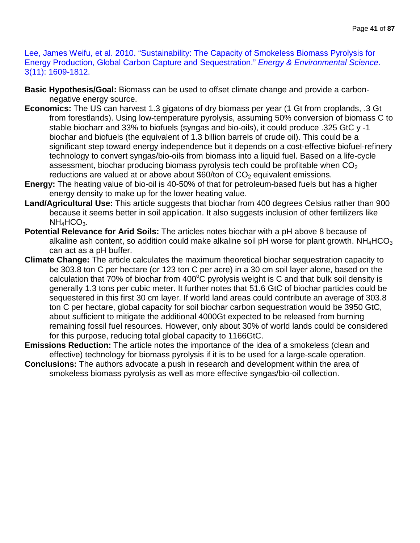Lee, James Weifu, et al. 2010. "Sustainability: The Capacity of Smokeless Biomass Pyrolysis for Energy Production, Global Carbon Capture and Sequestration." *Energy & Environmental Science*. 3(11): 1609-1812.

- **Basic Hypothesis/Goal:** Biomass can be used to offset climate change and provide a carbonnegative energy source.
- **Economics:** The US can harvest 1.3 gigatons of dry biomass per year (1 Gt from croplands, .3 Gt from forestlands). Using low-temperature pyrolysis, assuming 50% conversion of biomass C to stable biocharr and 33% to biofuels (syngas and bio-oils), it could produce .325 GtC y -1 biochar and biofuels (the equivalent of 1.3 billion barrels of crude oil). This could be a significant step toward energy independence but it depends on a cost-effective biofuel-refinery technology to convert syngas/bio-oils from biomass into a liquid fuel. Based on a life-cycle assessment, biochar producing biomass pyrolysis tech could be profitable when  $CO<sub>2</sub>$ reductions are valued at or above about \$60/ton of  $CO<sub>2</sub>$  equivalent emissions.
- **Energy:** The heating value of bio-oil is 40-50% of that for petroleum-based fuels but has a higher energy density to make up for the lower heating value.
- **Land/Agricultural Use:** This article suggests that biochar from 400 degrees Celsius rather than 900 because it seems better in soil application. It also suggests inclusion of other fertilizers like  $NH_4HCO_3$ .
- **Potential Relevance for Arid Soils:** The articles notes biochar with a pH above 8 because of alkaline ash content, so addition could make alkaline soil pH worse for plant growth.  $NH_4HCO_3$ can act as a pH buffer.
- **Climate Change:** The article calculates the maximum theoretical biochar sequestration capacity to be 303.8 ton C per hectare (or 123 ton C per acre) in a 30 cm soil layer alone, based on the calculation that 70% of biochar from 400 $\mathrm{^{\circ}C}$  pyrolysis weight is C and that bulk soil density is generally 1.3 tons per cubic meter. It further notes that 51.6 GtC of biochar particles could be sequestered in this first 30 cm layer. If world land areas could contribute an average of 303.8 ton C per hectare, global capacity for soil biochar carbon sequestration would be 3950 GtC, about sufficient to mitigate the additional 4000Gt expected to be released from burning remaining fossil fuel resources. However, only about 30% of world lands could be considered for this purpose, reducing total global capacity to 1166GtC.
- **Emissions Reduction:** The article notes the importance of the idea of a smokeless (clean and effective) technology for biomass pyrolysis if it is to be used for a large-scale operation.
- **Conclusions:** The authors advocate a push in research and development within the area of smokeless biomass pyrolysis as well as more effective syngas/bio-oil collection.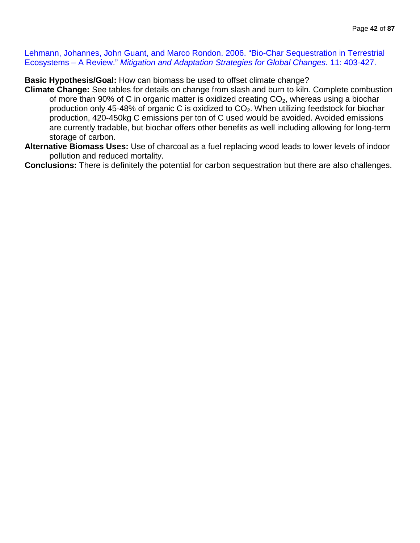Lehmann, Johannes, John Guant, and Marco Rondon. 2006. "Bio-Char Sequestration in Terrestrial Ecosystems – A Review." *Mitigation and Adaptation Strategies for Global Changes.* 11: 403-427.

**Basic Hypothesis/Goal:** How can biomass be used to offset climate change?

- **Climate Change:** See tables for details on change from slash and burn to kiln. Complete combustion of more than 90% of C in organic matter is oxidized creating  $CO<sub>2</sub>$ , whereas using a biochar production only 45-48% of organic C is oxidized to CO<sub>2</sub>. When utilizing feedstock for biochar production, 420-450kg C emissions per ton of C used would be avoided. Avoided emissions are currently tradable, but biochar offers other benefits as well including allowing for long-term storage of carbon.
- **Alternative Biomass Uses:** Use of charcoal as a fuel replacing wood leads to lower levels of indoor pollution and reduced mortality.

**Conclusions:** There is definitely the potential for carbon sequestration but there are also challenges.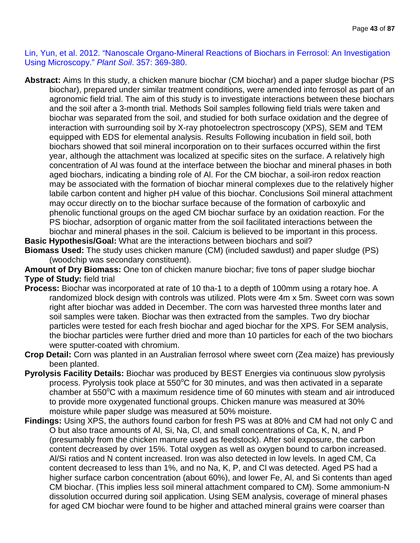Lin, Yun, et al. 2012. "Nanoscale Organo-Mineral Reactions of Biochars in Ferrosol: An Investigation Using Microscopy." *Plant Soil*. 357: 369-380.

**Abstract:** Aims In this study, a chicken manure biochar (CM biochar) and a paper sludge biochar (PS biochar), prepared under similar treatment conditions, were amended into ferrosol as part of an agronomic field trial. The aim of this study is to investigate interactions between these biochars and the soil after a 3-month trial. Methods Soil samples following field trials were taken and biochar was separated from the soil, and studied for both surface oxidation and the degree of interaction with surrounding soil by X-ray photoelectron spectroscopy (XPS), SEM and TEM equipped with EDS for elemental analysis. Results Following incubation in field soil, both biochars showed that soil mineral incorporation on to their surfaces occurred within the first year, although the attachment was localized at specific sites on the surface. A relatively high concentration of Al was found at the interface between the biochar and mineral phases in both aged biochars, indicating a binding role of Al. For the CM biochar, a soil-iron redox reaction may be associated with the formation of biochar mineral complexes due to the relatively higher labile carbon content and higher pH value of this biochar. Conclusions Soil mineral attachment may occur directly on to the biochar surface because of the formation of carboxylic and phenolic functional groups on the aged CM biochar surface by an oxidation reaction. For the PS biochar, adsorption of organic matter from the soil facilitated interactions between the biochar and mineral phases in the soil. Calcium is believed to be important in this process.

**Basic Hypothesis/Goal:** What are the interactions between biochars and soil? **Biomass Used:** The study uses chicken manure (CM) (included sawdust) and paper sludge (PS) (woodchip was secondary constituent).

**Amount of Dry Biomass:** One ton of chicken manure biochar; five tons of paper sludge biochar **Type of Study:** field trial

- **Process:** Biochar was incorporated at rate of 10 tha-1 to a depth of 100mm using a rotary hoe. A randomized block design with controls was utilized. Plots were 4m x 5m. Sweet corn was sown right after biochar was added in December. The corn was harvested three months later and soil samples were taken. Biochar was then extracted from the samples. Two dry biochar particles were tested for each fresh biochar and aged biochar for the XPS. For SEM analysis, the biochar particles were further dried and more than 10 particles for each of the two biochars were sputter-coated with chromium.
- **Crop Detail:** Corn was planted in an Australian ferrosol where sweet corn (Zea maize) has previously been planted.
- **Pyrolysis Facility Details:** Biochar was produced by BEST Energies via continuous slow pyrolysis process. Pyrolysis took place at 550°C for 30 minutes, and was then activated in a separate chamber at 550°C with a maximum residence time of 60 minutes with steam and air introduced to provide more oxygenated functional groups. Chicken manure was measured at 30% moisture while paper sludge was measured at 50% moisture.
- **Findings:** Using XPS, the authors found carbon for fresh PS was at 80% and CM had not only C and O but also trace amounts of Al, Si, Na, Cl, and small concentrations of Ca, K, N, and P (presumably from the chicken manure used as feedstock). After soil exposure, the carbon content decreased by over 15%. Total oxygen as well as oxygen bound to carbon increased. Al/Si ratios and N content increased. Iron was also detected in low levels. In aged CM, Ca content decreased to less than 1%, and no Na, K, P, and Cl was detected. Aged PS had a higher surface carbon concentration (about 60%), and lower Fe, AI, and Si contents than aged CM biochar. (This implies less soil mineral attachment compared to CM). Some ammonium-N dissolution occurred during soil application. Using SEM analysis, coverage of mineral phases for aged CM biochar were found to be higher and attached mineral grains were coarser than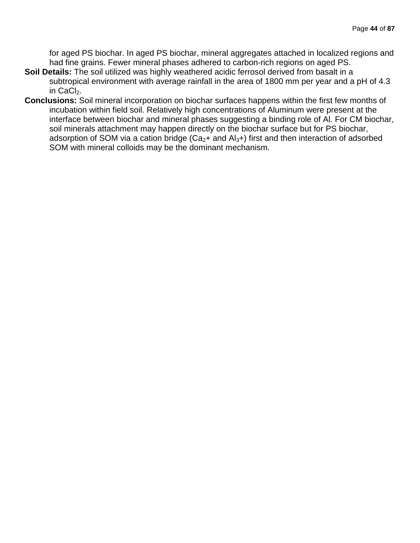for aged PS biochar. In aged PS biochar, mineral aggregates attached in localized regions and had fine grains. Fewer mineral phases adhered to carbon-rich regions on aged PS.

- **Soil Details:** The soil utilized was highly weathered acidic ferrosol derived from basalt in a subtropical environment with average rainfall in the area of 1800 mm per year and a pH of 4.3 in CaCl<sub>2</sub>.
- **Conclusions:** Soil mineral incorporation on biochar surfaces happens within the first few months of incubation within field soil. Relatively high concentrations of Aluminum were present at the interface between biochar and mineral phases suggesting a binding role of Al. For CM biochar, soil minerals attachment may happen directly on the biochar surface but for PS biochar, adsorption of SOM via a cation bridge ( $Ca<sub>2</sub>+$  and  $Al<sub>3</sub>+$ ) first and then interaction of adsorbed SOM with mineral colloids may be the dominant mechanism.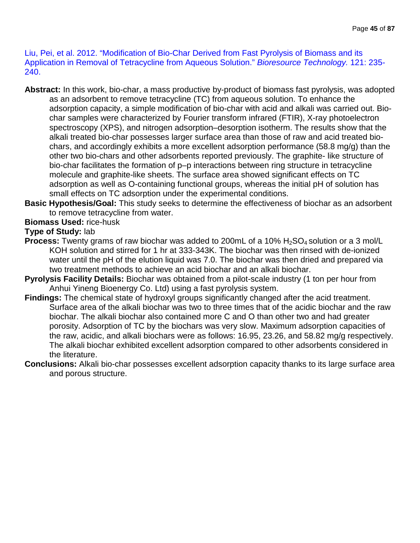Liu, Pei, et al. 2012. "Modification of Bio-Char Derived from Fast Pyrolysis of Biomass and its Application in Removal of Tetracycline from Aqueous Solution." *Bioresource Technology.* 121: 235- 240.

- **Abstract:** In this work, bio-char, a mass productive by-product of biomass fast pyrolysis, was adopted as an adsorbent to remove tetracycline (TC) from aqueous solution. To enhance the adsorption capacity, a simple modification of bio-char with acid and alkali was carried out. Biochar samples were characterized by Fourier transform infrared (FTIR), X-ray photoelectron spectroscopy (XPS), and nitrogen adsorption–desorption isotherm. The results show that the alkali treated bio-char possesses larger surface area than those of raw and acid treated biochars, and accordingly exhibits a more excellent adsorption performance (58.8 mg/g) than the other two bio-chars and other adsorbents reported previously. The graphite- like structure of bio-char facilitates the formation of p–p interactions between ring structure in tetracycline molecule and graphite-like sheets. The surface area showed significant effects on TC adsorption as well as O-containing functional groups, whereas the initial pH of solution has small effects on TC adsorption under the experimental conditions.
- **Basic Hypothesis/Goal:** This study seeks to determine the effectiveness of biochar as an adsorbent to remove tetracycline from water.

# **Biomass Used:** rice-husk

#### **Type of Study:** lab

- **Process:** Twenty grams of raw biochar was added to 200mL of a 10% H<sub>2</sub>SO<sub>4</sub> solution or a 3 mol/L KOH solution and stirred for 1 hr at 333-343K. The biochar was then rinsed with de-ionized water until the pH of the elution liquid was 7.0. The biochar was then dried and prepared via two treatment methods to achieve an acid biochar and an alkali biochar.
- **Pyrolysis Facility Details:** Biochar was obtained from a pilot-scale industry (1 ton per hour from Anhui Yineng Bioenergy Co. Ltd) using a fast pyrolysis system.
- **Findings:** The chemical state of hydroxyl groups significantly changed after the acid treatment. Surface area of the alkali biochar was two to three times that of the acidic biochar and the raw biochar. The alkali biochar also contained more C and O than other two and had greater porosity. Adsorption of TC by the biochars was very slow. Maximum adsorption capacities of the raw, acidic, and alkali biochars were as follows: 16.95, 23.26, and 58.82 mg/g respectively. The alkali biochar exhibited excellent adsorption compared to other adsorbents considered in the literature.
- **Conclusions:** Alkali bio-char possesses excellent adsorption capacity thanks to its large surface area and porous structure.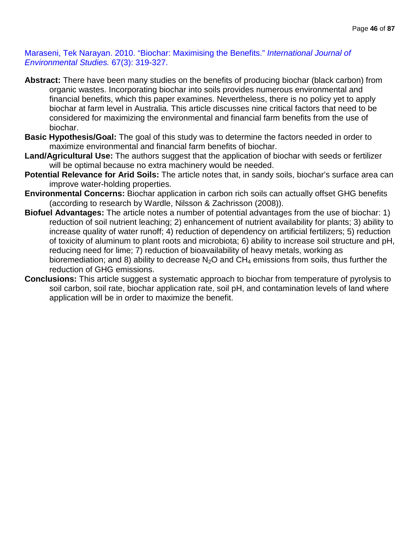Maraseni, Tek Narayan. 2010. "Biochar: Maximising the Benefits." *International Journal of Environmental Studies.* 67(3): 319-327.

- **Abstract:** There have been many studies on the benefits of producing biochar (black carbon) from organic wastes. Incorporating biochar into soils provides numerous environmental and financial benefits, which this paper examines. Nevertheless, there is no policy yet to apply biochar at farm level in Australia. This article discusses nine critical factors that need to be considered for maximizing the environmental and financial farm benefits from the use of biochar.
- **Basic Hypothesis/Goal:** The goal of this study was to determine the factors needed in order to maximize environmental and financial farm benefits of biochar.
- **Land/Agricultural Use:** The authors suggest that the application of biochar with seeds or fertilizer will be optimal because no extra machinery would be needed.
- **Potential Relevance for Arid Soils:** The article notes that, in sandy soils, biochar's surface area can improve water-holding properties.
- **Environmental Concerns:** Biochar application in carbon rich soils can actually offset GHG benefits (according to research by Wardle, Nilsson & Zachrisson (2008)).
- **Biofuel Advantages:** The article notes a number of potential advantages from the use of biochar: 1) reduction of soil nutrient leaching; 2) enhancement of nutrient availability for plants; 3) ability to increase quality of water runoff; 4) reduction of dependency on artificial fertilizers; 5) reduction of toxicity of aluminum to plant roots and microbiota; 6) ability to increase soil structure and pH, reducing need for lime; 7) reduction of bioavailability of heavy metals, working as bioremediation; and 8) ability to decrease  $N_2O$  and  $CH_4$  emissions from soils, thus further the reduction of GHG emissions.
- **Conclusions:** This article suggest a systematic approach to biochar from temperature of pyrolysis to soil carbon, soil rate, biochar application rate, soil pH, and contamination levels of land where application will be in order to maximize the benefit.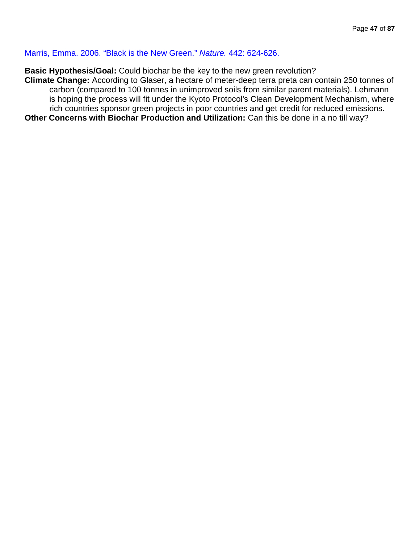Marris, Emma. 2006. "Black is the New Green." *Nature.* 442: 624-626.

**Basic Hypothesis/Goal:** Could biochar be the key to the new green revolution?

**Climate Change:** According to Glaser, a hectare of meter-deep terra preta can contain 250 tonnes of carbon (compared to 100 tonnes in unimproved soils from similar parent materials). Lehmann is hoping the process will fit under the Kyoto Protocol's Clean Development Mechanism, where rich countries sponsor green projects in poor countries and get credit for reduced emissions. **Other Concerns with Biochar Production and Utilization:** Can this be done in a no till way?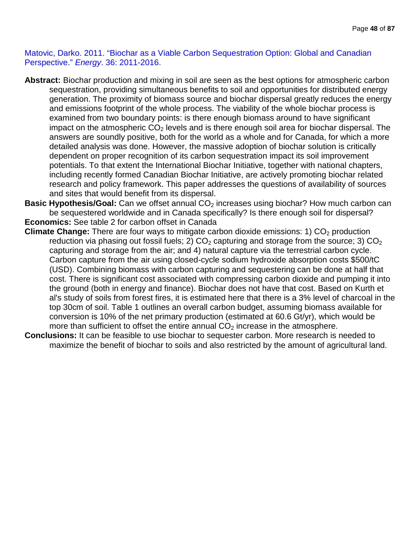Matovic, Darko. 2011. "Biochar as a Viable Carbon Sequestration Option: Global and Canadian Perspective." *Energy*. 36: 2011-2016.

- **Abstract:** Biochar production and mixing in soil are seen as the best options for atmospheric carbon sequestration, providing simultaneous benefits to soil and opportunities for distributed energy generation. The proximity of biomass source and biochar dispersal greatly reduces the energy and emissions footprint of the whole process. The viability of the whole biochar process is examined from two boundary points: is there enough biomass around to have significant impact on the atmospheric  $CO<sub>2</sub>$  levels and is there enough soil area for biochar dispersal. The answers are soundly positive, both for the world as a whole and for Canada, for which a more detailed analysis was done. However, the massive adoption of biochar solution is critically dependent on proper recognition of its carbon sequestration impact its soil improvement potentials. To that extent the International Biochar Initiative, together with national chapters, including recently formed Canadian Biochar Initiative, are actively promoting biochar related research and policy framework. This paper addresses the questions of availability of sources and sites that would benefit from its dispersal.
- **Basic Hypothesis/Goal:** Can we offset annual CO<sub>2</sub> increases using biochar? How much carbon can be sequestered worldwide and in Canada specifically? Is there enough soil for dispersal? **Economics:** See table 2 for carbon offset in Canada
- **Climate Change:** There are four ways to mitigate carbon dioxide emissions: 1) CO<sub>2</sub> production reduction via phasing out fossil fuels; 2)  $CO<sub>2</sub>$  capturing and storage from the source; 3)  $CO<sub>2</sub>$ capturing and storage from the air; and 4) natural capture via the terrestrial carbon cycle. Carbon capture from the air using closed-cycle sodium hydroxide absorption costs \$500/tC (USD). Combining biomass with carbon capturing and sequestering can be done at half that cost. There is significant cost associated with compressing carbon dioxide and pumping it into the ground (both in energy and finance). Biochar does not have that cost. Based on Kurth et al's study of soils from forest fires, it is estimated here that there is a 3% level of charcoal in the top 30cm of soil. Table 1 outlines an overall carbon budget, assuming biomass available for conversion is 10% of the net primary production (estimated at 60.6 Gt/yr), which would be more than sufficient to offset the entire annual  $CO<sub>2</sub>$  increase in the atmosphere.
- **Conclusions:** It can be feasible to use biochar to sequester carbon. More research is needed to maximize the benefit of biochar to soils and also restricted by the amount of agricultural land.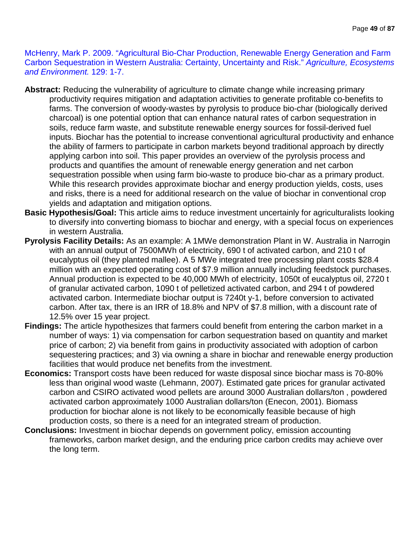McHenry, Mark P. 2009. "Agricultural Bio-Char Production, Renewable Energy Generation and Farm Carbon Sequestration in Western Australia: Certainty, Uncertainty and Risk." *Agriculture, Ecosystems and Environment.* 129: 1-7.

- **Abstract:** Reducing the vulnerability of agriculture to climate change while increasing primary productivity requires mitigation and adaptation activities to generate profitable co-benefits to farms. The conversion of woody-wastes by pyrolysis to produce bio-char (biologically derived charcoal) is one potential option that can enhance natural rates of carbon sequestration in soils, reduce farm waste, and substitute renewable energy sources for fossil-derived fuel inputs. Biochar has the potential to increase conventional agricultural productivity and enhance the ability of farmers to participate in carbon markets beyond traditional approach by directly applying carbon into soil. This paper provides an overview of the pyrolysis process and products and quantifies the amount of renewable energy generation and net carbon sequestration possible when using farm bio-waste to produce bio-char as a primary product. While this research provides approximate biochar and energy production yields, costs, uses and risks, there is a need for additional research on the value of biochar in conventional crop yields and adaptation and mitigation options.
- **Basic Hypothesis/Goal:** This article aims to reduce investment uncertainly for agriculturalists looking to diversify into converting biomass to biochar and energy, with a special focus on experiences in western Australia.
- **Pyrolysis Facility Details:** As an example: A 1MWe demonstration Plant in W. Australia in Narrogin with an annual output of 7500MWh of electricity, 690 t of activated carbon, and 210 t of eucalyptus oil (they planted mallee). A 5 MWe integrated tree processing plant costs \$28.4 million with an expected operating cost of \$7.9 million annually including feedstock purchases. Annual production is expected to be 40,000 MWh of electricity, 1050t of eucalyptus oil, 2720 t of granular activated carbon, 1090 t of pelletized activated carbon, and 294 t of powdered activated carbon. Intermediate biochar output is 7240t y-1, before conversion to activated carbon. After tax, there is an IRR of 18.8% and NPV of \$7.8 million, with a discount rate of 12.5% over 15 year project.
- **Findings:** The article hypothesizes that farmers could benefit from entering the carbon market in a number of ways: 1) via compensation for carbon sequestration based on quantity and market price of carbon; 2) via benefit from gains in productivity associated with adoption of carbon sequestering practices; and 3) via owning a share in biochar and renewable energy production facilities that would produce net benefits from the investment.
- **Economics:** Transport costs have been reduced for waste disposal since biochar mass is 70-80% less than original wood waste (Lehmann, 2007). Estimated gate prices for granular activated carbon and CSIRO activated wood pellets are around 3000 Australian dollars/ton , powdered activated carbon approximately 1000 Australian dollars/ton (Enecon, 2001). Biomass production for biochar alone is not likely to be economically feasible because of high production costs, so there is a need for an integrated stream of production.
- **Conclusions:** Investment in biochar depends on government policy, emission accounting frameworks, carbon market design, and the enduring price carbon credits may achieve over the long term.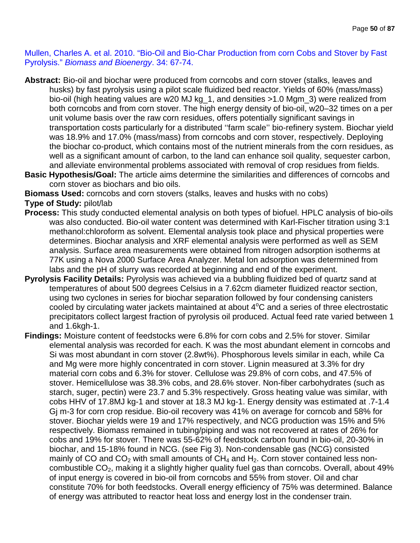Mullen, Charles A. et al. 2010. "Bio-Oil and Bio-Char Production from corn Cobs and Stover by Fast Pyrolysis." *Biomass and Bioenergy*. 34: 67-74.

- **Abstract:** Bio-oil and biochar were produced from corncobs and corn stover (stalks, leaves and husks) by fast pyrolysis using a pilot scale fluidized bed reactor. Yields of 60% (mass/mass) bio-oil (high heating values are w20 MJ kg\_1, and densities >1.0 Mgm\_3) were realized from both corncobs and from corn stover. The high energy density of bio-oil, w20–32 times on a per unit volume basis over the raw corn residues, offers potentially significant savings in transportation costs particularly for a distributed ''farm scale'' bio-refinery system. Biochar yield was 18.9% and 17.0% (mass/mass) from corncobs and corn stover, respectively. Deploying the biochar co-product, which contains most of the nutrient minerals from the corn residues, as well as a significant amount of carbon, to the land can enhance soil quality, sequester carbon, and alleviate environmental problems associated with removal of crop residues from fields.
- **Basic Hypothesis/Goal:** The article aims determine the similarities and differences of corncobs and corn stover as biochars and bio oils.

**Biomass Used:** corncobs and corn stovers (stalks, leaves and husks with no cobs)

**Type of Study:** pilot/lab

- **Process:** This study conducted elemental analysis on both types of biofuel. HPLC analysis of bio-oils was also conducted. Bio-oil water content was determined with Karl-Fischer titration using 3:1 methanol:chloroform as solvent. Elemental analysis took place and physical properties were determines. Biochar analysis and XRF elemental analysis were performed as well as SEM analysis. Surface area measurements were obtained from nitrogen adsorption isotherms at 77K using a Nova 2000 Surface Area Analyzer. Metal Ion adsorption was determined from labs and the pH of slurry was recorded at beginning and end of the experiment.
- **Pyrolysis Facility Details:** Pyrolysis was achieved via a bubbling fluidized bed of quartz sand at temperatures of about 500 degrees Celsius in a 7.62cm diameter fluidized reactor section, using two cyclones in series for biochar separation followed by four condensing canisters cooled by circulating water jackets maintained at about  $4^{\circ}$ C and a series of three electrostatic precipitators collect largest fraction of pyrolysis oil produced. Actual feed rate varied between 1 and 1.6kgh-1.
- **Findings:** Moisture content of feedstocks were 6.8% for corn cobs and 2.5% for stover. Similar elemental analysis was recorded for each. K was the most abundant element in corncobs and Si was most abundant in corn stover (2.8wt%). Phosphorous levels similar in each, while Ca and Mg were more highly concentrated in corn stover. Lignin measured at 3.3% for dry material corn cobs and 6.3% for stover. Cellulose was 29.8% of corn cobs, and 47.5% of stover. Hemicellulose was 38.3% cobs, and 28.6% stover. Non-fiber carbohydrates (such as starch, suger, pectin) were 23.7 and 5.3% respectively. Gross heating value was similar, with cobs HHV of 17.8MJ kg-1 and stover at 18.3 MJ kg-1. Energy density was estimated at .7-1.4 Gj m-3 for corn crop residue. Bio-oil recovery was 41% on average for corncob and 58% for stover. Biochar yields were 19 and 17% respectively, and NCG production was 15% and 5% respectively. Biomass remained in tubing/piping and was not recovered at rates of 26% for cobs and 19% for stover. There was 55-62% of feedstock carbon found in bio-oil, 20-30% in biochar, and 15-18% found in NCG. (see Fig 3). Non-condensable gas (NCG) consisted mainly of CO and  $CO<sub>2</sub>$  with small amounts of  $CH<sub>4</sub>$  and  $H<sub>2</sub>$ . Corn stover contained less noncombustible  $CO<sub>2</sub>$ , making it a slightly higher quality fuel gas than corncobs. Overall, about 49% of input energy is covered in bio-oil from corncobs and 55% from stover. Oil and char constitute 70% for both feedstocks. Overall energy efficiency of 75% was determined. Balance of energy was attributed to reactor heat loss and energy lost in the condenser train.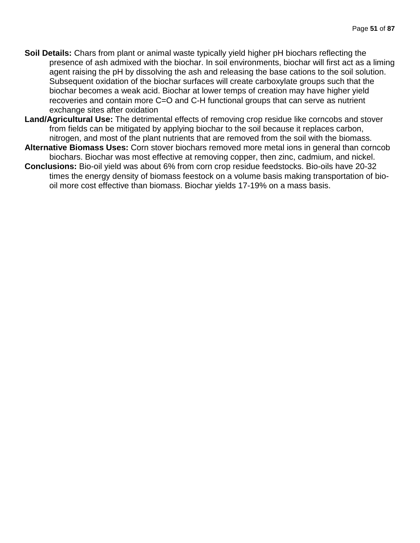- **Soil Details:** Chars from plant or animal waste typically yield higher pH biochars reflecting the presence of ash admixed with the biochar. In soil environments, biochar will first act as a liming agent raising the pH by dissolving the ash and releasing the base cations to the soil solution. Subsequent oxidation of the biochar surfaces will create carboxylate groups such that the biochar becomes a weak acid. Biochar at lower temps of creation may have higher yield recoveries and contain more C=O and C-H functional groups that can serve as nutrient exchange sites after oxidation
- **Land/Agricultural Use:** The detrimental effects of removing crop residue like corncobs and stover from fields can be mitigated by applying biochar to the soil because it replaces carbon, nitrogen, and most of the plant nutrients that are removed from the soil with the biomass.
- **Alternative Biomass Uses:** Corn stover biochars removed more metal ions in general than corncob biochars. Biochar was most effective at removing copper, then zinc, cadmium, and nickel.
- **Conclusions:** Bio-oil yield was about 6% from corn crop residue feedstocks. Bio-oils have 20-32 times the energy density of biomass feestock on a volume basis making transportation of biooil more cost effective than biomass. Biochar yields 17-19% on a mass basis.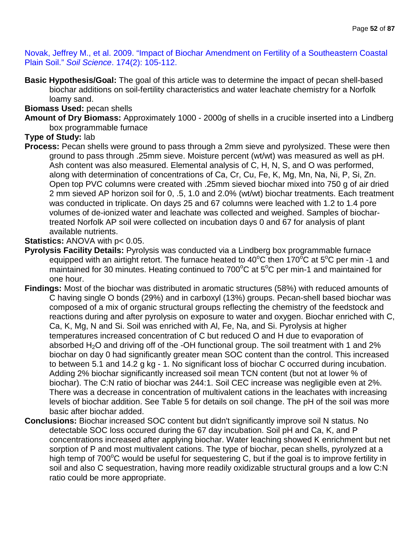Novak, Jeffrey M., et al. 2009. "Impact of Biochar Amendment on Fertility of a Southeastern Coastal Plain Soil." *Soil Science*. 174(2): 105-112.

**Basic Hypothesis/Goal:** The goal of this article was to determine the impact of pecan shell-based biochar additions on soil-fertility characteristics and water leachate chemistry for a Norfolk loamy sand.

#### **Biomass Used:** pecan shells

**Amount of Dry Biomass:** Approximately 1000 - 2000g of shells in a crucible inserted into a Lindberg box programmable furnace

# **Type of Study:** lab

**Process:** Pecan shells were ground to pass through a 2mm sieve and pyrolysized. These were then ground to pass through .25mm sieve. Moisture percent (wt/wt) was measured as well as pH. Ash content was also measured. Elemental analysis of C, H, N, S, and O was performed, along with determination of concentrations of Ca, Cr, Cu, Fe, K, Mg, Mn, Na, Ni, P, Si, Zn. Open top PVC columns were created with .25mm sieved biochar mixed into 750 g of air dried 2 mm sieved AP horizon soil for 0, .5, 1.0 and 2.0% (wt/wt) biochar treatments. Each treatment was conducted in triplicate. On days 25 and 67 columns were leached with 1.2 to 1.4 pore volumes of de-ionized water and leachate was collected and weighed. Samples of biochartreated Norfolk AP soil were collected on incubation days 0 and 67 for analysis of plant available nutrients.

# **Statistics: ANOVA with p< 0.05.**

- **Pyrolysis Facility Details:** Pyrolysis was conducted via a Lindberg box programmable furnace equipped with an airtight retort. The furnace heated to 40°C then 170°C at 5°C per min -1 and maintained for 30 minutes. Heating continued to 700 $^{\circ}$ C at 5 $^{\circ}$ C per min-1 and maintained for one hour.
- **Findings:** Most of the biochar was distributed in aromatic structures (58%) with reduced amounts of C having single O bonds (29%) and in carboxyl (13%) groups. Pecan-shell based biochar was composed of a mix of organic structural groups reflecting the chemistry of the feedstock and reactions during and after pyrolysis on exposure to water and oxygen. Biochar enriched with C, Ca, K, Mg, N and Si. Soil was enriched with Al, Fe, Na, and Si. Pyrolysis at higher temperatures increased concentration of C but reduced O and H due to evaporation of absorbed  $H_2O$  and driving off of the -OH functional group. The soil treatment with 1 and 2% biochar on day 0 had significantly greater mean SOC content than the control. This increased to between 5.1 and 14.2 g kg - 1. No significant loss of biochar C occurred during incubation. Adding 2% biochar significantly increased soil mean TCN content (but not at lower % of biochar). The C:N ratio of biochar was 244:1. Soil CEC increase was negligible even at 2%. There was a decrease in concentration of multivalent cations in the leachates with increasing levels of biochar addition. See Table 5 for details on soil change. The pH of the soil was more basic after biochar added.
- **Conclusions:** Biochar increased SOC content but didn't significantly improve soil N status. No detectable SOC loss occured during the 67 day incubation. Soil pH and Ca, K, and P concentrations increased after applying biochar. Water leaching showed K enrichment but net sorption of P and most multivalent cations. The type of biochar, pecan shells, pyrolyzed at a high temp of 700°C would be useful for sequestering C, but if the goal is to improve fertility in soil and also C sequestration, having more readily oxidizable structural groups and a low C:N ratio could be more appropriate.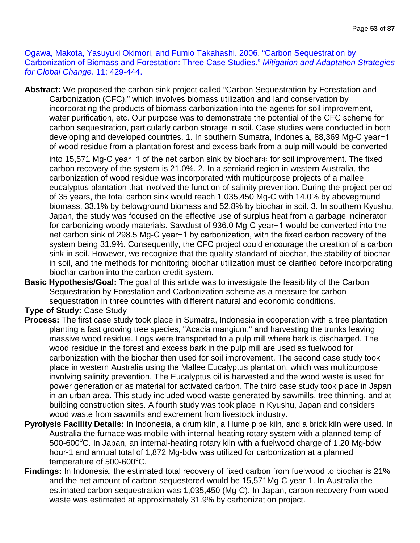Ogawa, Makota, Yasuyuki Okimori, and Fumio Takahashi. 2006. "Carbon Sequestration by Carbonization of Biomass and Forestation: Three Case Studies." *Mitigation and Adaptation Strategies for Global Change.* 11: 429-444.

**Abstract:** We proposed the carbon sink project called "Carbon Sequestration by Forestation and Carbonization (CFC)," which involves biomass utilization and land conservation by incorporating the products of biomass carbonization into the agents for soil improvement, water purification, etc. Our purpose was to demonstrate the potential of the CFC scheme for carbon sequestration, particularly carbon storage in soil. Case studies were conducted in both developing and developed countries. 1. In southern Sumatra, Indonesia, 88,369 Mg-C year−1 of wood residue from a plantation forest and excess bark from a pulp mill would be converted

into 15,571 Mg-C year−1 of the net carbon sink by biochar∗ for soil improvement. The fixed carbon recovery of the system is 21.0%. 2. In a semiarid region in western Australia, the carbonization of wood residue was incorporated with multipurpose projects of a mallee eucalyptus plantation that involved the function of salinity prevention. During the project period of 35 years, the total carbon sink would reach 1,035,450 Mg-C with 14.0% by aboveground biomass, 33.1% by belowground biomass and 52.8% by biochar in soil. 3. In southern Kyushu, Japan, the study was focused on the effective use of surplus heat from a garbage incinerator for carbonizing woody materials. Sawdust of 936.0 Mg-C year−1 would be converted into the net carbon sink of 298.5 Mg-C year−1 by carbonization, with the fixed carbon recovery of the system being 31.9%. Consequently, the CFC project could encourage the creation of a carbon sink in soil. However, we recognize that the quality standard of biochar, the stability of biochar in soil, and the methods for monitoring biochar utilization must be clarified before incorporating biochar carbon into the carbon credit system.

**Basic Hypothesis/Goal:** The goal of this article was to investigate the feasibility of the Carbon Sequestration by Forestation and Carbonization scheme as a measure for carbon sequestration in three countries with different natural and economic conditions.

**Type of Study:** Case Study

- **Process:** The first case study took place in Sumatra, Indonesia in cooperation with a tree plantation planting a fast growing tree species, "Acacia mangium," and harvesting the trunks leaving massive wood residue. Logs were transported to a pulp mill where bark is discharged. The wood residue in the forest and excess bark in the pulp mill are used as fuelwood for carbonization with the biochar then used for soil improvement. The second case study took place in western Australia using the Mallee Eucalyptus plantation, which was multipurpose involving salinity prevention. The Eucalyptus oil is harvested and the wood waste is used for power generation or as material for activated carbon. The third case study took place in Japan in an urban area. This study included wood waste generated by sawmills, tree thinning, and at building construction sites. A fourth study was took place in Kyushu, Japan and considers wood waste from sawmills and excrement from livestock industry.
- **Pyrolysis Facility Details:** In Indonesia, a drum kiln, a Hume pipe kiln, and a brick kiln were used. In Australia the furnace was mobile with internal-heating rotary system with a planned temp of 500-600°C. In Japan, an internal-heating rotary kiln with a fuelwood charge of 1.20 Mg-bdw hour-1 and annual total of 1,872 Mg-bdw was utilized for carbonization at a planned temperature of  $500$ -600 $^{\circ}$ C.
- **Findings:** In Indonesia, the estimated total recovery of fixed carbon from fuelwood to biochar is 21% and the net amount of carbon sequestered would be 15,571Mg-C year-1. In Australia the estimated carbon sequestration was 1,035,450 (Mg-C). In Japan, carbon recovery from wood waste was estimated at approximately 31.9% by carbonization project.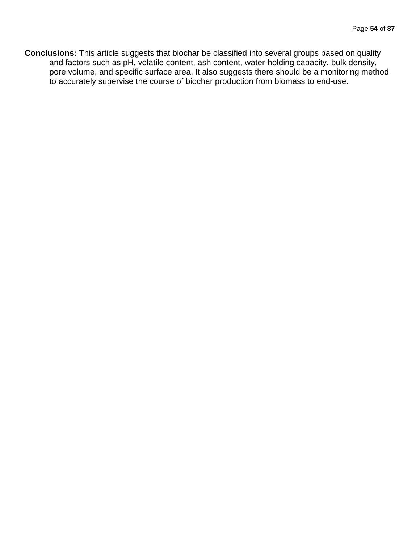**Conclusions:** This article suggests that biochar be classified into several groups based on quality and factors such as pH, volatile content, ash content, water-holding capacity, bulk density, pore volume, and specific surface area. It also suggests there should be a monitoring method to accurately supervise the course of biochar production from biomass to end-use.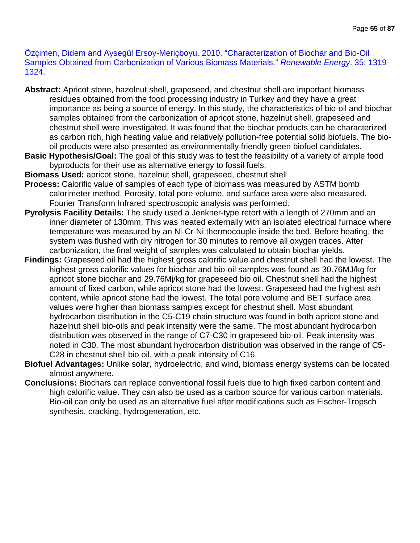Özçimen, Didem and Aysegül Ersoy-Meriçboyu. 2010. "Characterization of Biochar and Bio-Oil Samples Obtained from Carbonization of Various Biomass Materials." *Renewable Energy*. 35: 1319- 1324.

- **Abstract:** Apricot stone, hazelnut shell, grapeseed, and chestnut shell are important biomass residues obtained from the food processing industry in Turkey and they have a great importance as being a source of energy. In this study, the characteristics of bio-oil and biochar samples obtained from the carbonization of apricot stone, hazelnut shell, grapeseed and chestnut shell were investigated. It was found that the biochar products can be characterized as carbon rich, high heating value and relatively pollution-free potential solid biofuels. The biooil products were also presented as environmentally friendly green biofuel candidates.
- **Basic Hypothesis/Goal:** The goal of this study was to test the feasibility of a variety of ample food byproducts for their use as alternative energy to fossil fuels.
- **Biomass Used:** apricot stone, hazelnut shell, grapeseed, chestnut shell
- **Process:** Calorific value of samples of each type of biomass was measured by ASTM bomb calorimeter method. Porosity, total pore volume, and surface area were also measured. Fourier Transform Infrared spectroscopic analysis was performed.
- **Pyrolysis Facility Details:** The study used a Jenkner-type retort with a length of 270mm and an inner diameter of 130mm. This was heated externally with an isolated electrical furnace where temperature was measured by an Ni-Cr-Ni thermocouple inside the bed. Before heating, the system was flushed with dry nitrogen for 30 minutes to remove all oxygen traces. After carbonization, the final weight of samples was calculated to obtain biochar yields.
- **Findings:** Grapeseed oil had the highest gross calorific value and chestnut shell had the lowest. The highest gross calorific values for biochar and bio-oil samples was found as 30.76MJ/kg for apricot stone biochar and 29.76Mj/kg for grapeseed bio oil. Chestnut shell had the highest amount of fixed carbon, while apricot stone had the lowest. Grapeseed had the highest ash content, while apricot stone had the lowest. The total pore volume and BET surface area values were higher than biomass samples except for chestnut shell. Most abundant hydrocarbon distribution in the C5-C19 chain structure was found in both apricot stone and hazelnut shell bio-oils and peak intensity were the same. The most abundant hydrocarbon distribution was observed in the range of C7-C30 in grapeseed bio-oil. Peak intensity was noted in C30. The most abundant hydrocarbon distribution was observed in the range of C5- C28 in chestnut shell bio oil, with a peak intensity of C16.
- **Biofuel Advantages:** Unlike solar, hydroelectric, and wind, biomass energy systems can be located almost anywhere.
- **Conclusions:** Biochars can replace conventional fossil fuels due to high fixed carbon content and high calorific value. They can also be used as a carbon source for various carbon materials. Bio-oil can only be used as an alternative fuel after modifications such as Fischer-Tropsch synthesis, cracking, hydrogeneration, etc.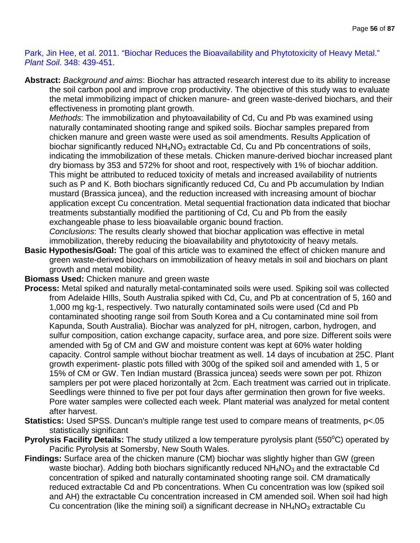Park, Jin Hee, et al. 2011. "Biochar Reduces the Bioavailability and Phytotoxicity of Heavy Metal." *Plant Soil*. 348: 439-451.

**Abstract:** *Background and aims*: Biochar has attracted research interest due to its ability to increase the soil carbon pool and improve crop productivity. The objective of this study was to evaluate the metal immobilizing impact of chicken manure- and green waste-derived biochars, and their effectiveness in promoting plant growth.

*Methods*: The immobilization and phytoavailability of Cd, Cu and Pb was examined using naturally contaminated shooting range and spiked soils. Biochar samples prepared from chicken manure and green waste were used as soil amendments. Results Application of biochar significantly reduced  $NH<sub>4</sub>NO<sub>3</sub>$  extractable Cd, Cu and Pb concentrations of soils, indicating the immobilization of these metals. Chicken manure-derived biochar increased plant dry biomass by 353 and 572% for shoot and root, respectively with 1% of biochar addition. This might be attributed to reduced toxicity of metals and increased availability of nutrients such as P and K. Both biochars significantly reduced Cd, Cu and Pb accumulation by Indian mustard (Brassica juncea), and the reduction increased with increasing amount of biochar application except Cu concentration. Metal sequential fractionation data indicated that biochar treatments substantially modified the partitioning of Cd, Cu and Pb from the easily exchangeable phase to less bioavailable organic bound fraction.

*Conclusions*: The results clearly showed that biochar application was effective in metal immobilization, thereby reducing the bioavailability and phytotoxicity of heavy metals.

**Basic Hypothesis/Goal:** The goal of this article was to examined the effect of chicken manure and green waste-derived biochars on immobilization of heavy metals in soil and biochars on plant growth and metal mobility.

#### **Biomass Used:** Chicken manure and green waste

- **Process:** Metal spiked and naturally metal-contaminated soils were used. Spiking soil was collected from Adelaide HIlls, South Australia spiked with Cd, Cu, and Pb at concentration of 5, 160 and 1,000 mg kg-1, respectively. Two naturally contaminated soils were used (Cd and Pb contaminated shooting range soil from South Korea and a Cu contaminated mine soil from Kapunda, South Australia). Biochar was analyzed for pH, nitrogen, carbon, hydrogen, and sulfur composition, cation exchange capacity, surface area, and pore size. Different soils were amended with 5g of CM and GW and moisture content was kept at 60% water holding capacity. Control sample without biochar treatment as well. 14 days of incubation at 25C. Plant growth experiment- plastic pots filled with 300g of the spiked soil and amended with 1, 5 or 15% of CM or GW. Ten Indian mustard (Brassica juncea) seeds were sown per pot. Rhizon samplers per pot were placed horizontally at 2cm. Each treatment was carried out in triplicate. Seedlings were thinned to five per pot four days after germination then grown for five weeks. Pore water samples were collected each week. Plant material was analyzed for metal content after harvest.
- **Statistics:** Used SPSS. Duncan's multiple range test used to compare means of treatments, p<.05 statistically significant
- Pyrolysis Facility Details: The study utilized a low temperature pyrolysis plant (550°C) operated by Pacific Pyrolysis at Somersby, New South Wales.
- **Findings:** Surface area of the chicken manure (CM) biochar was slightly higher than GW (green waste biochar). Adding both biochars significantly reduced  $NH<sub>4</sub>NO<sub>3</sub>$  and the extractable Cd concentration of spiked and naturally contaminated shooting range soil. CM dramatically reduced extractable Cd and Pb concentrations. When Cu concentration was low (spiked soil and AH) the extractable Cu concentration increased in CM amended soil. When soil had high Cu concentration (like the mining soil) a significant decrease in  $NH<sub>4</sub>NO<sub>3</sub>$  extractable Cu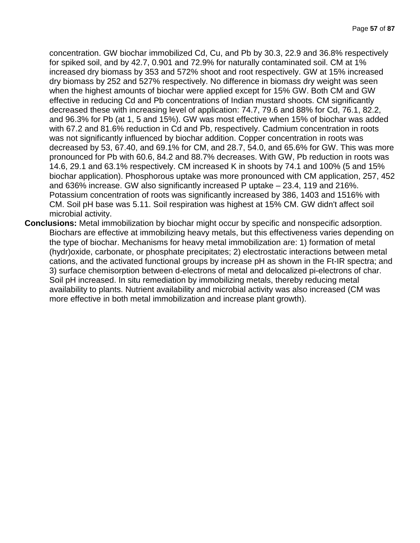concentration. GW biochar immobilized Cd, Cu, and Pb by 30.3, 22.9 and 36.8% respectively for spiked soil, and by 42.7, 0.901 and 72.9% for naturally contaminated soil. CM at 1% increased dry biomass by 353 and 572% shoot and root respectively. GW at 15% increased dry biomass by 252 and 527% respectively. No difference in biomass dry weight was seen when the highest amounts of biochar were applied except for 15% GW. Both CM and GW effective in reducing Cd and Pb concentrations of Indian mustard shoots. CM significantly decreased these with increasing level of application: 74.7, 79.6 and 88% for Cd, 76.1, 82.2, and 96.3% for Pb (at 1, 5 and 15%). GW was most effective when 15% of biochar was added with 67.2 and 81.6% reduction in Cd and Pb, respectively. Cadmium concentration in roots was not significantly influenced by biochar addition. Copper concentration in roots was decreased by 53, 67.40, and 69.1% for CM, and 28.7, 54.0, and 65.6% for GW. This was more pronounced for Pb with 60.6, 84.2 and 88.7% decreases. With GW, Pb reduction in roots was 14.6, 29.1 and 63.1% respectively. CM increased K in shoots by 74.1 and 100% (5 and 15% biochar application). Phosphorous uptake was more pronounced with CM application, 257, 452 and 636% increase. GW also significantly increased P uptake – 23.4, 119 and 216%. Potassium concentration of roots was significantly increased by 386, 1403 and 1516% with CM. Soil pH base was 5.11. Soil respiration was highest at 15% CM. GW didn't affect soil microbial activity.

**Conclusions:** Metal immobilization by biochar might occur by specific and nonspecific adsorption. Biochars are effective at immobilizing heavy metals, but this effectiveness varies depending on the type of biochar. Mechanisms for heavy metal immobilization are: 1) formation of metal (hydr)oxide, carbonate, or phosphate precipitates; 2) electrostatic interactions between metal cations, and the activated functional groups by increase pH as shown in the Ft-IR spectra; and 3) surface chemisorption between d-electrons of metal and delocalized pi-electrons of char. Soil pH increased. In situ remediation by immobilizing metals, thereby reducing metal availability to plants. Nutrient availability and microbial activity was also increased (CM was more effective in both metal immobilization and increase plant growth).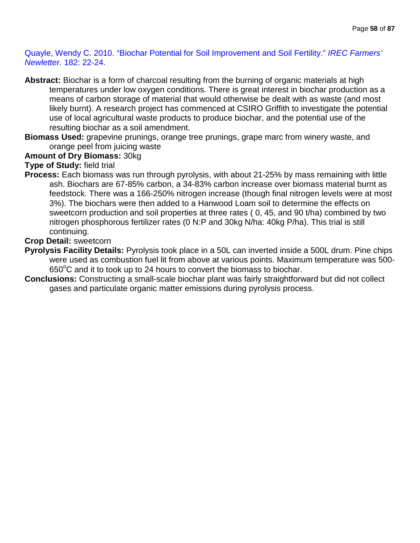Quayle, Wendy C. 2010. "Biochar Potential for Soil Improvement and Soil Fertility." *IREC Farmers' Newletter.* 182: 22-24.

- **Abstract:** Biochar is a form of charcoal resulting from the burning of organic materials at high temperatures under low oxygen conditions. There is great interest in biochar production as a means of carbon storage of material that would otherwise be dealt with as waste (and most likely burnt). A research project has commenced at CSIRO Griffith to investigate the potential use of local agricultural waste products to produce biochar, and the potential use of the resulting biochar as a soil amendment.
- **Biomass Used:** grapevine prunings, orange tree prunings, grape marc from winery waste, and orange peel from juicing waste

# **Amount of Dry Biomass:** 30kg

# **Type of Study:** field trial

**Process:** Each biomass was run through pyrolysis, with about 21-25% by mass remaining with little ash. Biochars are 67-85% carbon, a 34-83% carbon increase over biomass material burnt as feedstock. There was a 166-250% nitrogen increase (though final nitrogen levels were at most 3%). The biochars were then added to a Hanwood Loam soil to determine the effects on sweetcorn production and soil properties at three rates ( 0, 45, and 90 t/ha) combined by two nitrogen phosphorous fertilizer rates (0 N:P and 30kg N/ha: 40kg P/ha). This trial is still continuing.

### **Crop Detail:** sweetcorn

- **Pyrolysis Facility Details:** Pyrolysis took place in a 50L can inverted inside a 500L drum. Pine chips were used as combustion fuel lit from above at various points. Maximum temperature was 500-  $650^{\circ}$ C and it to took up to 24 hours to convert the biomass to biochar.
- **Conclusions:** Constructing a small-scale biochar plant was fairly straightforward but did not collect gases and particulate organic matter emissions during pyrolysis process.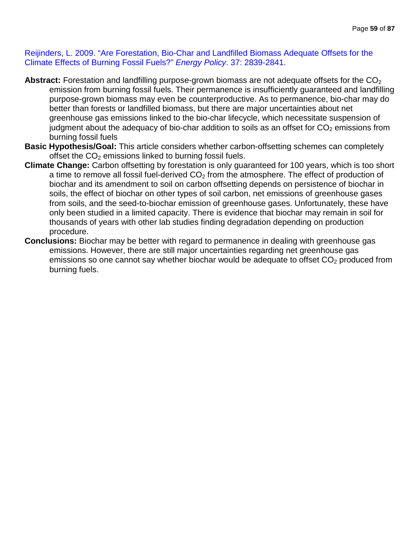Reijinders, L. 2009. "Are Forestation, Bio-Char and Landfilled Biomass Adequate Offsets for the Climate Effects of Burning Fossil Fuels?" *Energy Policy*. 37: 2839-2841.

- Abstract: Forestation and landfilling purpose-grown biomass are not adequate offsets for the CO<sub>2</sub> emission from burning fossil fuels. Their permanence is insufficiently guaranteed and landfilling purpose-grown biomass may even be counterproductive. As to permanence, bio-char may do better than forests or landfilled biomass, but there are major uncertainties about net greenhouse gas emissions linked to the bio-char lifecycle, which necessitate suspension of judgment about the adequacy of bio-char addition to soils as an offset for  $CO<sub>2</sub>$  emissions from burning fossil fuels
- **Basic Hypothesis/Goal:** This article considers whether carbon-offsetting schemes can completely offset the  $CO<sub>2</sub>$  emissions linked to burning fossil fuels.
- **Climate Change:** Carbon offsetting by forestation is only guaranteed for 100 years, which is too short a time to remove all fossil fuel-derived  $CO<sub>2</sub>$  from the atmosphere. The effect of production of biochar and its amendment to soil on carbon offsetting depends on persistence of biochar in soils, the effect of biochar on other types of soil carbon, net emissions of greenhouse gases from soils, and the seed-to-biochar emission of greenhouse gases. Unfortunately, these have only been studied in a limited capacity. There is evidence that biochar may remain in soil for thousands of years with other lab studies finding degradation depending on production procedure.
- **Conclusions:** Biochar may be better with regard to permanence in dealing with greenhouse gas emissions. However, there are still major uncertainties regarding net greenhouse gas emissions so one cannot say whether biochar would be adequate to offset  $CO<sub>2</sub>$  produced from burning fuels.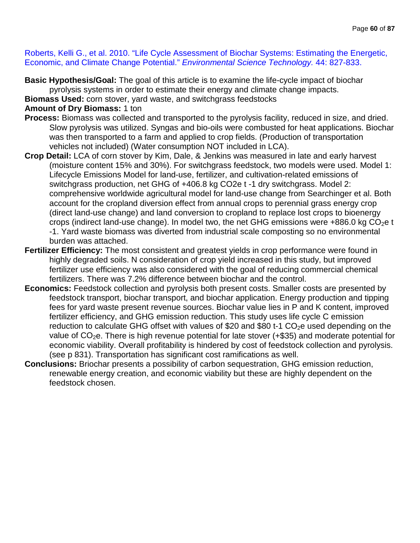Roberts, Kelli G., et al. 2010. "Life Cycle Assessment of Biochar Systems: Estimating the Energetic, Economic, and Climate Change Potential." *Environmental Science Technology.* 44: 827-833.

**Basic Hypothesis/Goal:** The goal of this article is to examine the life-cycle impact of biochar pyrolysis systems in order to estimate their energy and climate change impacts.

**Biomass Used:** corn stover, yard waste, and switchgrass feedstocks

# **Amount of Dry Biomass:** 1 ton

- **Process:** Biomass was collected and transported to the pyrolysis facility, reduced in size, and dried. Slow pyrolysis was utilized. Syngas and bio-oils were combusted for heat applications. Biochar was then transported to a farm and applied to crop fields. (Production of transportation vehicles not included) (Water consumption NOT included in LCA).
- **Crop Detail:** LCA of corn stover by Kim, Dale, & Jenkins was measured in late and early harvest (moisture content 15% and 30%). For switchgrass feedstock, two models were used. Model 1: Lifecycle Emissions Model for land-use, fertilizer, and cultivation-related emissions of switchgrass production, net GHG of +406.8 kg CO2e t -1 dry switchgrass. Model 2: comprehensive worldwide agricultural model for land-use change from Searchinger et al. Both account for the cropland diversion effect from annual crops to perennial grass energy crop (direct land-use change) and land conversion to cropland to replace lost crops to bioenergy crops (indirect land-use change). In model two, the net GHG emissions were  $+886.0$  kg CO<sub>2</sub>e t -1. Yard waste biomass was diverted from industrial scale composting so no environmental burden was attached.
- **Fertilizer Efficiency:** The most consistent and greatest yields in crop performance were found in highly degraded soils. N consideration of crop yield increased in this study, but improved fertilizer use efficiency was also considered with the goal of reducing commercial chemical fertilizers. There was 7.2% difference between biochar and the control.
- **Economics:** Feedstock collection and pyrolysis both present costs. Smaller costs are presented by feedstock transport, biochar transport, and biochar application. Energy production and tipping fees for yard waste present revenue sources. Biochar value lies in P and K content, improved fertilizer efficiency, and GHG emission reduction. This study uses life cycle C emission reduction to calculate GHG offset with values of \$20 and \$80 t-1  $CO<sub>2</sub>e$  used depending on the value of  $CO<sub>2</sub>e$ . There is high revenue potential for late stover (+\$35) and moderate potential for economic viability. Overall profitability is hindered by cost of feedstock collection and pyrolysis. (see p 831). Transportation has significant cost ramifications as well.
- **Conclusions:** Briochar presents a possibility of carbon sequestration, GHG emission reduction, renewable energy creation, and economic viability but these are highly dependent on the feedstock chosen.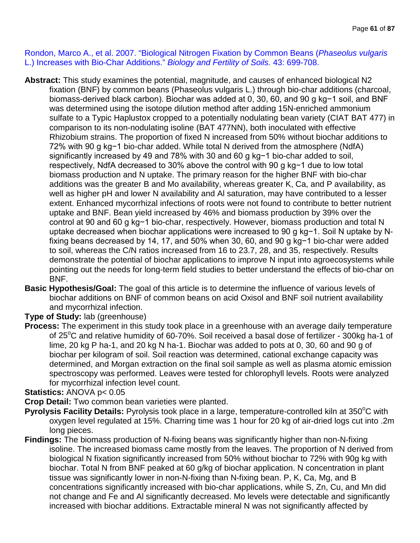Rondon, Marco A., et al. 2007. "Biological Nitrogen Fixation by Common Beans (*Phaseolus vulgaris*  L.) Increases with Bio-Char Additions." *Biology and Fertility of Soils.* 43: 699-708.

- **Abstract:** This study examines the potential, magnitude, and causes of enhanced biological N2 fixation (BNF) by common beans (Phaseolus vulgaris L.) through bio-char additions (charcoal, biomass-derived black carbon). Biochar was added at 0, 30, 60, and 90 g kg−1 soil, and BNF was determined using the isotope dilution method after adding 15N-enriched ammonium sulfate to a Typic Haplustox cropped to a potentially nodulating bean variety (CIAT BAT 477) in comparison to its non-nodulating isoline (BAT 477NN), both inoculated with effective Rhizobium strains. The proportion of fixed N increased from 50% without biochar additions to 72% with 90 g kg−1 bio-char added. While total N derived from the atmosphere (NdfA) significantly increased by 49 and 78% with 30 and 60 g kg−1 bio-char added to soil, respectively, NdfA decreased to 30% above the control with 90 g kg−1 due to low total biomass production and N uptake. The primary reason for the higher BNF with bio-char additions was the greater B and Mo availability, whereas greater K, Ca, and P availability, as well as higher pH and lower N availability and Al saturation, may have contributed to a lesser extent. Enhanced mycorrhizal infections of roots were not found to contribute to better nutrient uptake and BNF. Bean yield increased by 46% and biomass production by 39% over the control at 90 and 60 g kg−1 bio-char, respectively. However, biomass production and total N uptake decreased when biochar applications were increased to 90 g kg−1. Soil N uptake by Nfixing beans decreased by 14, 17, and 50% when 30, 60, and 90 g kg−1 bio-char were added to soil, whereas the C/N ratios increased from 16 to 23.7, 28, and 35, respectively. Results demonstrate the potential of biochar applications to improve N input into agroecosystems while pointing out the needs for long-term field studies to better understand the effects of bio-char on BNF.
- **Basic Hypothesis/Goal:** The goal of this article is to determine the influence of various levels of biochar additions on BNF of common beans on acid Oxisol and BNF soil nutrient availability and mycorrhizal infection.

**Type of Study:** lab (greenhouse)

**Process:** The experiment in this study took place in a greenhouse with an average daily temperature of 25°C and relative humidity of 60-70%. Soil received a basal dose of fertilizer - 300kg ha-1 of lime, 20 kg P ha-1, and 20 kg N ha-1. Biochar was added to pots at 0, 30, 60 and 90 g of biochar per kilogram of soil. Soil reaction was determined, cational exchange capacity was determined, and Morgan extraction on the final soil sample as well as plasma atomic emission spectroscopy was performed. Leaves were tested for chlorophyll levels. Roots were analyzed for mycorrhizal infection level count.

#### **Statistics:** ANOVA p< 0.05

**Crop Detail:** Two common bean varieties were planted.

- Pyrolysis Facility Details: Pyrolysis took place in a large, temperature-controlled kiln at 350°C with oxygen level regulated at 15%. Charring time was 1 hour for 20 kg of air-dried logs cut into .2m long pieces.
- **Findings:** The biomass production of N-fixing beans was significantly higher than non-N-fixing isoline. The increased biomass came mostly from the leaves. The proportion of N derived from biological N fixation significantly increased from 50% without biochar to 72% with 90g kg with biochar. Total N from BNF peaked at 60 g/kg of biochar application. N concentration in plant tissue was significantly lower in non-N-fixing than N-fixing bean. P, K, Ca, Mg, and B concentrations significantly increased with bio-char applications, while S, Zn, Cu, and Mn did not change and Fe and Al significantly decreased. Mo levels were detectable and significantly increased with biochar additions. Extractable mineral N was not significantly affected by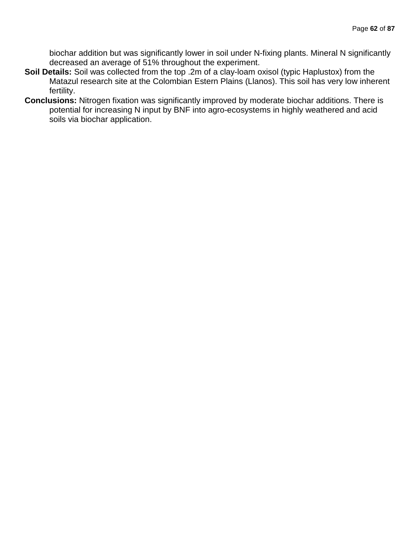biochar addition but was significantly lower in soil under N-fixing plants. Mineral N significantly decreased an average of 51% throughout the experiment.

- **Soil Details:** Soil was collected from the top .2m of a clay-loam oxisol (typic Haplustox) from the Matazul research site at the Colombian Estern Plains (Llanos). This soil has very low inherent fertility.
- **Conclusions:** Nitrogen fixation was significantly improved by moderate biochar additions. There is potential for increasing N input by BNF into agro-ecosystems in highly weathered and acid soils via biochar application.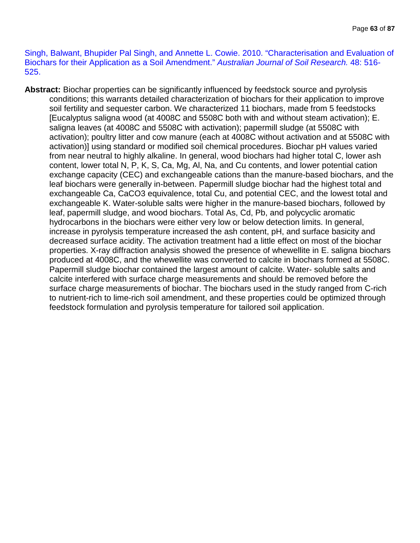Singh, Balwant, Bhupider Pal Singh, and Annette L. Cowie. 2010. "Characterisation and Evaluation of Biochars for their Application as a Soil Amendment." *Australian Journal of Soil Research.* 48: 516- 525.

**Abstract:** Biochar properties can be significantly influenced by feedstock source and pyrolysis conditions; this warrants detailed characterization of biochars for their application to improve soil fertility and sequester carbon. We characterized 11 biochars, made from 5 feedstocks [Eucalyptus saligna wood (at 4008C and 5508C both with and without steam activation); E. saligna leaves (at 4008C and 5508C with activation); papermill sludge (at 5508C with activation); poultry litter and cow manure (each at 4008C without activation and at 5508C with activation)] using standard or modified soil chemical procedures. Biochar pH values varied from near neutral to highly alkaline. In general, wood biochars had higher total C, lower ash content, lower total N, P, K, S, Ca, Mg, Al, Na, and Cu contents, and lower potential cation exchange capacity (CEC) and exchangeable cations than the manure-based biochars, and the leaf biochars were generally in-between. Papermill sludge biochar had the highest total and exchangeable Ca, CaCO3 equivalence, total Cu, and potential CEC, and the lowest total and exchangeable K. Water-soluble salts were higher in the manure-based biochars, followed by leaf, papermill sludge, and wood biochars. Total As, Cd, Pb, and polycyclic aromatic hydrocarbons in the biochars were either very low or below detection limits. In general, increase in pyrolysis temperature increased the ash content, pH, and surface basicity and decreased surface acidity. The activation treatment had a little effect on most of the biochar properties. X-ray diffraction analysis showed the presence of whewellite in E. saligna biochars produced at 4008C, and the whewellite was converted to calcite in biochars formed at 5508C. Papermill sludge biochar contained the largest amount of calcite. Water- soluble salts and calcite interfered with surface charge measurements and should be removed before the surface charge measurements of biochar. The biochars used in the study ranged from C-rich to nutrient-rich to lime-rich soil amendment, and these properties could be optimized through feedstock formulation and pyrolysis temperature for tailored soil application.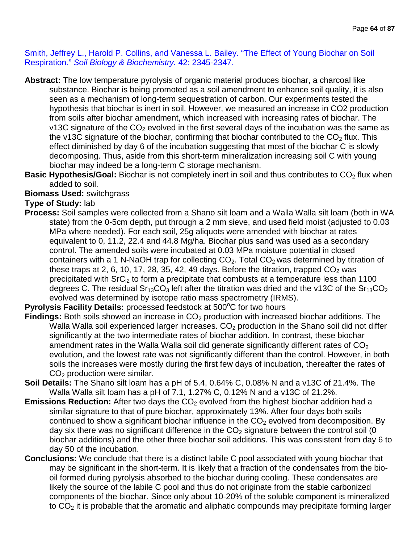Smith, Jeffrey L., Harold P. Collins, and Vanessa L. Bailey. "The Effect of Young Biochar on Soil Respiration." *Soil Biology & Biochemistry.* 42: 2345-2347.

- **Abstract:** The low temperature pyrolysis of organic material produces biochar, a charcoal like substance. Biochar is being promoted as a soil amendment to enhance soil quality, it is also seen as a mechanism of long-term sequestration of carbon. Our experiments tested the hypothesis that biochar is inert in soil. However, we measured an increase in CO2 production from soils after biochar amendment, which increased with increasing rates of biochar. The v13C signature of the  $CO<sub>2</sub>$  evolved in the first several days of the incubation was the same as the v13C signature of the biochar, confirming that biochar contributed to the  $CO<sub>2</sub>$  flux. This effect diminished by day 6 of the incubation suggesting that most of the biochar C is slowly decomposing. Thus, aside from this short-term mineralization increasing soil C with young biochar may indeed be a long-term C storage mechanism.
- **Basic Hypothesis/Goal:** Biochar is not completely inert in soil and thus contributes to CO<sub>2</sub> flux when added to soil.

### **Biomass Used: switchgrass**

# **Type of Study:** lab

**Process:** Soil samples were collected from a Shano silt loam and a Walla Walla silt loam (both in WA state) from the 0-5cm depth, put through a 2 mm sieve, and used field moist (adjusted to 0.03 MPa where needed). For each soil, 25g aliquots were amended with biochar at rates equivalent to 0, 11.2, 22.4 and 44.8 Mg/ha. Biochar plus sand was used as a secondary control. The amended soils were incubated at 0.03 MPa moisture potential in closed containers with a 1 N-NaOH trap for collecting  $CO<sub>2</sub>$ . Total  $CO<sub>2</sub>$  was determined by titration of these traps at 2, 6, 10, 17, 28, 35, 42, 49 days. Before the titration, trapped  $CO<sub>2</sub>$  was precipitated with  $SrC<sub>12</sub>$  to form a precipitate that combusts at a temperature less than 1100 degrees C. The residual  $Sr<sub>13</sub>CO<sub>3</sub>$  left after the titration was dried and the v13C of the  $Sr<sub>13</sub>CO<sub>2</sub>$ evolved was determined by isotope ratio mass spectrometry (IRMS).

# Pyrolysis Facility Details: processed feedstock at 500°C for two hours

- Findings: Both soils showed an increase in CO<sub>2</sub> production with increased biochar additions. The Walla Walla soil experienced larger increases.  $CO<sub>2</sub>$  production in the Shano soil did not differ significantly at the two intermediate rates of biochar addition. In contrast, these biochar amendment rates in the Walla Walla soil did generate significantly different rates of  $CO<sub>2</sub>$ evolution, and the lowest rate was not significantly different than the control. However, in both soils the increases were mostly during the first few days of incubation, thereafter the rates of CO<sub>2</sub> production were similar.
- **Soil Details:** The Shano silt loam has a pH of 5.4, 0.64% C, 0.08% N and a v13C of 21.4%. The Walla Walla silt loam has a pH of 7.1, 1.27% C, 0.12% N and a v13C of 21.2%.
- **Emissions Reduction:** After two days the CO<sub>2</sub> evolved from the highest biochar addition had a similar signature to that of pure biochar, approximately 13%. After four days both soils continued to show a significant biochar influence in the  $CO<sub>2</sub>$  evolved from decomposition. By day six there was no significant difference in the  $CO<sub>2</sub>$  signature between the control soil (0 biochar additions) and the other three biochar soil additions. This was consistent from day 6 to day 50 of the incubation.
- **Conclusions:** We conclude that there is a distinct labile C pool associated with young biochar that may be significant in the short-term. It is likely that a fraction of the condensates from the biooil formed during pyrolysis absorbed to the biochar during cooling. These condensates are likely the source of the labile C pool and thus do not originate from the stable carbonized components of the biochar. Since only about 10-20% of the soluble component is mineralized to  $CO<sub>2</sub>$  it is probable that the aromatic and aliphatic compounds may precipitate forming larger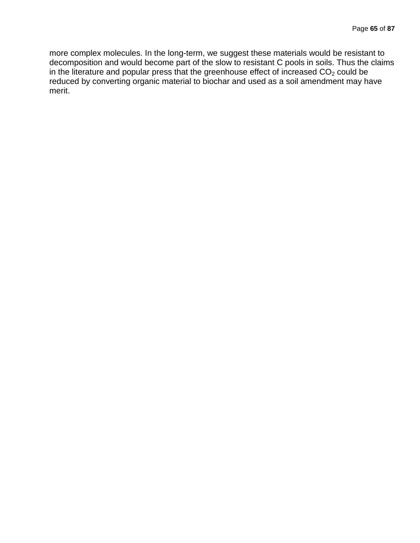more complex molecules. In the long-term, we suggest these materials would be resistant to decomposition and would become part of the slow to resistant C pools in soils. Thus the claims in the literature and popular press that the greenhouse effect of increased  $CO<sub>2</sub>$  could be reduced by converting organic material to biochar and used as a soil amendment may have merit.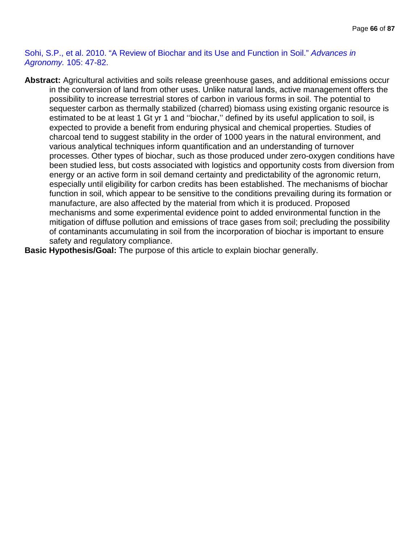Sohi, S.P., et al. 2010. "A Review of Biochar and its Use and Function in Soil." *Advances in Agronomy.* 105: 47-82.

- **Abstract:** Agricultural activities and soils release greenhouse gases, and additional emissions occur in the conversion of land from other uses. Unlike natural lands, active management offers the possibility to increase terrestrial stores of carbon in various forms in soil. The potential to sequester carbon as thermally stabilized (charred) biomass using existing organic resource is estimated to be at least 1 Gt yr 1 and "biochar," defined by its useful application to soil, is expected to provide a benefit from enduring physical and chemical properties. Studies of charcoal tend to suggest stability in the order of 1000 years in the natural environment, and various analytical techniques inform quantification and an understanding of turnover processes. Other types of biochar, such as those produced under zero-oxygen conditions have been studied less, but costs associated with logistics and opportunity costs from diversion from energy or an active form in soil demand certainty and predictability of the agronomic return, especially until eligibility for carbon credits has been established. The mechanisms of biochar function in soil, which appear to be sensitive to the conditions prevailing during its formation or manufacture, are also affected by the material from which it is produced. Proposed mechanisms and some experimental evidence point to added environmental function in the mitigation of diffuse pollution and emissions of trace gases from soil; precluding the possibility of contaminants accumulating in soil from the incorporation of biochar is important to ensure safety and regulatory compliance.
- **Basic Hypothesis/Goal:** The purpose of this article to explain biochar generally.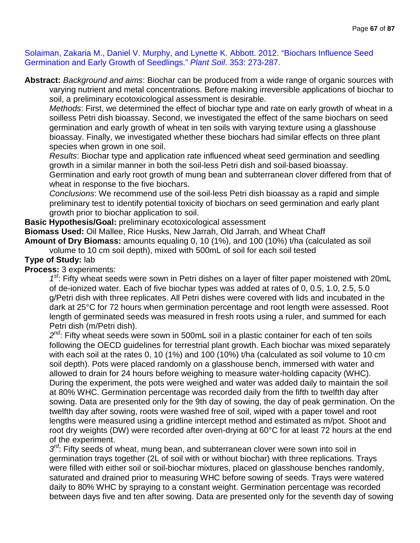Solaiman, Zakaria M., Daniel V. Murphy, and Lynette K. Abbott. 2012. "Biochars Influence Seed Germination and Early Growth of Seedlings." *Plant Soil*. 353: 273-287.

**Abstract:** *Background and aims*: Biochar can be produced from a wide range of organic sources with varying nutrient and metal concentrations. Before making irreversible applications of biochar to soil, a preliminary ecotoxicological assessment is desirable.

*Methods*: First, we determined the effect of biochar type and rate on early growth of wheat in a soilless Petri dish bioassay. Second, we investigated the effect of the same biochars on seed germination and early growth of wheat in ten soils with varying texture using a glasshouse bioassay. Finally, we investigated whether these biochars had similar effects on three plant species when grown in one soil.

*Results*: Biochar type and application rate influenced wheat seed germination and seedling growth in a similar manner in both the soil-less Petri dish and soil-based bioassay.

Germination and early root growth of mung bean and subterranean clover differed from that of wheat in response to the five biochars.

*Conclusions*: We recommend use of the soil-less Petri dish bioassay as a rapid and simple preliminary test to identify potential toxicity of biochars on seed germination and early plant growth prior to biochar application to soil.

**Basic Hypothesis/Goal:** preliminary ecotoxicological assessment

**Biomass Used:** Oil Mallee, Rice Husks, New Jarrah, Old Jarrah, and Wheat Chaff **Amount of Dry Biomass:** amounts equaling 0, 10 (1%), and 100 (10%) t/ha (calculated as soil

volume to 10 cm soil depth), mixed with 500mL of soil for each soil tested

### **Type of Study:** lab

**Process:** 3 experiments:

*1st*: Fifty wheat seeds were sown in Petri dishes on a layer of filter paper moistened with 20mL of de-ionized water. Each of five biochar types was added at rates of 0, 0.5, 1.0, 2.5, 5.0 g/Petri dish with three replicates. All Petri dishes were covered with lids and incubated in the dark at 25°C for 72 hours when germination percentage and root length were assessed. Root length of germinated seeds was measured in fresh roots using a ruler, and summed for each Petri dish (m/Petri dish).

2<sup>nd</sup>: Fifty wheat seeds were sown in 500mL soil in a plastic container for each of ten soils following the OECD guidelines for terrestrial plant growth. Each biochar was mixed separately with each soil at the rates 0, 10 (1%) and 100 (10%) t/ha (calculated as soil volume to 10 cm soil depth). Pots were placed randomly on a glasshouse bench, immersed with water and allowed to drain for 24 hours before weighing to measure water-holding capacity (WHC). During the experiment, the pots were weighed and water was added daily to maintain the soil at 80% WHC. Germination percentage was recorded daily from the fifth to twelfth day after sowing. Data are presented only for the 9th day of sowing, the day of peak germination. On the twelfth day after sowing, roots were washed free of soil, wiped with a paper towel and root lengths were measured using a gridline intercept method and estimated as m/pot. Shoot and root dry weights (DW) were recorded after oven-drying at 60°C for at least 72 hours at the end of the experiment.

 $3<sup>rd</sup>$ : Fifty seeds of wheat, mung bean, and subterranean clover were sown into soil in germination trays together (2L of soil with or without biochar) with three replications. Trays were filled with either soil or soil-biochar mixtures, placed on glasshouse benches randomly, saturated and drained prior to measuring WHC before sowing of seeds. Trays were watered daily to 80% WHC by spraying to a constant weight. Germination percentage was recorded between days five and ten after sowing. Data are presented only for the seventh day of sowing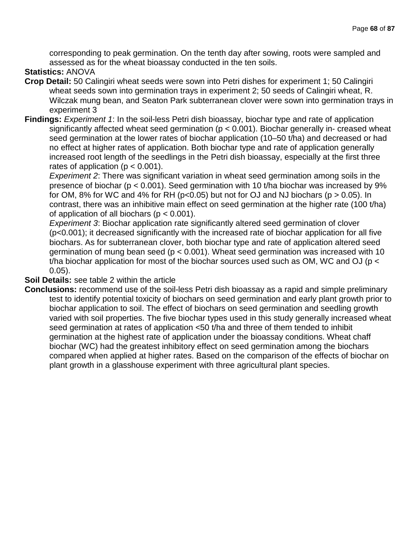corresponding to peak germination. On the tenth day after sowing, roots were sampled and assessed as for the wheat bioassay conducted in the ten soils.

# **Statistics:** ANOVA

- **Crop Detail:** 50 Calingiri wheat seeds were sown into Petri dishes for experiment 1; 50 Calingiri wheat seeds sown into germination trays in experiment 2; 50 seeds of Calingiri wheat, R. Wilczak mung bean, and Seaton Park subterranean clover were sown into germination trays in experiment 3
- **Findings:** *Experiment 1*: In the soil-less Petri dish bioassay, biochar type and rate of application significantly affected wheat seed germination (p < 0.001). Biochar generally in- creased wheat seed germination at the lower rates of biochar application (10–50 t/ha) and decreased or had no effect at higher rates of application. Both biochar type and rate of application generally increased root length of the seedlings in the Petri dish bioassay, especially at the first three rates of application ( $p < 0.001$ ).

*Experiment 2*: There was significant variation in wheat seed germination among soils in the presence of biochar (p < 0.001). Seed germination with 10 t/ha biochar was increased by 9% for OM, 8% for WC and 4% for RH ( $p<0.05$ ) but not for OJ and NJ biochars ( $p > 0.05$ ). In contrast, there was an inhibitive main effect on seed germination at the higher rate (100 t/ha) of application of all biochars ( $p < 0.001$ ).

*Experiment 3*: Biochar application rate significantly altered seed germination of clover (p<0.001); it decreased significantly with the increased rate of biochar application for all five biochars. As for subterranean clover, both biochar type and rate of application altered seed germination of mung bean seed ( $p < 0.001$ ). Wheat seed germination was increased with 10 t/ha biochar application for most of the biochar sources used such as OM, WC and OJ ( $p <$ 0.05).

#### **Soil Details:** see table 2 within the article

**Conclusions:** recommend use of the soil-less Petri dish bioassay as a rapid and simple preliminary test to identify potential toxicity of biochars on seed germination and early plant growth prior to biochar application to soil. The effect of biochars on seed germination and seedling growth varied with soil properties. The five biochar types used in this study generally increased wheat seed germination at rates of application <50 t/ha and three of them tended to inhibit germination at the highest rate of application under the bioassay conditions. Wheat chaff biochar (WC) had the greatest inhibitory effect on seed germination among the biochars compared when applied at higher rates. Based on the comparison of the effects of biochar on plant growth in a glasshouse experiment with three agricultural plant species.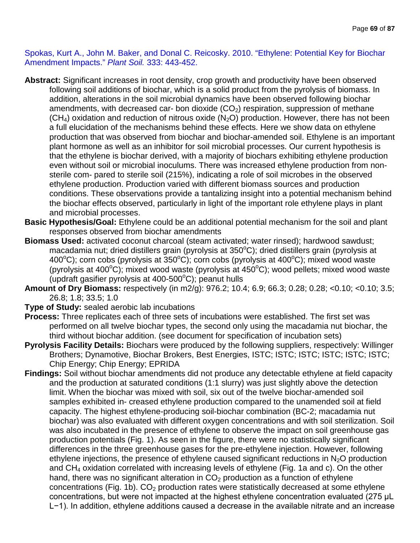Spokas, Kurt A., John M. Baker, and Donal C. Reicosky. 2010. "Ethylene: Potential Key for Biochar Amendment Impacts." *Plant Soil.* 333: 443-452.

- **Abstract:** Significant increases in root density, crop growth and productivity have been observed following soil additions of biochar, which is a solid product from the pyrolysis of biomass. In addition, alterations in the soil microbial dynamics have been observed following biochar amendments, with decreased car- bon dioxide  $(CO<sub>2</sub>)$  respiration, suppression of methane  $(CH<sub>4</sub>)$  oxidation and reduction of nitrous oxide  $(N<sub>2</sub>O)$  production. However, there has not been a full elucidation of the mechanisms behind these effects. Here we show data on ethylene production that was observed from biochar and biochar-amended soil. Ethylene is an important plant hormone as well as an inhibitor for soil microbial processes. Our current hypothesis is that the ethylene is biochar derived, with a majority of biochars exhibiting ethylene production even without soil or microbial inoculums. There was increased ethylene production from nonsterile com- pared to sterile soil (215%), indicating a role of soil microbes in the observed ethylene production. Production varied with different biomass sources and production conditions. These observations provide a tantalizing insight into a potential mechanism behind the biochar effects observed, particularly in light of the important role ethylene plays in plant and microbial processes.
- **Basic Hypothesis/Goal:** Ethylene could be an additional potential mechanism for the soil and plant responses observed from biochar amendments
- **Biomass Used:** activated coconut charcoal (steam activated; water rinsed); hardwood sawdust; macadamia nut; dried distillers grain (pyrolysis at 350°C); dried distillers grain (pyrolysis at 400 $^{\circ}$ C); corn cobs (pyrolysis at 350 $^{\circ}$ C); corn cobs (pyrolysis at 400 $^{\circ}$ C); mixed wood waste (pyrolysis at 400°C); mixed wood waste (pyrolysis at 450°C); wood pellets; mixed wood waste (updraft gasifier pyrolysis at 400-500°C); peanut hulls
- **Amount of Dry Biomass:** respectively (in m2/g): 976.2; 10.4; 6.9; 66.3; 0.28; 0.28; <0.10; <0.10; 3.5; 26.8; 1.8; 33.5; 1.0
- **Type of Study:** sealed aerobic lab incubations
- **Process:** Three replicates each of three sets of incubations were established. The first set was performed on all twelve biochar types, the second only using the macadamia nut biochar, the third without biochar addition. (see document for specification of incubation sets)
- **Pyrolysis Facility Details:** Biochars were produced by the following suppliers, respectively: Willinger Brothers; Dynamotive, Biochar Brokers, Best Energies, ISTC; ISTC; ISTC; ISTC; ISTC; ISTC; Chip Energy; Chip Energy; EPRIDA
- **Findings:** Soil without biochar amendments did not produce any detectable ethylene at field capacity and the production at saturated conditions (1:1 slurry) was just slightly above the detection limit. When the biochar was mixed with soil, six out of the twelve biochar-amended soil samples exhibited in- creased ethylene production compared to the unamended soil at field capacity. The highest ethylene-producing soil-biochar combination (BC-2; macadamia nut biochar) was also evaluated with different oxygen concentrations and with soil sterilization. Soil was also incubated in the presence of ethylene to observe the impact on soil greenhouse gas production potentials (Fig. 1). As seen in the figure, there were no statistically significant differences in the three greenhouse gases for the pre-ethylene injection. However, following ethylene injections, the presence of ethylene caused significant reductions in  $N_2O$  production and CH<sub>4</sub> oxidation correlated with increasing levels of ethylene (Fig. 1a and c). On the other hand, there was no significant alteration in  $CO<sub>2</sub>$  production as a function of ethylene concentrations (Fig. 1b).  $CO<sub>2</sub>$  production rates were statistically decreased at some ethylene concentrations, but were not impacted at the highest ethylene concentration evaluated (275 μL L−1). In addition, ethylene additions caused a decrease in the available nitrate and an increase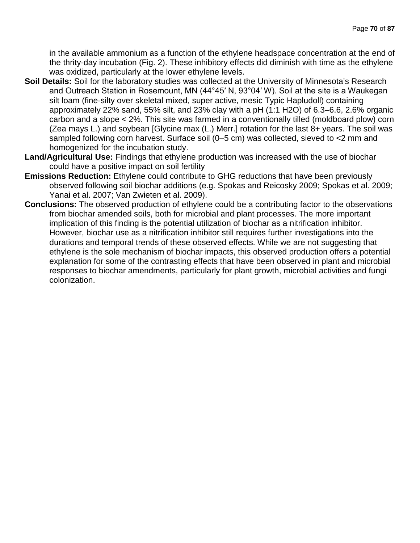in the available ammonium as a function of the ethylene headspace concentration at the end of the thrity-day incubation (Fig. 2). These inhibitory effects did diminish with time as the ethylene was oxidized, particularly at the lower ethylene levels.

- **Soil Details:** Soil for the laboratory studies was collected at the University of Minnesota's Research and Outreach Station in Rosemount, MN (44°45′ N, 93°04′ W). Soil at the site is a Waukegan silt loam (fine-silty over skeletal mixed, super active, mesic Typic Hapludoll) containing approximately 22% sand, 55% silt, and 23% clay with a pH (1:1 H2O) of 6.3–6.6, 2.6% organic carbon and a slope < 2%. This site was farmed in a conventionally tilled (moldboard plow) corn (Zea mays L.) and soybean [Glycine max (L.) Merr.] rotation for the last 8+ years. The soil was sampled following corn harvest. Surface soil (0–5 cm) was collected, sieved to <2 mm and homogenized for the incubation study.
- **Land/Agricultural Use:** Findings that ethylene production was increased with the use of biochar could have a positive impact on soil fertility
- **Emissions Reduction:** Ethylene could contribute to GHG reductions that have been previously observed following soil biochar additions (e.g. Spokas and Reicosky 2009; Spokas et al. 2009; Yanai et al. 2007; Van Zwieten et al. 2009).
- **Conclusions:** The observed production of ethylene could be a contributing factor to the observations from biochar amended soils, both for microbial and plant processes. The more important implication of this finding is the potential utilization of biochar as a nitrification inhibitor. However, biochar use as a nitrification inhibitor still requires further investigations into the durations and temporal trends of these observed effects. While we are not suggesting that ethylene is the sole mechanism of biochar impacts, this observed production offers a potential explanation for some of the contrasting effects that have been observed in plant and microbial responses to biochar amendments, particularly for plant growth, microbial activities and fungi colonization.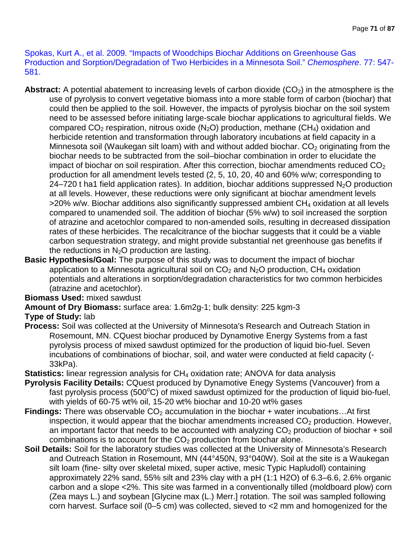Spokas, Kurt A., et al. 2009. "Impacts of Woodchips Biochar Additions on Greenhouse Gas Production and Sorption/Degradation of Two Herbicides in a Minnesota Soil." *Chemosphere*. 77: 547- 581.

- **Abstract:** A potential abatement to increasing levels of carbon dioxide  $(CO<sub>2</sub>)$  in the atmosphere is the use of pyrolysis to convert vegetative biomass into a more stable form of carbon (biochar) that could then be applied to the soil. However, the impacts of pyrolysis biochar on the soil system need to be assessed before initiating large-scale biochar applications to agricultural fields. We compared  $CO<sub>2</sub>$  respiration, nitrous oxide (N<sub>2</sub>O) production, methane (CH<sub>4</sub>) oxidation and herbicide retention and transformation through laboratory incubations at field capacity in a Minnesota soil (Waukegan silt loam) with and without added biochar.  $CO<sub>2</sub>$  originating from the biochar needs to be subtracted from the soil–biochar combination in order to elucidate the impact of biochar on soil respiration. After this correction, biochar amendments reduced  $CO<sub>2</sub>$ production for all amendment levels tested (2, 5, 10, 20, 40 and 60% w/w; corresponding to 24–720 t ha1 field application rates). In addition, biochar additions suppressed  $N<sub>2</sub>O$  production at all levels. However, these reductions were only significant at biochar amendment levels >20% w/w. Biochar additions also significantly suppressed ambient CH<sub>4</sub> oxidation at all levels compared to unamended soil. The addition of biochar (5% w/w) to soil increased the sorption of atrazine and acetochlor compared to non-amended soils, resulting in decreased dissipation rates of these herbicides. The recalcitrance of the biochar suggests that it could be a viable carbon sequestration strategy, and might provide substantial net greenhouse gas benefits if the reductions in  $N_2O$  production are lasting.
- **Basic Hypothesis/Goal:** The purpose of this study was to document the impact of biochar application to a Minnesota agricultural soil on  $CO<sub>2</sub>$  and  $N<sub>2</sub>O$  production,  $CH<sub>4</sub>$  oxidation potentials and alterations in sorption/degradation characteristics for two common herbicides (atrazine and acetochlor).

### **Biomass Used:** mixed sawdust

**Amount of Dry Biomass:** surface area: 1.6m2g-1; bulk density: 225 kgm-3

### **Type of Study:** lab

- **Process:** Soil was collected at the University of Minnesota's Research and Outreach Station in Rosemount, MN. CQuest biochar produced by Dynamotive Energy Systems from a fast pyrolysis process of mixed sawdust optimized for the production of liquid bio-fuel. Seven incubations of combinations of biochar, soil, and water were conducted at field capacity (- 33kPa).
- **Statistics:** linear regression analysis for CH<sub>4</sub> oxidation rate; ANOVA for data analysis
- **Pyrolysis Facility Details:** CQuest produced by Dynamotive Enegy Systems (Vancouver) from a fast pyrolysis process (500 $\degree$ C) of mixed sawdust optimized for the production of liquid bio-fuel, with yields of 60-75 wt% oil, 15-20 wt% biochar and 10-20 wt% gases
- **Findings:** There was observable CO<sub>2</sub> accumulation in the biochar + water incubations...At first inspection, it would appear that the biochar amendments increased  $CO<sub>2</sub>$  production. However, an important factor that needs to be accounted with analyzing  $CO<sub>2</sub>$  production of biochar + soil combinations is to account for the  $CO<sub>2</sub>$  production from biochar alone.
- **Soil Details:** Soil for the laboratory studies was collected at the University of Minnesota's Research and Outreach Station in Rosemount, MN (44°450N, 93°040W). Soil at the site is a Waukegan silt loam (fine- silty over skeletal mixed, super active, mesic Typic Hapludoll) containing approximately 22% sand, 55% silt and 23% clay with a pH (1:1 H2O) of 6.3–6.6, 2.6% organic carbon and a slope <2%. This site was farmed in a conventionally tilled (moldboard plow) corn (Zea mays L.) and soybean [Glycine max (L.) Merr.] rotation. The soil was sampled following corn harvest. Surface soil (0–5 cm) was collected, sieved to <2 mm and homogenized for the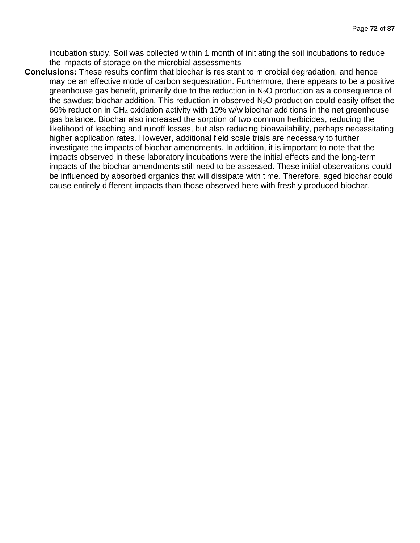incubation study. Soil was collected within 1 month of initiating the soil incubations to reduce the impacts of storage on the microbial assessments

**Conclusions:** These results confirm that biochar is resistant to microbial degradation, and hence may be an effective mode of carbon sequestration. Furthermore, there appears to be a positive greenhouse gas benefit, primarily due to the reduction in  $N<sub>2</sub>O$  production as a consequence of the sawdust biochar addition. This reduction in observed  $N_2O$  production could easily offset the 60% reduction in  $CH_4$  oxidation activity with 10% w/w biochar additions in the net greenhouse gas balance. Biochar also increased the sorption of two common herbicides, reducing the likelihood of leaching and runoff losses, but also reducing bioavailability, perhaps necessitating higher application rates. However, additional field scale trials are necessary to further investigate the impacts of biochar amendments. In addition, it is important to note that the impacts observed in these laboratory incubations were the initial effects and the long-term impacts of the biochar amendments still need to be assessed. These initial observations could be influenced by absorbed organics that will dissipate with time. Therefore, aged biochar could cause entirely different impacts than those observed here with freshly produced biochar.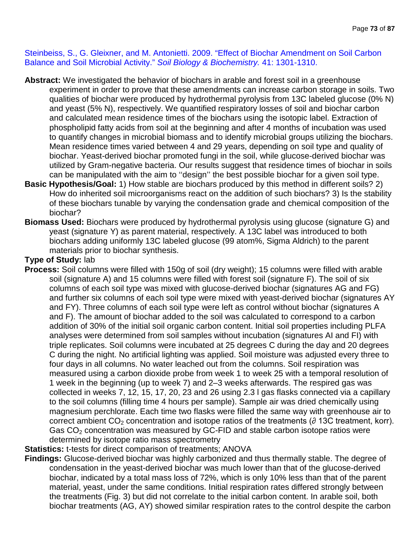Steinbeiss, S., G. Gleixner, and M. Antonietti. 2009. "Effect of Biochar Amendment on Soil Carbon Balance and Soil Microbial Activity." *Soil Biology & Biochemistry.* 41: 1301-1310.

- **Abstract:** We investigated the behavior of biochars in arable and forest soil in a greenhouse experiment in order to prove that these amendments can increase carbon storage in soils. Two qualities of biochar were produced by hydrothermal pyrolysis from 13C labeled glucose (0% N) and yeast (5% N), respectively. We quantified respiratory losses of soil and biochar carbon and calculated mean residence times of the biochars using the isotopic label. Extraction of phospholipid fatty acids from soil at the beginning and after 4 months of incubation was used to quantify changes in microbial biomass and to identify microbial groups utilizing the biochars. Mean residence times varied between 4 and 29 years, depending on soil type and quality of biochar. Yeast-derived biochar promoted fungi in the soil, while glucose-derived biochar was utilized by Gram-negative bacteria. Our results suggest that residence times of biochar in soils can be manipulated with the aim to ''design'' the best possible biochar for a given soil type.
- **Basic Hypothesis/Goal:** 1) How stable are biochars produced by this method in different soils? 2) How do inherited soil microorganisms react on the addition of such biochars? 3) Is the stability of these biochars tunable by varying the condensation grade and chemical composition of the biochar?
- **Biomass Used:** Biochars were produced by hydrothermal pyrolysis using glucose (signature G) and yeast (signature Y) as parent material, respectively. A 13C label was introduced to both biochars adding uniformly 13C labeled glucose (99 atom%, Sigma Aldrich) to the parent materials prior to biochar synthesis.

## **Type of Study:** lab

**Process:** Soil columns were filled with 150g of soil (dry weight); 15 columns were filled with arable soil (signature A) and 15 columns were filled with forest soil (signature F). The soil of six columns of each soil type was mixed with glucose-derived biochar (signatures AG and FG) and further six columns of each soil type were mixed with yeast-derived biochar (signatures AY and FY). Three columns of each soil type were left as control without biochar (signatures A and F). The amount of biochar added to the soil was calculated to correspond to a carbon addition of 30% of the initial soil organic carbon content. Initial soil properties including PLFA analyses were determined from soil samples without incubation (signatures AI and FI) with triple replicates. Soil columns were incubated at 25 degrees C during the day and 20 degrees C during the night. No artificial lighting was applied. Soil moisture was adjusted every three to four days in all columns. No water leached out from the columns. Soil respiration was measured using a carbon dioxide probe from week 1 to week 25 with a temporal resolution of 1 week in the beginning (up to week 7) and 2–3 weeks afterwards. The respired gas was collected in weeks 7, 12, 15, 17, 20, 23 and 26 using 2.3 l gas flasks connected via a capillary to the soil columns (filling time 4 hours per sample). Sample air was dried chemically using magnesium perchlorate. Each time two flasks were filled the same way with greenhouse air to correct ambient  $CO<sub>2</sub>$  concentration and isotope ratios of the treatments ( $\partial$  13C treatment, korr). Gas  $CO<sub>2</sub>$  concentration was measured by GC-FID and stable carbon isotope ratios were determined by isotope ratio mass spectrometry

## **Statistics:** t-tests for direct comparison of treatments; ANOVA

**Findings:** Glucose-derived biochar was highly carbonized and thus thermally stable. The degree of condensation in the yeast-derived biochar was much lower than that of the glucose-derived biochar, indicated by a total mass loss of 72%, which is only 10% less than that of the parent material, yeast, under the same conditions. Initial respiration rates differed strongly between the treatments (Fig. 3) but did not correlate to the initial carbon content. In arable soil, both biochar treatments (AG, AY) showed similar respiration rates to the control despite the carbon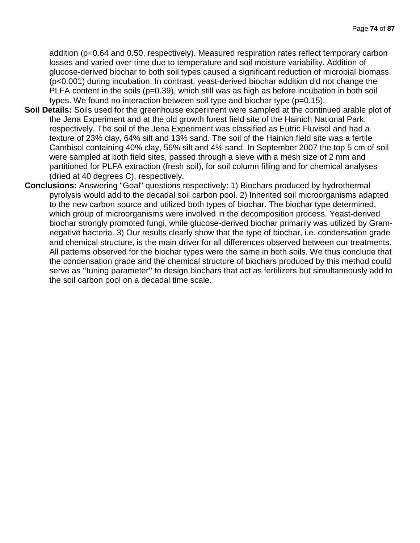addition (p=0.64 and 0.50, respectively). Measured respiration rates reflect temporary carbon losses and varied over time due to temperature and soil moisture variability. Addition of glucose-derived biochar to both soil types caused a significant reduction of microbial biomass (p<0.001) during incubation. In contrast, yeast-derived biochar addition did not change the  $PLFA$  content in the soils ( $p=0.39$ ), which still was as high as before incubation in both soil types. We found no interaction between soil type and biochar type (p=0.15).

- **Soil Details:** Soils used for the greenhouse experiment were sampled at the continued arable plot of the Jena Experiment and at the old growth forest field site of the Hainich National Park, respectively. The soil of the Jena Experiment was classified as Eutric Fluvisol and had a texture of 23% clay, 64% silt and 13% sand. The soil of the Hainich field site was a fertile Cambisol containing 40% clay, 56% silt and 4% sand. In September 2007 the top 5 cm of soil were sampled at both field sites, passed through a sieve with a mesh size of 2 mm and partitioned for PLFA extraction (fresh soil), for soil column filling and for chemical analyses (dried at 40 degrees C), respectively.
- **Conclusions:** Answering "Goal" questions respectively: 1) Biochars produced by hydrothermal pyrolysis would add to the decadal soil carbon pool. 2) Inherited soil microorganisms adapted to the new carbon source and utilized both types of biochar. The biochar type determined, which group of microorganisms were involved in the decomposition process. Yeast-derived biochar strongly promoted fungi, while glucose-derived biochar primarily was utilized by Gramnegative bacteria. 3) Our results clearly show that the type of biochar, i.e. condensation grade and chemical structure, is the main driver for all differences observed between our treatments. All patterns observed for the biochar types were the same in both soils. We thus conclude that the condensation grade and the chemical structure of biochars produced by this method could serve as ''tuning parameter'' to design biochars that act as fertilizers but simultaneously add to the soil carbon pool on a decadal time scale.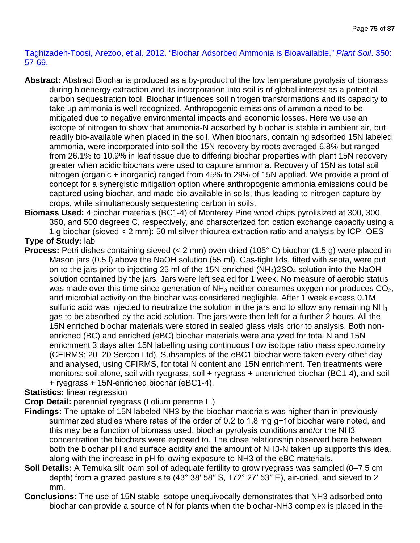Taghizadeh-Toosi, Arezoo, et al. 2012. "Biochar Adsorbed Ammonia is Bioavailable." *Plant Soil*. 350: 57-69.

**Abstract:** Abstract Biochar is produced as a by-product of the low temperature pyrolysis of biomass during bioenergy extraction and its incorporation into soil is of global interest as a potential carbon sequestration tool. Biochar influences soil nitrogen transformations and its capacity to take up ammonia is well recognized. Anthropogenic emissions of ammonia need to be mitigated due to negative environmental impacts and economic losses. Here we use an isotope of nitrogen to show that ammonia-N adsorbed by biochar is stable in ambient air, but readily bio-available when placed in the soil. When biochars, containing adsorbed 15N labeled ammonia, were incorporated into soil the 15N recovery by roots averaged 6.8% but ranged from 26.1% to 10.9% in leaf tissue due to differing biochar properties with plant 15N recovery greater when acidic biochars were used to capture ammonia. Recovery of 15N as total soil nitrogen (organic + inorganic) ranged from 45% to 29% of 15N applied. We provide a proof of concept for a synergistic mitigation option where anthropogenic ammonia emissions could be captured using biochar, and made bio-available in soils, thus leading to nitrogen capture by crops, while simultaneously sequestering carbon in soils.

**Biomass Used:** 4 biochar materials (BC1-4) of Monterey Pine wood chips pyrolisized at 300, 300, 350, and 500 degrees C, respectively, and characterized for: cation exchange capacity using a 1 g biochar (sieved < 2 mm): 50 ml silver thiourea extraction ratio and analysis by ICP- OES **Type of Study:** lab

**Process:** Petri dishes containing sieved (< 2 mm) oven-dried (105° C) biochar (1.5 g) were placed in Mason jars (0.5 l) above the NaOH solution (55 ml). Gas-tight lids, fitted with septa, were put on to the jars prior to injecting 25 ml of the 15N enriched  $(NH<sub>4</sub>)2SO<sub>4</sub>$  solution into the NaOH solution contained by the jars. Jars were left sealed for 1 week. No measure of aerobic status was made over this time since generation of  $NH<sub>3</sub>$  neither consumes oxygen nor produces  $CO<sub>2</sub>$ , and microbial activity on the biochar was considered negligible. After 1 week excess 0.1M sulfuric acid was injected to neutralize the solution in the jars and to allow any remaining  $NH<sub>3</sub>$ gas to be absorbed by the acid solution. The jars were then left for a further 2 hours. All the 15N enriched biochar materials were stored in sealed glass vials prior to analysis. Both nonenriched (BC) and enriched (eBC) biochar materials were analyzed for total N and 15N enrichment 3 days after 15N labelling using continuous flow isotope ratio mass spectrometry (CFIRMS; 20–20 Sercon Ltd). Subsamples of the eBC1 biochar were taken every other day and analysed, using CFIRMS, for total N content and 15N enrichment. Ten treatments were monitors: soil alone, soil with ryegrass, soil + ryegrass + unenriched biochar (BC1-4), and soil + ryegrass + 15N-enriched biochar (eBC1-4).

### **Statistics:** linear regression

**Crop Detail:** perennial ryegrass (Lolium perenne L.)

- **Findings:** The uptake of 15N labeled NH3 by the biochar materials was higher than in previously summarized studies where rates of the order of 0.2 to 1.8 mg g−1of biochar were noted, and this may be a function of biomass used, biochar pyrolysis conditions and/or the NH3 concentration the biochars were exposed to. The close relationship observed here between both the biochar pH and surface acidity and the amount of NH3-N taken up supports this idea, along with the increase in pH following exposure to NH3 of the eBC materials.
- **Soil Details:** A Temuka silt loam soil of adequate fertility to grow ryegrass was sampled (0–7.5 cm depth) from a grazed pasture site (43° 38' 58" S, 172° 27' 53" E), air-dried, and sieved to 2 mm.
- **Conclusions:** The use of 15N stable isotope unequivocally demonstrates that NH3 adsorbed onto biochar can provide a source of N for plants when the biochar-NH3 complex is placed in the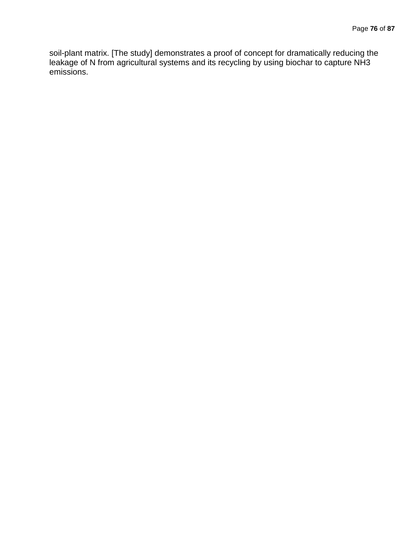soil-plant matrix. [The study] demonstrates a proof of concept for dramatically reducing the leakage of N from agricultural systems and its recycling by using biochar to capture NH3 emissions.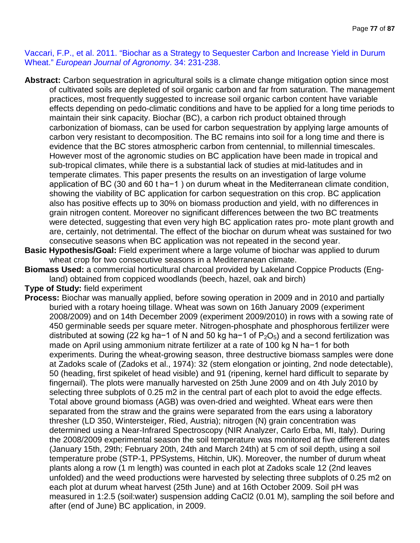Vaccari, F.P., et al. 2011. "Biochar as a Strategy to Sequester Carbon and Increase Yield in Durum Wheat." *European Journal of Agronomy*. 34: 231-238.

- **Abstract:** Carbon sequestration in agricultural soils is a climate change mitigation option since most of cultivated soils are depleted of soil organic carbon and far from saturation. The management practices, most frequently suggested to increase soil organic carbon content have variable effects depending on pedo-climatic conditions and have to be applied for a long time periods to maintain their sink capacity. Biochar (BC), a carbon rich product obtained through carbonization of biomass, can be used for carbon sequestration by applying large amounts of carbon very resistant to decomposition. The BC remains into soil for a long time and there is evidence that the BC stores atmospheric carbon from centennial, to millennial timescales. However most of the agronomic studies on BC application have been made in tropical and sub-tropical climates, while there is a substantial lack of studies at mid-latitudes and in temperate climates. This paper presents the results on an investigation of large volume application of BC (30 and 60 t ha−1 ) on durum wheat in the Mediterranean climate condition, showing the viability of BC application for carbon sequestration on this crop. BC application also has positive effects up to 30% on biomass production and yield, with no differences in grain nitrogen content. Moreover no significant differences between the two BC treatments were detected, suggesting that even very high BC application rates pro- mote plant growth and are, certainly, not detrimental. The effect of the biochar on durum wheat was sustained for two consecutive seasons when BC application was not repeated in the second year.
- **Basic Hypothesis/Goal:** Field experiment where a large volume of biochar was applied to durum wheat crop for two consecutive seasons in a Mediterranean climate.
- **Biomass Used:** a commercial horticultural charcoal provided by Lakeland Coppice Products (England) obtained from coppiced woodlands (beech, hazel, oak and birch)
- **Type of Study:** field experiment
- **Process:** Biochar was manually applied, before sowing operation in 2009 and in 2010 and partially buried with a rotary hoeing tillage. Wheat was sown on 16th January 2009 (experiment 2008/2009) and on 14th December 2009 (experiment 2009/2010) in rows with a sowing rate of 450 germinable seeds per square meter. Nitrogen-phosphate and phosphorous fertilizer were distributed at sowing (22 kg ha−1 of N and 50 kg ha−1 of  $P_2O_5$ ) and a second fertilization was made on April using ammonium nitrate fertilizer at a rate of 100 kg N ha−1 for both experiments. During the wheat-growing season, three destructive biomass samples were done at Zadoks scale of (Zadoks et al., 1974): 32 (stem elongation or jointing, 2nd node detectable), 50 (heading, first spikelet of head visible) and 91 (ripening, kernel hard difficult to separate by fingernail). The plots were manually harvested on 25th June 2009 and on 4th July 2010 by selecting three subplots of 0.25 m2 in the central part of each plot to avoid the edge effects. Total above ground biomass (AGB) was oven-dried and weighted. Wheat ears were then separated from the straw and the grains were separated from the ears using a laboratory thresher (LD 350, Wintersteiger, Ried, Austria); nitrogen (N) grain concentration was determined using a Near-Infrared Spectroscopy (NIR Analyzer, Carlo Erba, MI, Italy). During the 2008/2009 experimental season the soil temperature was monitored at five different dates (January 15th, 29th; February 20th, 24th and March 24th) at 5 cm of soil depth, using a soil temperature probe (STP-1, PPSystems, Hitchin, UK). Moreover, the number of durum wheat plants along a row (1 m length) was counted in each plot at Zadoks scale 12 (2nd leaves unfolded) and the weed productions were harvested by selecting three subplots of 0.25 m2 on each plot at durum wheat harvest (25th June) and at 16th October 2009. Soil pH was measured in 1:2.5 (soil:water) suspension adding CaCl2 (0.01 M), sampling the soil before and after (end of June) BC application, in 2009.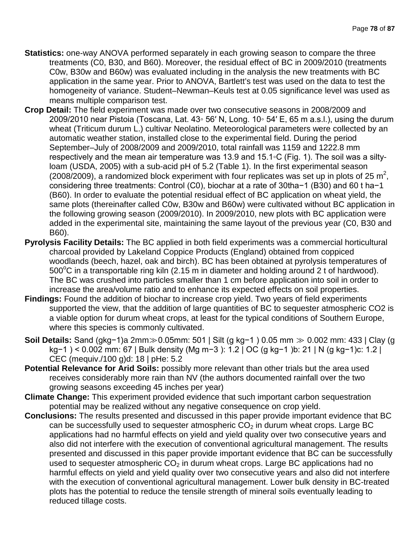- **Statistics:** one-way ANOVA performed separately in each growing season to compare the three treatments (C0, B30, and B60). Moreover, the residual effect of BC in 2009/2010 (treatments C0w, B30w and B60w) was evaluated including in the analysis the new treatments with BC application in the same year. Prior to ANOVA, Bartlett's test was used on the data to test the homogeneity of variance. Student–Newman–Keuls test at 0.05 significance level was used as means multiple comparison test.
- **Crop Detail:** The field experiment was made over two consecutive seasons in 2008/2009 and 2009/2010 near Pistoia (Toscana, Lat. 43◦ 56′ N, Long. 10◦ 54′ E, 65 m a.s.l.), using the durum wheat (Triticum durum L.) cultivar Neolatino. Meteorological parameters were collected by an automatic weather station, installed close to the experimental field. During the period September–July of 2008/2009 and 2009/2010, total rainfall was 1159 and 1222.8 mm respectively and the mean air temperature was 13.9 and 15.1◦C (Fig. 1). The soil was a siltyloam (USDA, 2005) with a sub-acid pH of 5.2 (Table 1). In the first experimental season (2008/2009), a randomized block experiment with four replicates was set up in plots of 25  $m^2$ , considering three treatments: Control (C0), biochar at a rate of 30tha−1 (B30) and 60 t ha−1 (B60). In order to evaluate the potential residual effect of BC application on wheat yield, the same plots (thereinafter called C0w, B30w and B60w) were cultivated without BC application in the following growing season (2009/2010). In 2009/2010, new plots with BC application were added in the experimental site, maintaining the same layout of the previous year (C0, B30 and B60).
- **Pyrolysis Facility Details:** The BC applied in both field experiments was a commercial horticultural charcoal provided by Lakeland Coppice Products (England) obtained from coppiced woodlands (beech, hazel, oak and birch). BC has been obtained at pyrolysis temperatures of  $500^{\circ}$ C in a transportable ring kiln (2.15 m in diameter and holding around 2 t of hardwood). The BC was crushed into particles smaller than 1 cm before application into soil in order to increase the area/volume ratio and to enhance its expected effects on soil properties.
- **Findings:** Found the addition of biochar to increase crop yield. Two years of field experiments supported the view, that the addition of large quantities of BC to sequester atmospheric CO2 is a viable option for durum wheat crops, at least for the typical conditions of Southern Europe, where this species is commonly cultivated.
- **Soil Details:** Sand (gkg−1)a 2mm≫0.05mm: 501 | Silt (g kg−1 ) 0.05 mm ≫ 0.002 mm: 433 | Clay (g kg−1 ) < 0.002 mm: 67 | Bulk density (Mg m−3 ): 1.2 | OC (g kg−1 )b: 21 | N (g kg−1)c: 1.2 | CEC (mequiv./100 g)d: 18 | pHe: 5.2
- **Potential Relevance for Arid Soils:** possibly more relevant than other trials but the area used receives considerably more rain than NV (the authors documented rainfall over the two growing seasons exceeding 45 inches per year)
- **Climate Change:** This experiment provided evidence that such important carbon sequestration potential may be realized without any negative consequence on crop yield.
- **Conclusions:** The results presented and discussed in this paper provide important evidence that BC can be successfully used to sequester atmospheric  $CO<sub>2</sub>$  in durum wheat crops. Large BC applications had no harmful effects on yield and yield quality over two consecutive years and also did not interfere with the execution of conventional agricultural management. The results presented and discussed in this paper provide important evidence that BC can be successfully used to sequester atmospheric  $CO<sub>2</sub>$  in durum wheat crops. Large BC applications had no harmful effects on yield and yield quality over two consecutive years and also did not interfere with the execution of conventional agricultural management. Lower bulk density in BC-treated plots has the potential to reduce the tensile strength of mineral soils eventually leading to reduced tillage costs.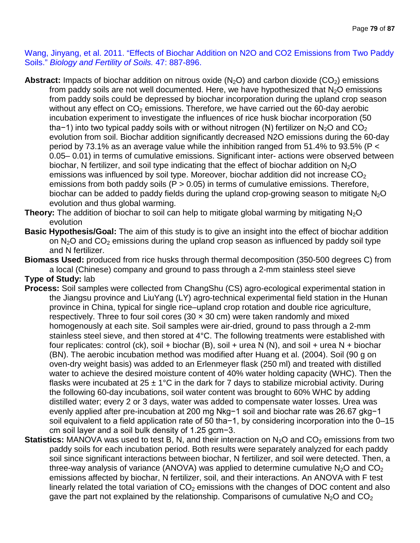Wang, Jinyang, et al. 2011. "Effects of Biochar Addition on N2O and CO2 Emissions from Two Paddy Soils." *Biology and Fertility of Soils.* 47: 887-896.

- Abstract: Impacts of biochar addition on nitrous oxide (N<sub>2</sub>O) and carbon dioxide (CO<sub>2</sub>) emissions from paddy soils are not well documented. Here, we have hypothesized that  $N<sub>2</sub>O$  emissions from paddy soils could be depressed by biochar incorporation during the upland crop season without any effect on  $CO<sub>2</sub>$  emissions. Therefore, we have carried out the 60-day aerobic incubation experiment to investigate the influences of rice husk biochar incorporation (50 tha−1) into two typical paddy soils with or without nitrogen (N) fertilizer on N<sub>2</sub>O and CO<sub>2</sub> evolution from soil. Biochar addition significantly decreased N2O emissions during the 60-day period by 73.1% as an average value while the inhibition ranged from 51.4% to 93.5% (P < 0.05– 0.01) in terms of cumulative emissions. Significant inter- actions were observed between biochar, N fertilizer, and soil type indicating that the effect of biochar addition on  $N_2O$ emissions was influenced by soil type. Moreover, biochar addition did not increase  $CO<sub>2</sub>$ emissions from both paddy soils ( $P > 0.05$ ) in terms of cumulative emissions. Therefore, biochar can be added to paddy fields during the upland crop-growing season to mitigate  $N_2O$ evolution and thus global warming.
- **Theory:** The addition of biochar to soil can help to mitigate global warming by mitigating N<sub>2</sub>O evolution
- **Basic Hypothesis/Goal:** The aim of this study is to give an insight into the effect of biochar addition on  $N_2O$  and  $CO_2$  emissions during the upland crop season as influenced by paddy soil type and N fertilizer.
- **Biomass Used:** produced from rice husks through thermal decomposition (350-500 degrees C) from a local (Chinese) company and ground to pass through a 2-mm stainless steel sieve **Type of Study:** lab
- **Process:** Soil samples were collected from ChangShu (CS) agro-ecological experimental station in the Jiangsu province and LiuYang (LY) agro-technical experimental field station in the Hunan province in China, typical for single rice–upland crop rotation and double rice agriculture, respectively. Three to four soil cores (30  $\times$  30 cm) were taken randomly and mixed homogenously at each site. Soil samples were air-dried, ground to pass through a 2-mm stainless steel sieve, and then stored at 4°C. The following treatments were established with four replicates: control (ck), soil + biochar (B), soil + urea N (N), and soil + urea N + biochar (BN). The aerobic incubation method was modified after Huang et al. (2004). Soil (90 g on oven-dry weight basis) was added to an Erlenmeyer flask (250 ml) and treated with distilled water to achieve the desired moisture content of 40% water holding capacity (WHC). Then the flasks were incubated at  $25 \pm 1^{\circ}$ C in the dark for 7 days to stabilize microbial activity. During the following 60-day incubations, soil water content was brought to 60% WHC by adding distilled water; every 2 or 3 days, water was added to compensate water losses. Urea was evenly applied after pre-incubation at 200 mg Nkg−1 soil and biochar rate was 26.67 gkg−1 soil equivalent to a field application rate of 50 tha−1, by considering incorporation into the 0–15 cm soil layer and a soil bulk density of 1.25 gcm−3.
- **Statistics:** MANOVA was used to test B, N, and their interaction on N<sub>2</sub>O and CO<sub>2</sub> emissions from two paddy soils for each incubation period. Both results were separately analyzed for each paddy soil since significant interactions between biochar, N fertilizer, and soil were detected. Then, a three-way analysis of variance (ANOVA) was applied to determine cumulative  $N_2O$  and  $CO<sub>2</sub>$ emissions affected by biochar, N fertilizer, soil, and their interactions. An ANOVA with F test linearly related the total variation of  $CO<sub>2</sub>$  emissions with the changes of DOC content and also gave the part not explained by the relationship. Comparisons of cumulative  $N_2O$  and  $CO<sub>2</sub>$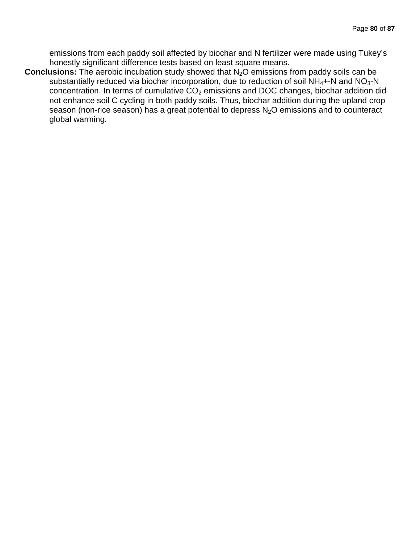emissions from each paddy soil affected by biochar and N fertilizer were made using Tukey's honestly significant difference tests based on least square means.

**Conclusions:** The aerobic incubation study showed that N<sub>2</sub>O emissions from paddy soils can be substantially reduced via biochar incorporation, due to reduction of soil  $NH_4 + N$  and  $NO_3 - N$ concentration. In terms of cumulative  $CO<sub>2</sub>$  emissions and DOC changes, biochar addition did not enhance soil C cycling in both paddy soils. Thus, biochar addition during the upland crop season (non-rice season) has a great potential to depress  $N_2O$  emissions and to counteract global warming.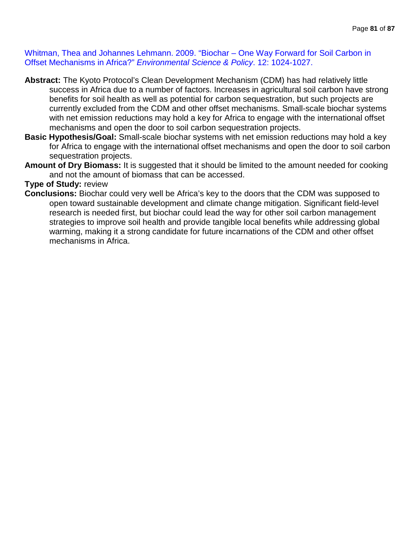Whitman, Thea and Johannes Lehmann. 2009. "Biochar – One Way Forward for Soil Carbon in Offset Mechanisms in Africa?" *Environmental Science & Policy*. 12: 1024-1027.

- **Abstract:** The Kyoto Protocol's Clean Development Mechanism (CDM) has had relatively little success in Africa due to a number of factors. Increases in agricultural soil carbon have strong benefits for soil health as well as potential for carbon sequestration, but such projects are currently excluded from the CDM and other offset mechanisms. Small-scale biochar systems with net emission reductions may hold a key for Africa to engage with the international offset mechanisms and open the door to soil carbon sequestration projects.
- **Basic Hypothesis/Goal:** Small-scale biochar systems with net emission reductions may hold a key for Africa to engage with the international offset mechanisms and open the door to soil carbon sequestration projects.
- **Amount of Dry Biomass:** It is suggested that it should be limited to the amount needed for cooking and not the amount of biomass that can be accessed.

#### **Type of Study:** review

**Conclusions:** Biochar could very well be Africa's key to the doors that the CDM was supposed to open toward sustainable development and climate change mitigation. Significant field-level research is needed first, but biochar could lead the way for other soil carbon management strategies to improve soil health and provide tangible local benefits while addressing global warming, making it a strong candidate for future incarnations of the CDM and other offset mechanisms in Africa.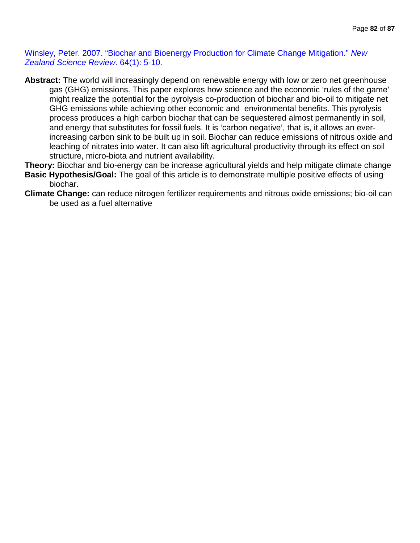Winsley, Peter. 2007. "Biochar and Bioenergy Production for Climate Change Mitigation." *New Zealand Science Review*. 64(1): 5-10.

- **Abstract:** The world will increasingly depend on renewable energy with low or zero net greenhouse gas (GHG) emissions. This paper explores how science and the economic 'rules of the game' might realize the potential for the pyrolysis co-production of biochar and bio-oil to mitigate net GHG emissions while achieving other economic and environmental benefits. This pyrolysis process produces a high carbon biochar that can be sequestered almost permanently in soil, and energy that substitutes for fossil fuels. It is 'carbon negative', that is, it allows an everincreasing carbon sink to be built up in soil. Biochar can reduce emissions of nitrous oxide and leaching of nitrates into water. It can also lift agricultural productivity through its effect on soil structure, micro-biota and nutrient availability.
- **Theory:** Biochar and bio-energy can be increase agricultural yields and help mitigate climate change **Basic Hypothesis/Goal:** The goal of this article is to demonstrate multiple positive effects of using biochar.
- **Climate Change:** can reduce nitrogen fertilizer requirements and nitrous oxide emissions; bio-oil can be used as a fuel alternative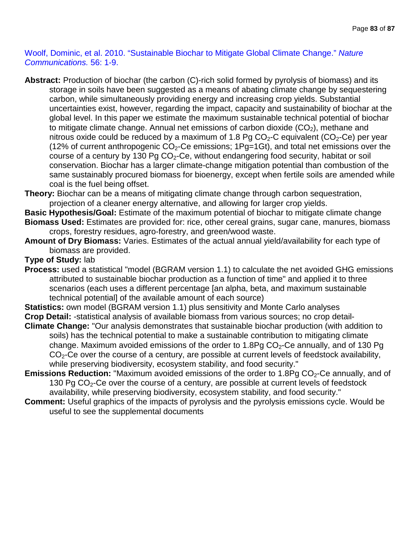Woolf, Dominic, et al. 2010. "Sustainable Biochar to Mitigate Global Climate Change." *Nature Communications.* 56: 1-9.

- **Abstract:** Production of biochar (the carbon (C)-rich solid formed by pyrolysis of biomass) and its storage in soils have been suggested as a means of abating climate change by sequestering carbon, while simultaneously providing energy and increasing crop yields. Substantial uncertainties exist, however, regarding the impact, capacity and sustainability of biochar at the global level. In this paper we estimate the maximum sustainable technical potential of biochar to mitigate climate change. Annual net emissions of carbon dioxide  $(CO<sub>2</sub>)$ , methane and nitrous oxide could be reduced by a maximum of 1.8 Pg  $CO<sub>2</sub>-C$  equivalent ( $CO<sub>2</sub>-Ce$ ) per year (12% of current anthropogenic  $CO<sub>2</sub>$ -Ce emissions; 1Pg=1Gt), and total net emissions over the course of a century by 130 Pg  $CO<sub>2</sub>-Ce$ , without endangering food security, habitat or soil conservation. Biochar has a larger climate-change mitigation potential than combustion of the same sustainably procured biomass for bioenergy, except when fertile soils are amended while coal is the fuel being offset.
- **Theory:** Biochar can be a means of mitigating climate change through carbon sequestration, projection of a cleaner energy alternative, and allowing for larger crop yields.
- **Basic Hypothesis/Goal:** Estimate of the maximum potential of biochar to mitigate climate change **Biomass Used:** Estimates are provided for: rice, other cereal grains, sugar cane, manures, biomass crops, forestry residues, agro-forestry, and green/wood waste.
- **Amount of Dry Biomass:** Varies. Estimates of the actual annual yield/availability for each type of biomass are provided.

#### **Type of Study:** lab

**Process:** used a statistical "model (BGRAM version 1.1) to calculate the net avoided GHG emissions attributed to sustainable biochar production as a function of time" and applied it to three scenarios (each uses a different percentage [an alpha, beta, and maximum sustainable technical potential] of the available amount of each source)

**Statistics:** own model (BGRAM version 1.1) plus sensitivity and Monte Carlo analyses **Crop Detail:** -statistical analysis of available biomass from various sources; no crop detail-

- **Climate Change:** "Our analysis demonstrates that sustainable biochar production (with addition to soils) has the technical potential to make a sustainable contribution to mitigating climate change. Maximum avoided emissions of the order to  $1.8Pg$  CO<sub>2</sub>-Ce annually, and of 130 Pg  $CO<sub>2</sub>$ -Ce over the course of a century, are possible at current levels of feedstock availability, while preserving biodiversity, ecosystem stability, and food security."
- **Emissions Reduction:** "Maximum avoided emissions of the order to 1.8Pg CO<sub>2</sub>-Ce annually, and of 130 Pg  $CO<sub>2</sub>$ -Ce over the course of a century, are possible at current levels of feedstock availability, while preserving biodiversity, ecosystem stability, and food security."
- **Comment:** Useful graphics of the impacts of pyrolysis and the pyrolysis emissions cycle. Would be useful to see the supplemental documents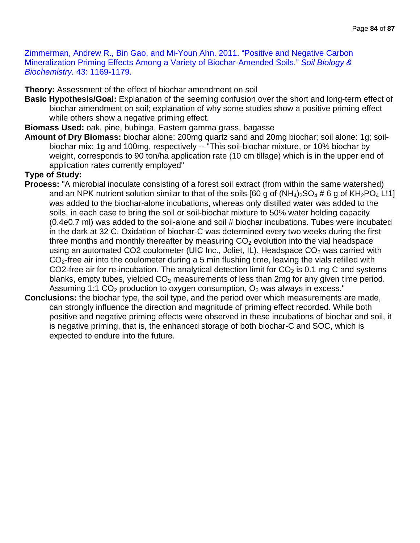Zimmerman, Andrew R., Bin Gao, and Mi-Youn Ahn. 2011. "Positive and Negative Carbon Mineralization Priming Effects Among a Variety of Biochar-Amended Soils." *Soil Biology & Biochemistry.* 43: 1169-1179.

**Theory:** Assessment of the effect of biochar amendment on soil

**Basic Hypothesis/Goal:** Explanation of the seeming confusion over the short and long-term effect of biochar amendment on soil; explanation of why some studies show a positive priming effect while others show a negative priming effect.

**Biomass Used:** oak, pine, bubinga, Eastern gamma grass, bagasse

**Amount of Dry Biomass:** biochar alone: 200mg quartz sand and 20mg biochar; soil alone: 1g; soilbiochar mix: 1g and 100mg, respectively -- "This soil-biochar mixture, or 10% biochar by weight, corresponds to 90 ton/ha application rate (10 cm tillage) which is in the upper end of application rates currently employed"

#### **Type of Study:**

- **Process:** "A microbial inoculate consisting of a forest soil extract (from within the same watershed) and an NPK nutrient solution similar to that of the soils [60 g of  $(NH_4)_2SO_4 \# 6$  g of  $KH_2PO_4$  L!1] was added to the biochar-alone incubations, whereas only distilled water was added to the soils, in each case to bring the soil or soil-biochar mixture to 50% water holding capacity (0.4e0.7 ml) was added to the soil-alone and soil # biochar incubations. Tubes were incubated in the dark at 32 C. Oxidation of biochar-C was determined every two weeks during the first three months and monthly thereafter by measuring  $CO<sub>2</sub>$  evolution into the vial headspace using an automated CO2 coulometer (UIC Inc., Joliet, IL). Headspace  $CO<sub>2</sub>$  was carried with  $CO<sub>2</sub>$ -free air into the coulometer during a 5 min flushing time, leaving the vials refilled with CO2-free air for re-incubation. The analytical detection limit for  $CO<sub>2</sub>$  is 0.1 mg C and systems blanks, empty tubes, yielded  $CO<sub>2</sub>$  measurements of less than 2mg for any given time period. Assuming 1:1  $CO<sub>2</sub>$  production to oxygen consumption,  $O<sub>2</sub>$  was always in excess."
- **Conclusions:** the biochar type, the soil type, and the period over which measurements are made, can strongly influence the direction and magnitude of priming effect recorded. While both positive and negative priming effects were observed in these incubations of biochar and soil, it is negative priming, that is, the enhanced storage of both biochar-C and SOC, which is expected to endure into the future.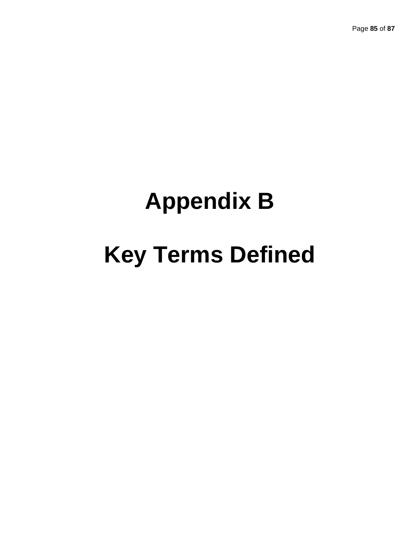Page **85** of **87**

## **Appendix B**

# **Key Terms Defined**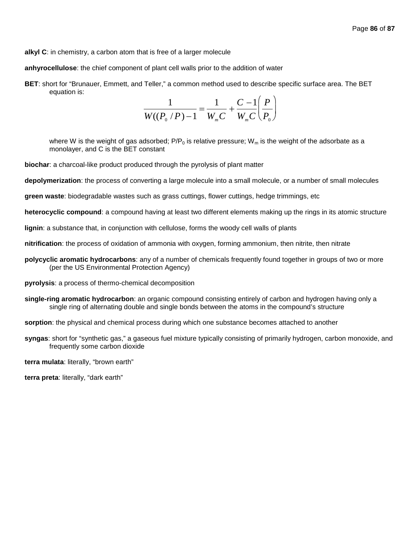**alkyl C**: in chemistry, a carbon atom that is free of a larger molecule

**anhyrocellulose**: the chief component of plant cell walls prior to the addition of water

**BET**: short for "Brunauer, Emmett, and Teller," a common method used to describe specific surface area. The BET equation is:

$$
\frac{1}{W((P_0/P)-1)} = \frac{1}{W_mC} + \frac{C-1}{W_mC} \left(\frac{P}{P_0}\right)
$$

where W is the weight of gas adsorbed;  $P/P_0$  is relative pressure; W<sub>m</sub> is the weight of the adsorbate as a monolayer, and C is the BET constant

**biochar**: a charcoal-like product produced through the pyrolysis of plant matter

**depolymerization**: the process of converting a large molecule into a small molecule, or a number of small molecules

**green waste**: biodegradable wastes such as grass cuttings, flower cuttings, hedge trimmings, etc

**heterocyclic compound**: a compound having at least two different elements making up the rings in its atomic structure

**lignin**: a substance that, in conjunction with cellulose, forms the woody cell walls of plants

- **nitrification**: the process of oxidation of ammonia with oxygen, forming ammonium, then nitrite, then nitrate
- **polycyclic aromatic hydrocarbons**: any of a number of chemicals frequently found together in groups of two or more (per the US Environmental Protection Agency)
- **pyrolysis**: a process of thermo-chemical decomposition
- **single-ring aromatic hydrocarbon**: an organic compound consisting entirely of carbon and hydrogen having only a single ring of alternating double and single bonds between the atoms in the compound's structure

**sorption**: the physical and chemical process during which one substance becomes attached to another

**syngas**: short for "synthetic gas," a gaseous fuel mixture typically consisting of primarily hydrogen, carbon monoxide, and frequently some carbon dioxide

**terra mulata**: literally, "brown earth"

**terra preta**: literally, "dark earth"